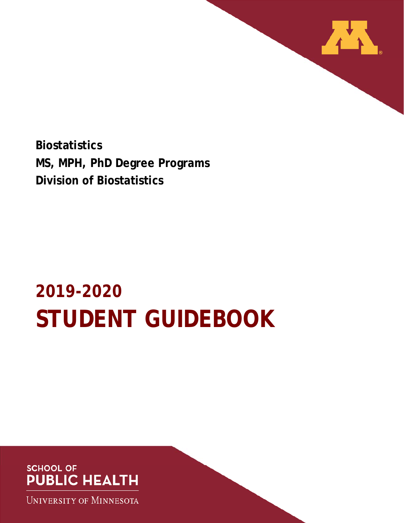

**Biostatistics MS, MPH, PhD Degree Programs Division of Biostatistics** 

# **2019-2020 STUDENT GUIDEBOOK**

## **SCHOOL OF PUBLIC HEALTH**

**UNIVERSITY OF MINNESOTA**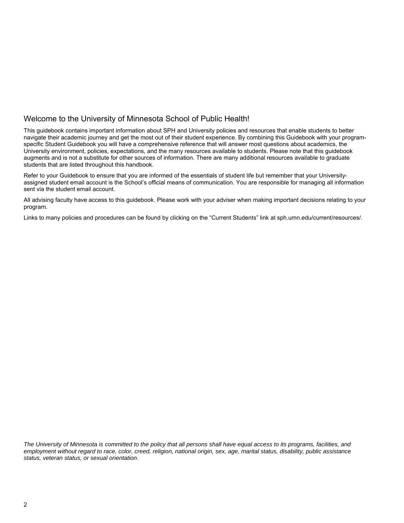### Welcome to the University of Minnesota School of Public Health!

This guidebook contains important information about SPH and University policies and resources that enable students to better navigate their academic journey and get the most out of their student experience. By combining this Guidebook with your programspecific Student Guidebook you will have a comprehensive reference that will answer most questions about academics, the University environment, policies, expectations, and the many resources available to students. Please note that this guidebook augments and is not a substitute for other sources of information. There are many additional resources available to graduate students that are listed throughout this handbook.

Refer to your Guidebook to ensure that you are informed of the essentials of student life but remember that your Universityassigned student email account is the School's official means of communication. You are responsible for managing all information sent via the student email account.

All advising faculty have access to this guidebook. Please work with your adviser when making important decisions relating to your program.

Links to many policies and procedures can be found by clicking on the "Current Students" link at sph.umn.edu/current/resources/.

*The University of Minnesota is committed to the policy that all persons shall have equal access to its programs, facilities, and employment without regard to race, color, creed, religion, national origin, sex, age, marital status, disability, public assistance status, veteran status, or sexual orientation.*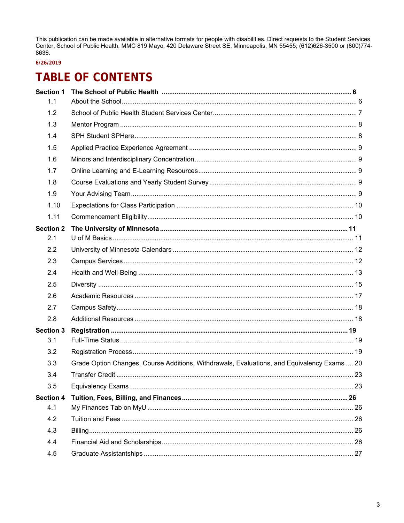This publication can be made available in alternative formats for people with disabilities. Direct requests to the Student Services Center, School of Public Health, MMC 819 Mayo, 420 Delaware Street SE, Minneapolis, MN 55455; (612)626-3500 or (800)774-8636.

### 6/26/2019

## **TABLE OF CONTENTS**

| <b>Section 1</b> |                                                                                             |  |
|------------------|---------------------------------------------------------------------------------------------|--|
| 1.1              |                                                                                             |  |
| 1.2              |                                                                                             |  |
| 1.3              |                                                                                             |  |
| 1.4              |                                                                                             |  |
| 1.5              |                                                                                             |  |
| 1.6              |                                                                                             |  |
| 1.7              |                                                                                             |  |
| 1.8              |                                                                                             |  |
| 1.9              |                                                                                             |  |
| 1.10             |                                                                                             |  |
| 1.11             |                                                                                             |  |
| <b>Section 2</b> |                                                                                             |  |
| 2.1              |                                                                                             |  |
| 2.2              |                                                                                             |  |
| 2.3              |                                                                                             |  |
| 2.4              |                                                                                             |  |
| 2.5              |                                                                                             |  |
| 2.6              |                                                                                             |  |
| 2.7              |                                                                                             |  |
| 2.8              |                                                                                             |  |
| <b>Section 3</b> |                                                                                             |  |
| 3.1              |                                                                                             |  |
| 3.2              |                                                                                             |  |
| 3.3              | Grade Option Changes, Course Additions, Withdrawals, Evaluations, and Equivalency Exams  20 |  |
| 3.4              |                                                                                             |  |
| 3.5              |                                                                                             |  |
| <b>Section 4</b> |                                                                                             |  |
| 4.1              |                                                                                             |  |
| 4.2              |                                                                                             |  |
| 4.3              |                                                                                             |  |
| 4.4              |                                                                                             |  |
| 4.5              |                                                                                             |  |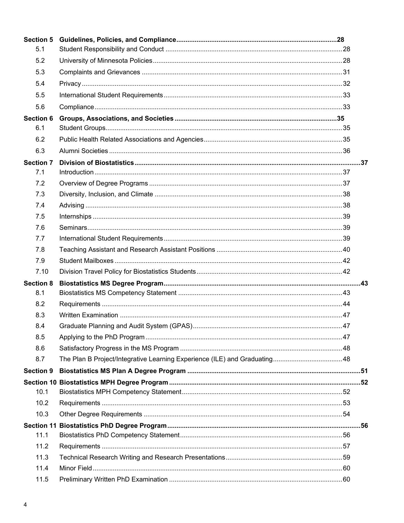| <b>Section 5</b> |                                                                           |  |
|------------------|---------------------------------------------------------------------------|--|
| 5.1              |                                                                           |  |
| 5.2              |                                                                           |  |
| 5.3              |                                                                           |  |
| 5.4              |                                                                           |  |
| 5.5              |                                                                           |  |
| 5.6              |                                                                           |  |
| <b>Section 6</b> |                                                                           |  |
| 6.1              |                                                                           |  |
| 6.2              |                                                                           |  |
| 6.3              |                                                                           |  |
| <b>Section 7</b> |                                                                           |  |
| 7.1              |                                                                           |  |
| 7.2              |                                                                           |  |
| 7.3              |                                                                           |  |
| 7.4              |                                                                           |  |
| 7.5              |                                                                           |  |
| 7.6              |                                                                           |  |
| 7.7              |                                                                           |  |
| 7.8              |                                                                           |  |
| 7.9              |                                                                           |  |
| 7.10             |                                                                           |  |
| <b>Section 8</b> |                                                                           |  |
| 8.1              |                                                                           |  |
| 8.2              |                                                                           |  |
| 8.3              |                                                                           |  |
| 8.4              |                                                                           |  |
| 8.5              |                                                                           |  |
| 8.6              |                                                                           |  |
| 8.7              | The Plan B Project/Integrative Learning Experience (ILE) and Graduating48 |  |
| <b>Section 9</b> |                                                                           |  |
|                  |                                                                           |  |
| 10.1             |                                                                           |  |
| 10.2             |                                                                           |  |
| 10.3             |                                                                           |  |
|                  |                                                                           |  |
| 11.1             |                                                                           |  |
| 11.2             |                                                                           |  |
| 11.3             |                                                                           |  |
| 11.4             |                                                                           |  |
| 11.5             |                                                                           |  |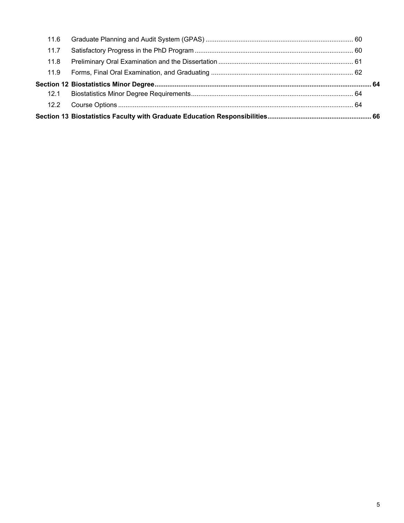| 12.2 |  |
|------|--|
| 12.1 |  |
|      |  |
| 11.9 |  |
| 11.8 |  |
| 11.7 |  |
| 11.6 |  |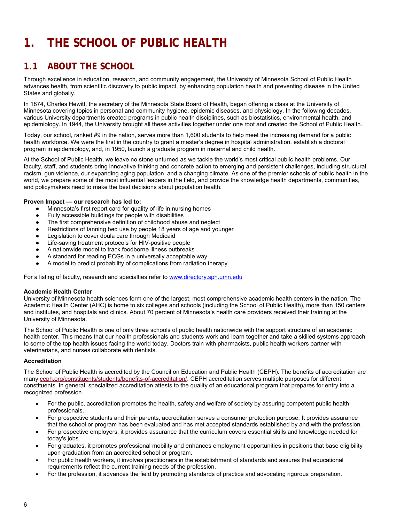## **1. THE SCHOOL OF PUBLIC HEALTH**

## **1.1 ABOUT THE SCHOOL**

Through excellence in education, research, and community engagement, the University of Minnesota School of Public Health advances health, from scientific discovery to public impact, by enhancing population health and preventing disease in the United States and globally.

In 1874, Charles Hewitt, the secretary of the Minnesota State Board of Health, began offering a class at the University of Minnesota covering topics in personal and community hygiene, epidemic diseases, and physiology. In the following decades, various University departments created programs in public health disciplines, such as biostatistics, environmental health, and epidemiology. In 1944, the University brought all these activities together under one roof and created the School of Public Health.

Today, our school, ranked #9 in the nation, serves more than 1,600 students to help meet the increasing demand for a public health workforce. We were the first in the country to grant a master's degree in hospital administration, establish a doctoral program in epidemiology, and, in 1950, launch a graduate program in maternal and child health.

At the School of Public Health, we leave no stone unturned as we tackle the world's most critical public health problems. Our faculty, staff, and students bring innovative thinking and concrete action to emerging and persistent challenges, including structural racism, gun violence, our expanding aging population, and a changing climate. As one of the premier schools of public health in the world, we prepare some of the most influential leaders in the field, and provide the knowledge health departments, communities, and policymakers need to make the best decisions about population health.

### **Proven Impact — our research has led to:**

- Minnesota's first report card for quality of life in nursing homes
- Fully accessible buildings for people with disabilities
- The first comprehensive definition of childhood abuse and neglect
- Restrictions of tanning bed use by people 18 years of age and younger
- Legislation to cover doula care through Medicaid
- Life-saving treatment protocols for HIV-positive people
- A nationwide model to track foodborne illness outbreaks
- A standard for reading ECGs in a universally acceptable way
- A model to predict probability of complications from radiation therapy.

For a listing of faculty, research and specialties refer to www.directory.sph.umn.edu

#### **Academic Health Center**

University of Minnesota health sciences form one of the largest, most comprehensive academic health centers in the nation. The Academic Health Center (AHC) is home to six colleges and schools (including the School of Public Health), more than 150 centers and institutes, and hospitals and clinics. About 70 percent of Minnesota's health care providers received their training at the University of Minnesota.

The School of Public Health is one of only three schools of public health nationwide with the support structure of an academic health center. This means that our health professionals and students work and learn together and take a skilled systems approach to some of the top health issues facing the world today. Doctors train with pharmacists, public health workers partner with veterinarians, and nurses collaborate with dentists.

#### **Accreditation**

The School of Public Health is accredited by the Council on Education and Public Health (CEPH). The benefits of accreditation are many ceph.org/constituents/students/benefits-of-accreditation/. CEPH accreditation serves multiple purposes for different constituents. In general, specialized accreditation attests to the quality of an educational program that prepares for entry into a recognized profession.

- For the public, accreditation promotes the health, safety and welfare of society by assuring competent public health professionals.
- For prospective students and their parents, accreditation serves a consumer protection purpose. It provides assurance that the school or program has been evaluated and has met accepted standards established by and with the profession.
- For prospective employers, it provides assurance that the curriculum covers essential skills and knowledge needed for today's jobs.
- For graduates, it promotes professional mobility and enhances employment opportunities in positions that base eligibility upon graduation from an accredited school or program.
- For public health workers, it involves practitioners in the establishment of standards and assures that educational requirements reflect the current training needs of the profession.
- For the profession, it advances the field by promoting standards of practice and advocating rigorous preparation.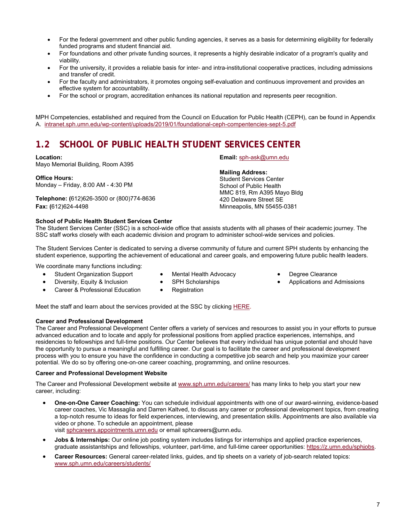- For the federal government and other public funding agencies, it serves as a basis for determining eligibility for federally funded programs and student financial aid.
- For foundations and other private funding sources, it represents a highly desirable indicator of a program's quality and viability.
- For the university, it provides a reliable basis for inter- and intra-institutional cooperative practices, including admissions and transfer of credit.
- For the faculty and administrators, it promotes ongoing self-evaluation and continuous improvement and provides an effective system for accountability.
- For the school or program, accreditation enhances its national reputation and represents peer recognition.

MPH Competencies, established and required from the Council on Education for Public Health (CEPH), can be found in Appendix A. intranet.sph.umn.edu/wp-content/uploads/2019/01/foundational-ceph-compentencies-sept-5.pdf

## **1.2 SCHOOL OF PUBLIC HEALTH STUDENT SERVICES CENTER**

#### **Location:**

Mayo Memorial Building, Room A395

**Office Hours:**  Monday – Friday, 8:00 AM - 4:30 PM

**Telephone: (**612)626-3500 or (800)774-8636 **Fax: (**612)624-4498

### **Email:** sph-ask@umn.edu

#### **Mailing Address:**

Student Services Center School of Public Health MMC 819, Rm A395 Mayo Bldg 420 Delaware Street SE Minneapolis, MN 55455-0381

#### **School of Public Health Student Services Center**

The Student Services Center (SSC) is a school-wide office that assists students with all phases of their academic journey. The SSC staff works closely with each academic division and program to administer school-wide services and policies.

The Student Services Center is dedicated to serving a diverse community of future and current SPH students by enhancing the student experience, supporting the achievement of educational and career goals, and empowering future public health leaders.

We coordinate many functions including:

- Mental Health Advocacy SPH Scholarships
- Degree Clearance
- Applications and Admissions

 Diversity, Equity & Inclusion Career & Professional Education

Student Organization Support

- Registration
- Meet the staff and learn about the services provided at the SSC by clicking HERE.

#### **Career and Professional Development**

The Career and Professional Development Center offers a variety of services and resources to assist you in your efforts to pursue advanced education and to locate and apply for professional positions from applied practice experiences, internships, and residencies to fellowships and full-time positions. Our Center believes that every individual has unique potential and should have the opportunity to pursue a meaningful and fulfilling career. Our goal is to facilitate the career and professional development process with you to ensure you have the confidence in conducting a competitive job search and help you maximize your career potential. We do so by offering one-on-one career coaching, programming, and online resources.

#### **Career and Professional Development Website**

The Career and Professional Development website at www.sph.umn.edu/careers/ has many links to help you start your new career, including:

- **One-on-One Career Coaching:** You can schedule individual appointments with one of our award-winning, evidence-based career coaches, Vic Massaglia and Darren Kaltved, to discuss any career or professional development topics, from creating a top-notch resume to ideas for field experiences, interviewing, and presentation skills. Appointments are also available via video or phone. To schedule an appointment, please visit sphcareers.appointments.umn.edu or email sphcareers@umn.edu.
- **Jobs & Internships:** Our online job posting system includes listings for internships and applied practice experiences, graduate assistantships and fellowships, volunteer, part-time, and full-time career opportunities: https://z.umn.edu/sphjobs.
- **Career Resources:** General career-related links, guides, and tip sheets on a variety of job-search related topics: www.sph.umn.edu/careers/students/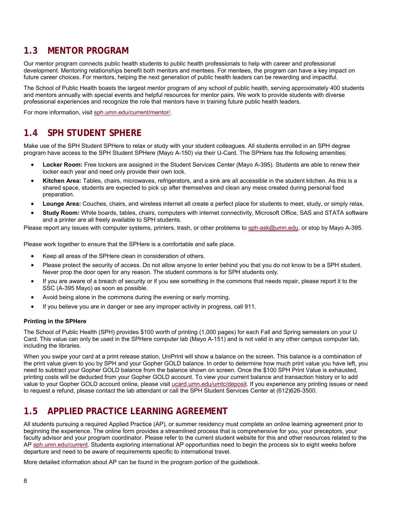## **1.3 MENTOR PROGRAM**

Our mentor program connects public health students to public health professionals to help with career and professional development. Mentoring relationships benefit both mentors and mentees. For mentees, the program can have a key impact on future career choices. For mentors, helping the next generation of public health leaders can be rewarding and impactful.

The School of Public Health boasts the largest mentor program of any school of public health, serving approximately 400 students and mentors annually with special events and helpful resources for mentor pairs. We work to provide students with diverse professional experiences and recognize the role that mentors have in training future public health leaders.

For more information, visit sph.umn.edu/current/mentor/.

## **1.4 SPH STUDENT SPHERE**

Make use of the SPH Student SPHere to relax or study with your student colleagues. All students enrolled in an SPH degree program have access to the SPH Student SPHere (Mayo A-150) via their U-Card. The SPHere has the following amenities:

- **Locker Room:** Free lockers are assigned in the Student Services Center (Mayo A-395). Students are able to renew their locker each year and need only provide their own lock.
- **Kitchen Area:** Tables, chairs, microwaves, refrigerators, and a sink are all accessible in the student kitchen. As this is a shared space, students are expected to pick up after themselves and clean any mess created during personal food preparation.
- **Lounge Area:** Couches, chairs, and wireless internet all create a perfect place for students to meet, study, or simply relax.
- **Study Room:** White boards, tables, chairs, computers with internet connectivity, Microsoft Office, SAS and STATA software and a printer are all freely available to SPH students.

Please report any issues with computer systems, printers, trash, or other problems to sph-ask@umn.edu, or stop by Mayo A-395.

Please work together to ensure that the SPHere is a comfortable and safe place.

- Keep all areas of the SPHere clean in consideration of others.
- Please protect the security of access. Do not allow anyone to enter behind you that you do not know to be a SPH student. Never prop the door open for any reason. The student commons is for SPH students only.
- If you are aware of a breach of security or if you see something in the commons that needs repair, please report it to the SSC (A-395 Mayo) as soon as possible.
- Avoid being alone in the commons during the evening or early morning.
- If you believe you are in danger or see any improper activity in progress, call 911.

#### **Printing in the SPHere**

The School of Public Health (SPH) provides \$100 worth of printing (1,000 pages) for each Fall and Spring semesters on your U Card. This value can only be used in the SPHere computer lab (Mayo A-151) and is not valid in any other campus computer lab, including the libraries.

When you swipe your card at a print release station, UniPrint will show a balance on the screen. This balance is a combination of the print value given to you by SPH and your Gopher GOLD balance. In order to determine how much print value you have left, you need to subtract your Gopher GOLD balance from the balance shown on screen. Once the \$100 SPH Print Value is exhausted, printing costs will be deducted from your Gopher GOLD account. To view your current balance and transaction history or to add value to your Gopher GOLD account online, please visit ucard.umn.edu/umtc/deposit. If you experience any printing issues or need to request a refund, please contact the lab attendant or call the SPH Student Services Center at (612)626-3500.

## **1.5 APPLIED PRACTICE LEARNING AGREEMENT**

All students pursuing a required Applied Practice (AP), or summer residency must complete an online learning agreement prior to beginning the experience. The online form provides a streamlined process that is comprehensive for you, your preceptors, your faculty advisor and your program coordinator. Please refer to the current student website for this and other resources related to the AP sph.umn.edu/current. Students exploring international AP opportunities need to begin the process six to eight weeks before departure and need to be aware of requirements specific to international travel.

More detailed information about AP can be found in the program portion of the guidebook.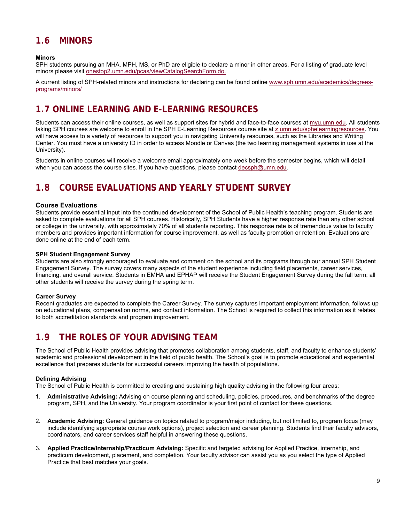## **1.6 MINORS**

#### **Minors**

SPH students pursuing an MHA, MPH, MS, or PhD are eligible to declare a minor in other areas. For a listing of graduate level minors please visit onestop2.umn.edu/pcas/viewCatalogSearchForm.do.

A current listing of SPH-related minors and instructions for declaring can be found online www.sph.umn.edu/academics/degreesprograms/minors/

## **1.7 ONLINE LEARNING AND E-LEARNING RESOURCES**

Students can access their online courses, as well as support sites for hybrid and face-to-face courses at myu.umn.edu. All students taking SPH courses are welcome to enroll in the SPH E-Learning Resources course site at z.umn.edu/sphelearningresources. You will have access to a variety of resources to support you in navigating University resources, such as the Libraries and Writing Center. You must have a university ID in order to access Moodle or Canvas (the two learning management systems in use at the University).

Students in online courses will receive a welcome email approximately one week before the semester begins, which will detail when you can access the course sites. If you have questions, please contact decsph@umn.edu.

## **1.8 COURSE EVALUATIONS AND YEARLY STUDENT SURVEY**

### **Course Evaluations**

Students provide essential input into the continued development of the School of Public Health's teaching program. Students are asked to complete evaluations for all SPH courses. Historically, SPH Students have a higher response rate than any other school or college in the university, with approximately 70% of all students reporting. This response rate is of tremendous value to faculty members and provides important information for course improvement, as well as faculty promotion or retention. Evaluations are done online at the end of each term.

#### **SPH Student Engagement Survey**

Students are also strongly encouraged to evaluate and comment on the school and its programs through our annual SPH Student Engagement Survey. The survey covers many aspects of the student experience including field placements, career services, financing, and overall service. Students in EMHA and EPHAP will receive the Student Engagement Survey during the fall term; all other students will receive the survey during the spring term.

#### **Career Survey**

Recent graduates are expected to complete the Career Survey. The survey captures important employment information, follows up on educational plans, compensation norms, and contact information. The School is required to collect this information as it relates to both accreditation standards and program improvement.

## **1.9 THE ROLES OF YOUR ADVISING TEAM**

The School of Public Health provides advising that promotes collaboration among students, staff, and faculty to enhance students' academic and professional development in the field of public health. The School's goal is to promote educational and experiential excellence that prepares students for successful careers improving the health of populations.

#### **Defining Advising**

The School of Public Health is committed to creating and sustaining high quality advising in the following four areas:

- 1. **Administrative Advising:** Advising on course planning and scheduling, policies, procedures, and benchmarks of the degree program, SPH, and the University. Your program coordinator is your first point of contact for these questions.
- 2. **Academic Advising:** General guidance on topics related to program/major including, but not limited to, program focus (may include identifying appropriate course work options), project selection and career planning. Students find their faculty advisors, coordinators, and career services staff helpful in answering these questions.
- 3. **Applied Practice/Internship/Practicum Advising:** Specific and targeted advising for Applied Practice, internship, and practicum development, placement, and completion. Your faculty advisor can assist you as you select the type of Applied Practice that best matches your goals.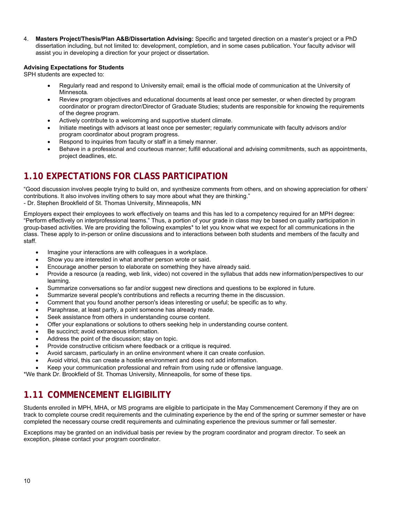4. **Masters Project/Thesis/Plan A&B/Dissertation Advising:** Specific and targeted direction on a master's project or a PhD dissertation including, but not limited to: development, completion, and in some cases publication. Your faculty advisor will assist you in developing a direction for your project or dissertation.

#### **Advising Expectations for Students**

SPH students are expected to:

- Regularly read and respond to University email; email is the official mode of communication at the University of Minnesota*.*
- Review program objectives and educational documents at least once per semester, or when directed by program coordinator or program director/Director of Graduate Studies; students are responsible for knowing the requirements of the degree program.
- Actively contribute to a welcoming and supportive student climate.
- Initiate meetings with advisors at least once per semester; regularly communicate with faculty advisors and/or program coordinator about program progress.
- Respond to inquiries from faculty or staff in a timely manner.
- Behave in a professional and courteous manner; fulfill educational and advising commitments, such as appointments, project deadlines, etc.

## **1.10 EXPECTATIONS FOR CLASS PARTICIPATION**

"Good discussion involves people trying to build on, and synthesize comments from others, and on showing appreciation for others' contributions. It also involves inviting others to say more about what they are thinking." - Dr. Stephen Brookfield of St. Thomas University, Minneapolis, MN

Employers expect their employees to work effectively on teams and this has led to a competency required for an MPH degree: "Perform effectively on interprofessional teams." Thus, a portion of your grade in class may be based on quality participation in group-based activities. We are providing the following examples\* to let you know what we expect for all communications in the class. These apply to in-person or online discussions and to interactions between both students and members of the faculty and staff.

- Imagine your interactions are with colleagues in a workplace.
- Show you are interested in what another person wrote or said.
- Encourage another person to elaborate on something they have already said.
- Provide a resource (a reading, web link, video) not covered in the syllabus that adds new information/perspectives to our learning.
- Summarize conversations so far and/or suggest new directions and questions to be explored in future.
- Summarize several people's contributions and reflects a recurring theme in the discussion.
- Comment that you found another person's ideas interesting or useful; be specific as to why.
- Paraphrase, at least partly, a point someone has already made.
- Seek assistance from others in understanding course content.
- Offer your explanations or solutions to others seeking help in understanding course content.
- Be succinct; avoid extraneous information.
- Address the point of the discussion; stay on topic.
- Provide constructive criticism where feedback or a critique is required.
- Avoid sarcasm, particularly in an online environment where it can create confusion.
- Avoid vitriol, this can create a hostile environment and does not add information.
- Keep your communication professional and refrain from using rude or offensive language.

\*We thank Dr. Brookfield of St. Thomas University, Minneapolis, for some of these tips.

## **1.11 COMMENCEMENT ELIGIBILITY**

Students enrolled in MPH, MHA, or MS programs are eligible to participate in the May Commencement Ceremony if they are on track to complete course credit requirements and the culminating experience by the end of the spring or summer semester or have completed the necessary course credit requirements and culminating experience the previous summer or fall semester.

Exceptions may be granted on an individual basis per review by the program coordinator and program director. To seek an exception, please contact your program coordinator.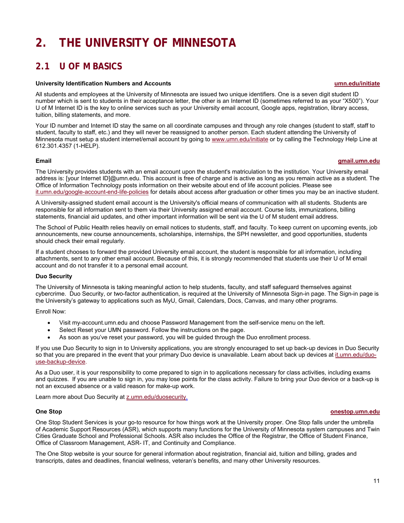## **2. THE UNIVERSITY OF MINNESOTA**

## **2.1 U OF M BASICS**

#### **University Identification Numbers and Accounts umn.edu/initiate**

All students and employees at the University of Minnesota are issued two unique identifiers. One is a seven digit student ID number which is sent to students in their acceptance letter, the other is an Internet ID (sometimes referred to as your "X500"). Your U of M Internet ID is the key to online services such as your University email account, Google apps, registration, library access, tuition, billing statements, and more.

Your ID number and Internet ID stay the same on all coordinate campuses and through any role changes (student to staff, staff to student, faculty to staff, etc.) and they will never be reassigned to another person. Each student attending the University of Minnesota must setup a student internet/email account by going to www.umn.edu/initiate or by calling the Technology Help Line at 612.301.4357 (1-HELP).

### **Email gmail.umn.edu**

The University provides students with an email account upon the student's matriculation to the institution. Your University email address is: [your Internet ID]@umn.edu. This account is free of charge and is active as long as you remain active as a student. The Office of Information Technology posts information on their website about end of life account policies. Please see it.umn.edu/google-account-end-life-policies for details about access after graduation or other times you may be an inactive student.

A University-assigned student email account is the University's official means of communication with all students. Students are responsible for all information sent to them via their University assigned email account. Course lists, immunizations, billing statements, financial aid updates, and other important information will be sent via the U of M student email address.

The School of Public Health relies heavily on email notices to students, staff, and faculty. To keep current on upcoming events, job announcements, new course announcements, scholarships, internships, the SPH newsletter, and good opportunities, students should check their email regularly.

If a student chooses to forward the provided University email account, the student is responsible for all information, including attachments, sent to any other email account. Because of this, it is strongly recommended that students use their U of M email account and do not transfer it to a personal email account.

#### **Duo Security**

The University of Minnesota is taking meaningful action to help students, faculty, and staff safeguard themselves against cybercrime. Duo Security, or two-factor authentication, is required at the University of Minnesota Sign-in page. The Sign-in page is the University's gateway to applications such as MyU, Gmail, Calendars, Docs, Canvas, and many other programs.

Enroll Now:

- Visit my-account.umn.edu and choose Password Management from the self-service menu on the left.
- Select Reset your UMN password. Follow the instructions on the page.
- As soon as you've reset your password, you will be guided through the Duo enrollment process.

If you use Duo Security to sign in to University applications, you are strongly encouraged to set up back-up devices in Duo Security so that you are prepared in the event that your primary Duo device is unavailable. Learn about back up devices at it.umn.edu/duouse-backup-device.

As a Duo user, it is your responsibility to come prepared to sign in to applications necessary for class activities, including exams and quizzes. If you are unable to sign in, you may lose points for the class activity. Failure to bring your Duo device or a back-up is not an excused absence or a valid reason for make-up work.

Learn more about Duo Security at z.umn.edu/duosecurity.

#### **One Stop onestop.umn.edu**

One Stop Student Services is your go-to resource for how things work at the University proper. One Stop falls under the umbrella of Academic Support Resources (ASR), which supports many functions for the University of Minnesota system campuses and Twin Cities Graduate School and Professional Schools. ASR also includes the Office of the Registrar, the Office of Student Finance, Office of Classroom Management, ASR- IT, and Continuity and Compliance.

The One Stop website is your source for general information about registration, financial aid, tuition and billing, grades and transcripts, dates and deadlines, financial wellness, veteran's benefits, and many other University resources.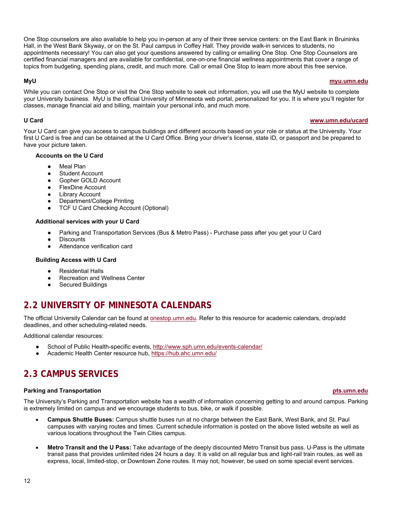One Stop counselors are also available to help you in-person at any of their three service centers: on the East Bank in Bruininks Hall, in the West Bank Skyway, or on the St. Paul campus in Coffey Hall. They provide walk-in services to students, no appointments necessary! You can also get your questions answered by calling or emailing One Stop. One Stop Counselors are certified financial managers and are available for confidential, one-on-one financial wellness appointments that cover a range of topics from budgeting, spending plans, credit, and much more. Call or email One Stop to learn more about this free service.

#### **MyU myu.umn.edu**

While you can contact One Stop or visit the One Stop website to seek out information, you will use the MyU website to complete your University business. MyU is the official University of Minnesota web portal, personalized for you. It is where you'll register for classes, manage financial aid and billing, maintain your personal info, and much more.

#### **U Card www.umn.edu/ucard**

Your U Card can give you access to campus buildings and different accounts based on your role or status at the University. Your first U Card is free and can be obtained at the U Card Office. Bring your driver's license, state ID, or passport and be prepared to have your picture taken.

#### **Accounts on the U Card**

- Meal Plan
- Student Account
- Gopher GOLD Account
- FlexDine Account
- Library Account
- Department/College Printing
- **TCF U Card Checking Account (Optional)**

#### **Additional services with your U Card**

- Parking and Transportation Services (Bus & Metro Pass) Purchase pass after you get your U Card
- **Discounts**
- Attendance verification card

#### **Building Access with U Card**

- Residential Halls
- **Recreation and Wellness Center**
- Secured Buildings

## **2.2 UNIVERSITY OF MINNESOTA CALENDARS**

The official University Calendar can be found at onestop.umn.edu. Refer to this resource for academic calendars, drop/add deadlines, and other scheduling-related needs.

Additional calendar resources:

- School of Public Health-specific events, http://www.sph.umn.edu/events-calendar/
- Academic Health Center resource hub, https://hub.ahc.umn.edu/

## **2.3 CAMPUS SERVICES**

#### **Parking and Transportation pts.umn.edu**

The University's Parking and Transportation website has a wealth of information concerning getting to and around campus. Parking is extremely limited on campus and we encourage students to bus, bike, or walk if possible.

- **Campus Shuttle Buses:** Campus shuttle buses run at no charge between the East Bank, West Bank, and St. Paul campuses with varying routes and times. Current schedule information is posted on the above listed website as well as various locations throughout the Twin Cities campus.
- **Metro Transit and the U Pass:** Take advantage of the deeply discounted Metro Transit bus pass. U-Pass is the ultimate transit pass that provides unlimited rides 24 hours a day. It is valid on all regular bus and light-rail train routes, as well as express, local, limited-stop, or Downtown Zone routes. It may not, however, be used on some special event services.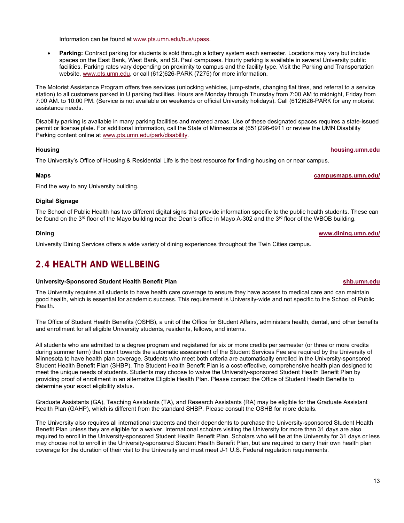spaces on the East Bank, West Bank, and St. Paul campuses. Hourly parking is available in several University public

facilities. Parking rates vary depending on proximity to campus and the facility type. Visit the Parking and Transportation website, www.pts.umn.edu, or call (612)626-PARK (7275) for more information.

The Motorist Assistance Program offers free services (unlocking vehicles, jump-starts, changing flat tires, and referral to a service station) to all customers parked in U parking facilities. Hours are Monday through Thursday from 7:00 AM to midnight, Friday from 7:00 AM. to 10:00 PM. (Service is not available on weekends or official University holidays). Call (612)626-PARK for any motorist assistance needs.

**Parking:** Contract parking for students is sold through a lottery system each semester. Locations may vary but include

Disability parking is available in many parking facilities and metered areas. Use of these designated spaces requires a state-issued permit or license plate. For additional information, call the State of Minnesota at (651)296-6911 or review the UMN Disability Parking content online at www.pts.umn.edu/park/disability.

The University's Office of Housing & Residential Life is the best resource for finding housing on or near campus.

#### **Maps campusmaps.umn.edu/**

Find the way to any University building.

### **Digital Signage**

The School of Public Health has two different digital signs that provide information specific to the public health students. These can be found on the 3<sup>rd</sup> floor of the Mayo building near the Dean's office in Mayo A-302 and the 3<sup>rd</sup> floor of the WBOB building.

### **Dining www.dining.umn.edu/**

University Dining Services offers a wide variety of dining experiences throughout the Twin Cities campus.

## **2.4 HEALTH AND WELLBEING**

#### **University-Sponsored Student Health Benefit Plan shb.umn.edu**

The University requires all students to have health care coverage to ensure they have access to medical care and can maintain good health, which is essential for academic success. This requirement is University-wide and not specific to the School of Public Health.

The Office of Student Health Benefits (OSHB), a unit of the Office for Student Affairs, administers health, dental, and other benefits and enrollment for all eligible University students, residents, fellows, and interns.

All students who are admitted to a degree program and registered for six or more credits per semester (or three or more credits during summer term) that count towards the automatic assessment of the Student Services Fee are required by the University of Minnesota to have health plan coverage. Students who meet both criteria are automatically enrolled in the University-sponsored Student Health Benefit Plan (SHBP). The Student Health Benefit Plan is a cost-effective, comprehensive health plan designed to meet the unique needs of students. Students may choose to waive the University-sponsored Student Health Benefit Plan by providing proof of enrollment in an alternative Eligible Health Plan. Please contact the Office of Student Health Benefits to determine your exact eligibility status.

Graduate Assistants (GA), Teaching Assistants (TA), and Research Assistants (RA) may be eligible for the Graduate Assistant Health Plan (GAHP), which is different from the standard SHBP. Please consult the OSHB for more details.

The University also requires all international students and their dependents to purchase the University-sponsored Student Health Benefit Plan unless they are eligible for a waiver. International scholars visiting the University for more than 31 days are also required to enroll in the University-sponsored Student Health Benefit Plan. Scholars who will be at the University for 31 days or less may choose not to enroll in the University-sponsored Student Health Benefit Plan, but are required to carry their own health plan coverage for the duration of their visit to the University and must meet J-1 U.S. Federal regulation requirements.

13

**Housing housing.umn.edu**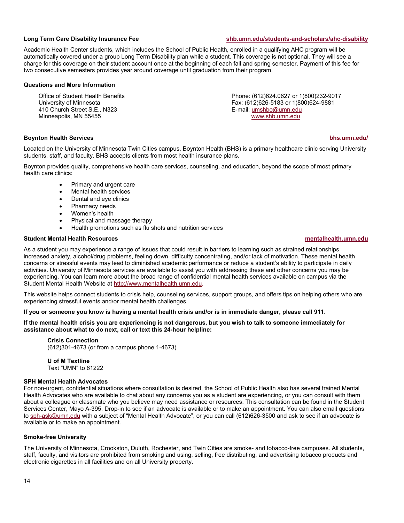**Long Term Care Disability Insurance Fee shb.umn.edu/students-and-scholars/ahc-disability**

Academic Health Center students, which includes the School of Public Health, enrolled in a qualifying AHC program will be automatically covered under a group Long Term Disability plan while a student. This coverage is not optional. They will see a charge for this coverage on their student account once at the beginning of each fall and spring semester. Payment of this fee for two consecutive semesters provides year around coverage until graduation from their program.

#### **Questions and More Information**

Office of Student Health Benefits University of Minnesota 410 Church Street S.E., N323 Minneapolis, MN 55455

Phone: (612)624.0627 or 1(800)232-9017 Fax: (612)626-5183 or 1(800)624-9881 E-mail: umshbo@umn.edu www.shb.umn.edu

#### **Boynton Health Services bhs.umn.edu/**

Located on the University of Minnesota Twin Cities campus, Boynton Health (BHS) is a primary healthcare clinic serving University students, staff, and faculty. BHS accepts clients from most health insurance plans.

Boynton provides quality, comprehensive health care services, counseling, and education, beyond the scope of most primary health care clinics:

- Primary and urgent care
- Mental health services
- Dental and eye clinics
- Pharmacy needs
- Women's health
- Physical and massage therapy
- Health promotions such as flu shots and nutrition services

#### **Student Mental Health Resources mentalhealth.umn.edu**

As a student you may experience a range of issues that could result in barriers to learning such as strained relationships, increased anxiety, alcohol/drug problems, feeling down, difficulty concentrating, and/or lack of motivation. These mental health concerns or stressful events may lead to diminished academic performance or reduce a student's ability to participate in daily activities. University of Minnesota services are available to assist you with addressing these and other concerns you may be experiencing. You can learn more about the broad range of confidential mental health services available on campus via the Student Mental Health Website at http://www.mentalhealth.umn.edu.

This website helps connect students to crisis help, counseling services, support groups, and offers tips on helping others who are experiencing stressful events and/or mental health challenges.

#### **If you or someone you know is having a mental health crisis and/or is in immediate danger, please call 911.**

**If the mental health crisis you are experiencing is not dangerous, but you wish to talk to someone immediately for assistance about what to do next, call or text this 24-hour helpline:** 

#### **Crisis Connection**

(612)301-4673 (or from a campus phone 1-4673)

**U of M Textline**  Text "UMN" to 61222

#### **SPH Mental Health Advocates**

For non-urgent, confidential situations where consultation is desired, the School of Public Health also has several trained Mental Health Advocates who are available to chat about any concerns you as a student are experiencing, or you can consult with them about a colleague or classmate who you believe may need assistance or resources. This consultation can be found in the Student Services Center, Mayo A-395. Drop-in to see if an advocate is available or to make an appointment. You can also email questions to sph-ask@umn.edu with a subject of "Mental Health Advocate", or you can call (612)626-3500 and ask to see if an advocate is available or to make an appointment.

#### **Smoke-free University**

The University of Minnesota, Crookston, Duluth, Rochester, and Twin Cities are smoke- and tobacco-free campuses. All students, staff, faculty, and visitors are prohibited from smoking and using, selling, free distributing, and advertising tobacco products and electronic cigarettes in all facilities and on all University property.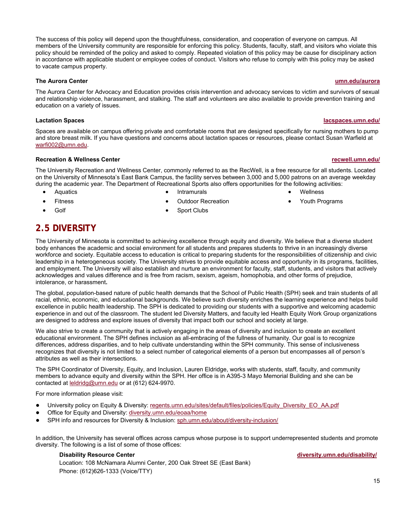The success of this policy will depend upon the thoughtfulness, consideration, and cooperation of everyone on campus. All members of the University community are responsible for enforcing this policy. Students, faculty, staff, and visitors who violate this policy should be reminded of the policy and asked to comply. Repeated violation of this policy may be cause for disciplinary action in accordance with applicable student or employee codes of conduct. Visitors who refuse to comply with this policy may be asked to vacate campus property.

#### **The Aurora Center umn.edu/aurora**

The Aurora Center for Advocacy and Education provides crisis intervention and advocacy services to victim and survivors of sexual and relationship violence, harassment, and stalking. The staff and volunteers are also available to provide prevention training and education on a variety of issues.

### **Lactation Spaces lacspaces.umn.edu/**

Spaces are available on campus offering private and comfortable rooms that are designed specifically for nursing mothers to pump and store breast milk. If you have questions and concerns about lactation spaces or resources, please contact Susan Warfield at warfi002@umn.edu.

### **Recreation & Wellness Center recwell.umn.edu/**

The University Recreation and Wellness Center, commonly referred to as the RecWell, is a free resource for all students. Located on the University of Minnesota's East Bank Campus, the facility serves between 3,000 and 5,000 patrons on an average weekday during the academic year. The Department of Recreational Sports also offers opportunities for the following activities:

Outdoor Recreation

• Aquatics

Intramurals

- Wellness
- 

 Fitness Golf

Sport Clubs

**2.5 DIVERSITY** 

The University of Minnesota is committed to achieving excellence through equity and diversity. We believe that a diverse student body enhances the academic and social environment for all students and prepares students to thrive in an increasingly diverse workforce and society. Equitable access to education is critical to preparing students for the responsibilities of citizenship and civic leadership in a heterogeneous society. The University strives to provide equitable access and opportunity in its programs, facilities, and employment. The University will also establish and nurture an environment for faculty, staff, students, and visitors that actively acknowledges and values difference and is free from racism, sexism, ageism, homophobia, and other forms of prejudice, intolerance, or harassment**.**

The global, population-based nature of public health demands that the School of Public Health (SPH) seek and train students of all racial, ethnic, economic, and educational backgrounds. We believe such diversity enriches the learning experience and helps build excellence in public health leadership. The SPH is dedicated to providing our students with a supportive and welcoming academic experience in and out of the classroom. The student led Diversity Matters, and faculty led Health Equity Work Group organizations are designed to address and explore issues of diversity that impact both our school and society at large.

We also strive to create a community that is actively engaging in the areas of diversity and inclusion to create an excellent educational environment. The SPH defines inclusion as all-embracing of the fullness of humanity. Our goal is to recognize differences, address disparities, and to help cultivate understanding within the SPH community. This sense of inclusiveness recognizes that diversity is not limited to a select number of categorical elements of a person but encompasses all of person's attributes as well as their intersections.

The SPH Coordinator of Diversity, Equity, and Inclusion, Lauren Eldridge, works with students, staff, faculty, and community members to advance equity and diversity within the SPH. Her office is in A395-3 Mayo Memorial Building and she can be contacted at leldridg@umn.edu or at (612) 624-9970.

For more information please visit:

- University policy on Equity & Diversity: regents.umn.edu/sites/default/files/policies/Equity\_Diversity\_EO\_AA.pdf
- Office for Equity and Diversity: diversity.umn.edu/eoaa/home
- SPH info and resources for Diversity & Inclusion: sph.umn.edu/about/diversity-inclusion/

In addition, the University has several offices across campus whose purpose is to support underrepresented students and promote diversity. The following is a list of some of those offices:

Location: 108 McNamara Alumni Center, 200 Oak Street SE (East Bank) Phone: (612)626-1333 (Voice/TTY)

**Disability Resource Center diversity.umn.edu/disability/**

- - Youth Programs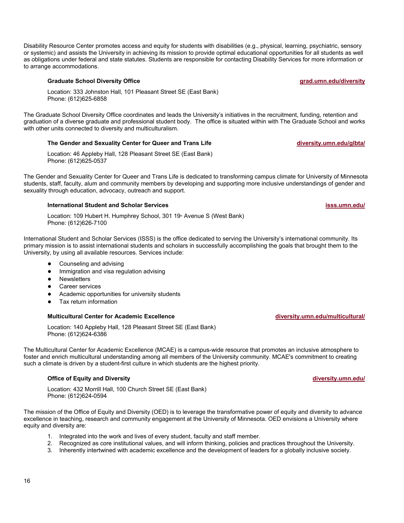Disability Resource Center promotes access and equity for students with disabilities (e.g., physical, learning, psychiatric, sensory or systemic) and assists the University in achieving its mission to provide optimal educational opportunities for all students as well as obligations under federal and state statutes. Students are responsible for contacting Disability Services for more information or to arrange accommodations.

#### **Graduate School Diversity Office grade.under and a set of the grade grad.umn.edu/diversity**

Location: 333 Johnston Hall, 101 Pleasant Street SE (East Bank) Phone: (612)625-6858

The Graduate School Diversity Office coordinates and leads the University's initiatives in the recruitment, funding, retention and graduation of a diverse graduate and professional student body. The office is situated within with The Graduate School and works with other units connected to diversity and multiculturalism.

#### **The Gender and Sexuality Center for Queer and Trans Life diversity.umn.edu/glbta/**

Location: 46 Appleby Hall, 128 Pleasant Street SE (East Bank) Phone: (612)625-0537

The Gender and Sexuality Center for Queer and Trans Life is dedicated to transforming campus climate for University of Minnesota students, staff, faculty, alum and community members by developing and supporting more inclusive understandings of gender and sexuality through education, advocacy, outreach and support.

#### **International Student and Scholar Services isss.umn.edu/**

Location: 109 Hubert H. Humphrey School, 301 19<sup>th</sup> Avenue S (West Bank) Phone: (612)626-7100

International Student and Scholar Services (ISSS) is the office dedicated to serving the University's international community. Its primary mission is to assist international students and scholars in successfully accomplishing the goals that brought them to the University, by using all available resources. Services include:

- Counseling and advising
- Immigration and visa regulation advising
- Newsletters
- Career services
- Academic opportunities for university students
- Tax return information

### **Multicultural Center for Academic Excellence diversity.umn.edu/multicultural/**

Location: 140 Appleby Hall, 128 Pleasant Street SE (East Bank) Phone: (612)624-6386

The Multicultural Center for Academic Excellence (MCAE) is a campus-wide resource that promotes an inclusive atmosphere to foster and enrich multicultural understanding among all members of the University community. MCAE's commitment to creating such a climate is driven by a student-first culture in which students are the highest priority.

#### **Office of Equity and Diversity diversity diversity.umn.edu/ office of Equity and Diversity.umn.edu/**

Location: 432 Morrill Hall, 100 Church Street SE (East Bank) Phone: (612)624-0594

The mission of the Office of Equity and Diversity (OED) is to leverage the transformative power of equity and diversity to advance excellence in teaching, research and community engagement at the University of Minnesota. OED envisions a University where equity and diversity are:

- 1. Integrated into the work and lives of every student, faculty and staff member.
- 2. Recognized as core institutional values, and will inform thinking, policies and practices throughout the University.
- 3. Inherently intertwined with academic excellence and the development of leaders for a globally inclusive society.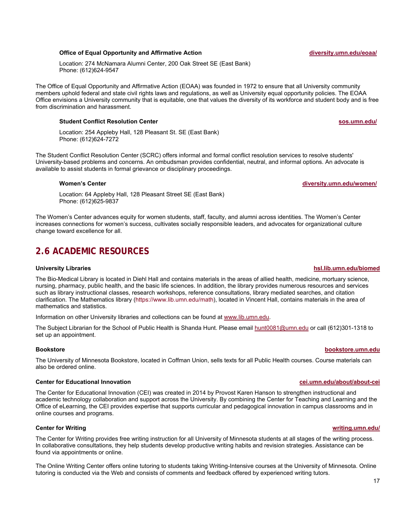#### **Office of Equal Opportunity and Affirmative Action diversity.umn.edu/eoaa/**

Location: 274 McNamara Alumni Center, 200 Oak Street SE (East Bank) Phone: (612)624-9547

The Office of Equal Opportunity and Affirmative Action (EOAA) was founded in 1972 to ensure that all University community members uphold federal and state civil rights laws and regulations, as well as University equal opportunity policies. The EOAA Office envisions a University community that is equitable, one that values the diversity of its workforce and student body and is free from discrimination and harassment.

#### **Student Conflict Resolution Center sos.umn.edu/**

Location: 254 Appleby Hall, 128 Pleasant St. SE (East Bank) Phone: (612)624-7272

The Student Conflict Resolution Center (SCRC) offers informal and formal conflict resolution services to resolve students' University-based problems and concerns. An ombudsman provides confidential, neutral, and informal options. An advocate is available to assist students in formal grievance or disciplinary proceedings.

#### **Women's Center diversity.umn.edu/women/**

Location: 64 Appleby Hall, 128 Pleasant Street SE (East Bank) Phone: (612)625-9837

The Women's Center advances equity for women students, staff, faculty, and alumni across identities. The Women's Center increases connections for women's success, cultivates socially responsible leaders, and advocates for organizational culture change toward excellence for all.

## **2.6 ACADEMIC RESOURCES**

The Bio-Medical Library is located in Diehl Hall and contains materials in the areas of allied health, medicine, mortuary science, nursing, pharmacy, public health, and the basic life sciences. In addition, the library provides numerous resources and services such as library instructional classes, research workshops, reference consultations, library mediated searches, and citation clarification. The Mathematics library (https://www.lib.umn.edu/math), located in Vincent Hall, contains materials in the area of mathematics and statistics.

Information on other University libraries and collections can be found at www.lib.umn.edu.

The Subject Librarian for the School of Public Health is Shanda Hunt. Please email hunt0081@umn.edu or call (612)301-1318 to set up an appointment.

#### **Bookstore bookstore.umn.edu**

The University of Minnesota Bookstore, located in Coffman Union, sells texts for all Public Health courses. Course materials can also be ordered online.

#### **Center for Educational Innovation cei.umn.edu/about/about-cei**

The Center for Educational Innovation (CEI) was created in 2014 by Provost Karen Hanson to strengthen instructional and academic technology collaboration and support across the University. By combining the Center for Teaching and Learning and the Office of eLearning, the CEI provides expertise that supports curricular and pedagogical innovation in campus classrooms and in online courses and programs.

### **Center for Writing writing.umn.edu/**

The Center for Writing provides free writing instruction for all University of Minnesota students at all stages of the writing process. In collaborative consultations, they help students develop productive writing habits and revision strategies. Assistance can be found via appointments or online.

The Online Writing Center offers online tutoring to students taking Writing-Intensive courses at the University of Minnesota. Online tutoring is conducted via the Web and consists of comments and feedback offered by experienced writing tutors.

#### **University Libraries hsl.lib.umn.edu/biomed**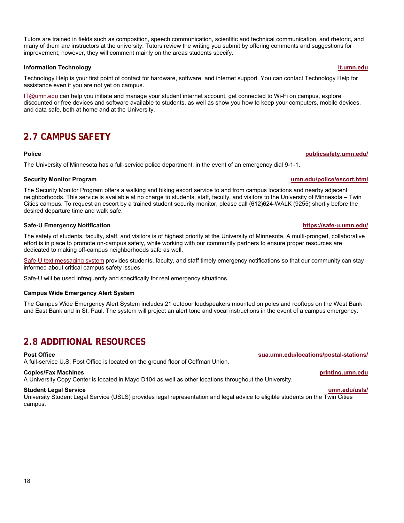Tutors are trained in fields such as composition, speech communication, scientific and technical communication, and rhetoric, and many of them are instructors at the university. Tutors review the writing you submit by offering comments and suggestions for improvement; however, they will comment mainly on the areas students specify.

#### **Information Technology it.umn.edu**

Technology Help is your first point of contact for hardware, software, and internet support. You can contact Technology Help for assistance even if you are not yet on campus.

IT@umn.edu can help you initiate and manage your student internet account, get connected to Wi-Fi on campus, explore discounted or free devices and software available to students, as well as show you how to keep your computers, mobile devices, and data safe, both at home and at the University.

## **2.7 CAMPUS SAFETY**

#### **Police publicsafety.umn.edu/**

The University of Minnesota has a full-service police department; in the event of an emergency dial 9-1-1.

### **Security Monitor Program umn.edu/police/escort.html**

The Security Monitor Program offers a walking and biking escort service to and from campus locations and nearby adjacent neighborhoods. This service is available at no charge to students, staff, faculty, and visitors to the University of Minnesota – Twin Cities campus. To request an escort by a trained student security monitor, please call (612)624-WALK (9255) shortly before the desired departure time and walk safe.

### **Safe-U Emergency Notification https://safe-u.umn.edu/**

The safety of students, faculty, staff, and visitors is of highest priority at the University of Minnesota. A multi-pronged, collaborative effort is in place to promote on-campus safety, while working with our community partners to ensure proper resources are dedicated to making off-campus neighborhoods safe as well.

Safe-U text messaging system provides students, faculty, and staff timely emergency notifications so that our community can stay informed about critical campus safety issues.

Safe-U will be used infrequently and specifically for real emergency situations.

#### **Campus Wide Emergency Alert System**

The Campus Wide Emergency Alert System includes 21 outdoor loudspeakers mounted on poles and rooftops on the West Bank and East Bank and in St. Paul. The system will project an alert tone and vocal instructions in the event of a campus emergency.

## **2.8 ADDITIONAL RESOURCES**

A full-service U.S. Post Office is located on the ground floor of Coffman Union.

#### **Copies/Fax Machines printing.umn.edu**

A University Copy Center is located in Mayo D104 as well as other locations throughout the University.

#### **Student Legal Service umn.edu/usls/**

University Student Legal Service (USLS) provides legal representation and legal advice to eligible students on the Twin Cities campus.

**Post Office sua.umn.edu/locations/postal-stations/**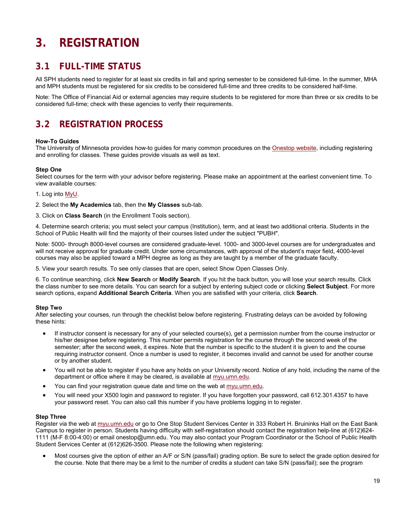## **3. REGISTRATION**

## **3.1 FULL-TIME STATUS**

All SPH students need to register for at least six credits in fall and spring semester to be considered full-time. In the summer, MHA and MPH students must be registered for six credits to be considered full-time and three credits to be considered half-time.

Note: The Office of Financial Aid or external agencies may require students to be registered for more than three or six credits to be considered full-time; check with these agencies to verify their requirements.

## **3.2 REGISTRATION PROCESS**

#### **How-To Guides**

The University of Minnesota provides how-to guides for many common procedures on the Onestop website, including registering and enrolling for classes. These guides provide visuals as well as text.

### **Step One**

Select courses for the term with your advisor before registering. Please make an appointment at the earliest convenient time. To view available courses:

1. Log into MyU.

- 2. Select the **My Academics** tab, then the **My Classes** sub-tab.
- 3. Click on **Class Search** (in the Enrollment Tools section).

4. Determine search criteria; you must select your campus (Institution), term, and at least two additional criteria. Students in the School of Public Health will find the majority of their courses listed under the subject "PUBH".

Note: 5000- through 8000-level courses are considered graduate-level. 1000- and 3000-level courses are for undergraduates and will not receive approval for graduate credit. Under some circumstances, with approval of the student's major field, 4000-level courses may also be applied toward a MPH degree as long as they are taught by a member of the graduate faculty.

5. View your search results. To see only classes that are open, select Show Open Classes Only.

6. To continue searching, click **New Search** or **Modify Search**. If you hit the back button, you will lose your search results. Click the class number to see more details. You can search for a subject by entering subject code or clicking **Select Subject**. For more search options, expand **Additional Search Criteria**. When you are satisfied with your criteria, click **Search**.

#### **Step Two**

After selecting your courses, run through the checklist below before registering. Frustrating delays can be avoided by following these hints:

- If instructor consent is necessary for any of your selected course(s), get a permission number from the course instructor or his/her designee before registering. This number permits registration for the course through the second week of the semester; after the second week, it expires. Note that the number is specific to the student it is given to and the course requiring instructor consent. Once a number is used to register, it becomes invalid and cannot be used for another course or by another student.
- You will not be able to register if you have any holds on your University record. Notice of any hold, including the name of the department or office where it may be cleared, is available at myu.umn.edu.
- You can find your registration queue date and time on the web at myu.umn.edu.
- You will need your X500 login and password to register. If you have forgotten your password, call 612.301.4357 to have your password reset. You can also call this number if you have problems logging in to register.

#### **Step Three**

Register via the web at myu.umn.edu or go to One Stop Student Services Center in 333 Robert H. Bruininks Hall on the East Bank Campus to register in person. Students having difficulty with self-registration should contact the registration help-line at (612)624- 1111 (M-F 8:00-4:00) or email onestop@umn.edu. You may also contact your Program Coordinator or the School of Public Health Student Services Center at (612)626-3500. Please note the following when registering:

 Most courses give the option of either an A/F or S/N (pass/fail) grading option. Be sure to select the grade option desired for the course. Note that there may be a limit to the number of credits a student can take S/N (pass/fail); see the program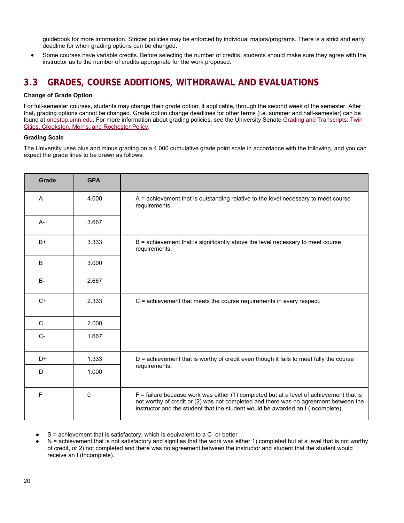guidebook for more information. Stricter policies may be enforced by individual majors/programs. There is a strict and early deadline for when grading options can be changed.

 Some courses have variable credits. Before selecting the number of credits, students should make sure they agree with the instructor as to the number of credits appropriate for the work proposed.

## **3.3 GRADES, COURSE ADDITIONS, WITHDRAWAL AND EVALUATIONS**

#### **Change of Grade Option**

For full-semester courses, students may change their grade option, if applicable, through the second week of the semester. After that, grading options cannot be changed. Grade option change deadlines for other terms (i.e. summer and half-semester) can be found at onestop.umn.edu. For more information about grading policies, see the University Senate Grading and Transcripts: Twin Cities, Crookston, Morris, and Rochester Policy.

#### **Grading Scale**

The University uses plus and minus grading on a 4.000 cumulative grade point scale in accordance with the following, and you can expect the grade lines to be drawn as follows:

| Grade     | <b>GPA</b> |                                                                                                                                                                                                                                                                      |  |
|-----------|------------|----------------------------------------------------------------------------------------------------------------------------------------------------------------------------------------------------------------------------------------------------------------------|--|
| A         | 4.000      | A = achievement that is outstanding relative to the level necessary to meet course<br>requirements.                                                                                                                                                                  |  |
| A-        | 3.667      |                                                                                                                                                                                                                                                                      |  |
| $B+$      | 3.333      | $B =$ achievement that is significantly above the level necessary to meet course<br>requirements.                                                                                                                                                                    |  |
| B         | 3.000      |                                                                                                                                                                                                                                                                      |  |
| <b>B-</b> | 2.667      |                                                                                                                                                                                                                                                                      |  |
| $C+$      | 2.333      | $C$ = achievement that meets the course requirements in every respect.                                                                                                                                                                                               |  |
| C         | 2.000      |                                                                                                                                                                                                                                                                      |  |
| $C-$      | 1.667      |                                                                                                                                                                                                                                                                      |  |
| D+        | 1.333      | $D$ = achievement that is worthy of credit even though it fails to meet fully the course                                                                                                                                                                             |  |
| D         | 1.000      | requirements.                                                                                                                                                                                                                                                        |  |
| F         | 0          | $F =$ failure because work was either (1) completed but at a level of achievement that is<br>not worthy of credit or (2) was not completed and there was no agreement between the<br>instructor and the student that the student would be awarded an I (Incomplete). |  |

 $S$  = achievement that is satisfactory, which is equivalent to a  $C$ - or better

 $N =$  achievement that is not satisfactory and signifies that the work was either 1) completed but at a level that is not worthy of credit, or 2) not completed and there was no agreement between the instructor and student that the student would receive an I (Incomplete).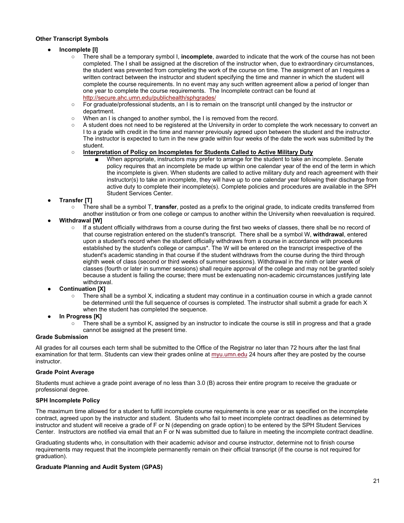#### **Other Transcript Symbols**

### ● **Incomplete [I]**

- There shall be a temporary symbol I, **incomplete**, awarded to indicate that the work of the course has not been completed. The I shall be assigned at the discretion of the instructor when, due to extraordinary circumstances, the student was prevented from completing the work of the course on time. The assignment of an I requires a written contract between the instructor and student specifying the time and manner in which the student will complete the course requirements. In no event may any such written agreement allow a period of longer than one year to complete the course requirements. The Incomplete contract can be found at http://secure.ahc.umn.edu/publichealth/sphgrades/
- For graduate/professional students, an I is to remain on the transcript until changed by the instructor or department.
- When an I is changed to another symbol, the I is removed from the record.
- A student does not need to be registered at the University in order to complete the work necessary to convert an I to a grade with credit in the time and manner previously agreed upon between the student and the instructor. The instructor is expected to turn in the new grade within four weeks of the date the work was submitted by the student.
- o **Interpretation of Policy on Incompletes for Students Called to Active Military Duty** 
	- When appropriate, instructors may prefer to arrange for the student to take an incomplete. Senate policy requires that an incomplete be made up within one calendar year of the end of the term in which the incomplete is given. When students are called to active military duty and reach agreement with their instructor(s) to take an incomplete, they will have up to one calendar year following their discharge from active duty to complete their incomplete(s). Complete policies and procedures are available in the SPH Student Services Center.

### ● **Transfer [T]**

- There shall be a symbol T, **transfer**, posted as a prefix to the original grade, to indicate credits transferred from another institution or from one college or campus to another within the University when reevaluation is required.
- **Withdrawal [W]** 
	- If a student officially withdraws from a course during the first two weeks of classes, there shall be no record of that course registration entered on the student's transcript. There shall be a symbol W, **withdrawal**, entered upon a student's record when the student officially withdraws from a course in accordance with procedures established by the student's college or campus\*. The W will be entered on the transcript irrespective of the student's academic standing in that course if the student withdraws from the course during the third through eighth week of class (second or third weeks of summer sessions). Withdrawal in the ninth or later week of classes (fourth or later in summer sessions) shall require approval of the college and may not be granted solely because a student is failing the course; there must be extenuating non-academic circumstances justifying late withdrawal.
- **Continuation [X]** 
	- There shall be a symbol X, indicating a student may continue in a continuation course in which a grade cannot be determined until the full sequence of courses is completed. The instructor shall submit a grade for each X when the student has completed the sequence.
- **In Progress [K]** 
	- There shall be a symbol K, assigned by an instructor to indicate the course is still in progress and that a grade cannot be assigned at the present time.

#### **Grade Submission**

All grades for all courses each term shall be submitted to the Office of the Registrar no later than 72 hours after the last final examination for that term. Students can view their grades online at myu.umn.edu 24 hours after they are posted by the course instructor.

### **Grade Point Average**

Students must achieve a grade point average of no less than 3.0 (B) across their entire program to receive the graduate or professional degree.

#### **SPH Incomplete Policy**

The maximum time allowed for a student to fulfill incomplete course requirements is one year or as specified on the incomplete contract, agreed upon by the instructor and student. Students who fail to meet incomplete contract deadlines as determined by instructor and student will receive a grade of F or N (depending on grade option) to be entered by the SPH Student Services Center. Instructors are notified via email that an F or N was submitted due to failure in meeting the incomplete contract deadline.

Graduating students who, in consultation with their academic advisor and course instructor, determine not to finish course requirements may request that the incomplete permanently remain on their official transcript (if the course is not required for graduation).

### **Graduate Planning and Audit System (GPAS)**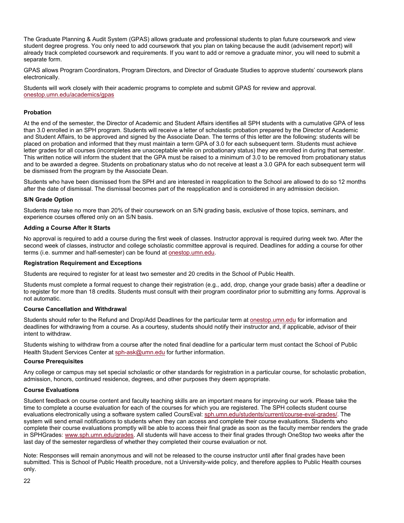The Graduate Planning & Audit System (GPAS) allows graduate and professional students to plan future coursework and view student degree progress. You only need to add coursework that you plan on taking because the audit (advisement report) will already track completed coursework and requirements. If you want to add or remove a graduate minor, you will need to submit a separate form.

GPAS allows Program Coordinators, Program Directors, and Director of Graduate Studies to approve students' coursework plans electronically.

Students will work closely with their academic programs to complete and submit GPAS for review and approval. onestop.umn.edu/academics/gpas

#### **Probation**

At the end of the semester, the Director of Academic and Student Affairs identifies all SPH students with a cumulative GPA of less than 3.0 enrolled in an SPH program. Students will receive a letter of scholastic probation prepared by the Director of Academic and Student Affairs, to be approved and signed by the Associate Dean. The terms of this letter are the following: students will be placed on probation and informed that they must maintain a term GPA of 3.0 for each subsequent term. Students must achieve letter grades for all courses (incompletes are unacceptable while on probationary status) they are enrolled in during that semester. This written notice will inform the student that the GPA must be raised to a minimum of 3.0 to be removed from probationary status and to be awarded a degree. Students on probationary status who do not receive at least a 3.0 GPA for each subsequent term will be dismissed from the program by the Associate Dean.

Students who have been dismissed from the SPH and are interested in reapplication to the School are allowed to do so 12 months after the date of dismissal. The dismissal becomes part of the reapplication and is considered in any admission decision.

#### **S/N Grade Option**

Students may take no more than 20% of their coursework on an S/N grading basis, exclusive of those topics, seminars, and experience courses offered only on an S/N basis.

#### **Adding a Course After It Starts**

No approval is required to add a course during the first week of classes. Instructor approval is required during week two. After the second week of classes, instructor and college scholastic committee approval is required. Deadlines for adding a course for other terms (i.e. summer and half-semester) can be found at onestop.umn.edu.

#### **Registration Requirement and Exceptions**

Students are required to register for at least two semester and 20 credits in the School of Public Health.

Students must complete a formal request to change their registration (e.g., add, drop, change your grade basis) after a deadline or to register for more than 18 credits. Students must consult with their program coordinator prior to submitting any forms. Approval is not automatic.

#### **Course Cancellation and Withdrawal**

Students should refer to the Refund and Drop/Add Deadlines for the particular term at onestop.umn.edu for information and deadlines for withdrawing from a course. As a courtesy, students should notify their instructor and, if applicable, advisor of their intent to withdraw.

Students wishing to withdraw from a course after the noted final deadline for a particular term must contact the School of Public Health Student Services Center at sph-ask@umn.edu for further information.

#### **Course Prerequisites**

Any college or campus may set special scholastic or other standards for registration in a particular course, for scholastic probation, admission, honors, continued residence, degrees, and other purposes they deem appropriate.

#### **Course Evaluations**

Student feedback on course content and faculty teaching skills are an important means for improving our work. Please take the time to complete a course evaluation for each of the courses for which you are registered. The SPH collects student course evaluations electronically using a software system called CoursEval: sph.umn.edu/students/current/course-eval-grades/. The system will send email notifications to students when they can access and complete their course evaluations. Students who complete their course evaluations promptly will be able to access their final grade as soon as the faculty member renders the grade in SPHGrades: www.sph.umn.edu/grades. All students will have access to their final grades through OneStop two weeks after the last day of the semester regardless of whether they completed their course evaluation or not.

Note: Responses will remain anonymous and will not be released to the course instructor until after final grades have been submitted. This is School of Public Health procedure, not a University-wide policy, and therefore applies to Public Health courses only.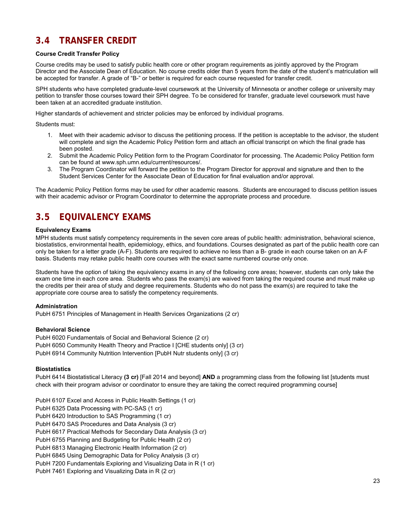## **3.4 TRANSFER CREDIT**

### **Course Credit Transfer Policy**

Course credits may be used to satisfy public health core or other program requirements as jointly approved by the Program Director and the Associate Dean of Education. No course credits older than 5 years from the date of the student's matriculation will be accepted for transfer. A grade of "B-" or better is required for each course requested for transfer credit.

SPH students who have completed graduate-level coursework at the University of Minnesota or another college or university may petition to transfer those courses toward their SPH degree. To be considered for transfer, graduate level coursework must have been taken at an accredited graduate institution.

Higher standards of achievement and stricter policies may be enforced by individual programs.

Students must:

- 1. Meet with their academic advisor to discuss the petitioning process. If the petition is acceptable to the advisor, the student will complete and sign the Academic Policy Petition form and attach an official transcript on which the final grade has been posted.
- 2. Submit the Academic Policy Petition form to the Program Coordinator for processing. The Academic Policy Petition form can be found at www.sph.umn.edu/current/resources/.
- 3. The Program Coordinator will forward the petition to the Program Director for approval and signature and then to the Student Services Center for the Associate Dean of Education for final evaluation and/or approval.

The Academic Policy Petition forms may be used for other academic reasons. Students are encouraged to discuss petition issues with their academic advisor or Program Coordinator to determine the appropriate process and procedure.

## **3.5 EQUIVALENCY EXAMS**

#### **Equivalency Exams**

MPH students must satisfy competency requirements in the seven core areas of public health: administration, behavioral science, biostatistics, environmental health, epidemiology, ethics, and foundations. Courses designated as part of the public health core can only be taken for a letter grade (A-F). Students are required to achieve no less than a B- grade in each course taken on an A-F basis. Students may retake public health core courses with the exact same numbered course only once.

Students have the option of taking the equivalency exams in any of the following core areas; however, students can only take the exam one time in each core area. Students who pass the exam(s) are waived from taking the required course and must make up the credits per their area of study and degree requirements. Students who do not pass the exam(s) are required to take the appropriate core course area to satisfy the competency requirements.

#### **Administration**

PubH 6751 Principles of Management in Health Services Organizations (2 cr)

#### **Behavioral Science**

PubH 6020 Fundamentals of Social and Behavioral Science (2 cr) PubH 6050 Community Health Theory and Practice I [CHE students only] (3 cr) PubH 6914 Community Nutrition Intervention [PubH Nutr students only] (3 cr)

#### **Biostatistics**

PubH 6414 Biostatistical Literacy **(3 cr)** [Fall 2014 and beyond] **AND** a programming class from the following list [students must check with their program advisor or coordinator to ensure they are taking the correct required programming course]

PubH 6107 Excel and Access in Public Health Settings (1 cr)

PubH 6325 Data Processing with PC-SAS (1 cr)

PubH 6420 Introduction to SAS Programming (1 cr)

PubH 6470 SAS Procedures and Data Analysis (3 cr)

PubH 6617 Practical Methods for Secondary Data Analysis (3 cr)

PubH 6755 Planning and Budgeting for Public Health (2 cr)

PubH 6813 Managing Electronic Health Information (2 cr)

PubH 6845 Using Demographic Data for Policy Analysis (3 cr)

PubH 7200 Fundamentals Exploring and Visualizing Data in R (1 cr)

PubH 7461 Exploring and Visualizing Data in R (2 cr)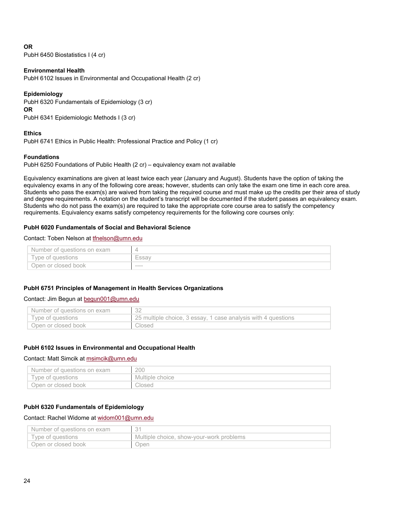### **OR**

PubH 6450 Biostatistics I (4 cr)

### **Environmental Health**

PubH 6102 Issues in Environmental and Occupational Health (2 cr)

### **Epidemiology**

PubH 6320 Fundamentals of Epidemiology (3 cr) **OR** 

PubH 6341 Epidemiologic Methods I (3 cr)

#### **Ethics**

PubH 6741 Ethics in Public Health: Professional Practice and Policy (1 cr)

### **Foundations**

PubH 6250 Foundations of Public Health (2 cr) – equivalency exam not available

Equivalency examinations are given at least twice each year (January and August). Students have the option of taking the equivalency exams in any of the following core areas; however, students can only take the exam one time in each core area. Students who pass the exam(s) are waived from taking the required course and must make up the credits per their area of study and degree requirements. A notation on the student's transcript will be documented if the student passes an equivalency exam. Students who do not pass the exam(s) are required to take the appropriate core course area to satisfy the competency requirements. Equivalency exams satisfy competency requirements for the following core courses only:

### **PubH 6020 Fundamentals of Social and Behavioral Science**

#### Contact: Toben Nelson at tfnelson@umn.edu

| Number of questions on exam |        |
|-----------------------------|--------|
| Type of questions           |        |
| Open or closed book         | ------ |

#### **PubH 6751 Principles of Management in Health Services Organizations**

#### Contact: Jim Begun at begun001@umn.edu

| Number of questions on exam |                                                               |
|-----------------------------|---------------------------------------------------------------|
| Tvpe of questions           | 25 multiple choice, 3 essay, 1 case analysis with 4 questions |
| Open or closed book         | Closed                                                        |

#### **PubH 6102 Issues in Environmental and Occupational Health**

### Contact: Matt Simcik at msimcik@umn.edu

| Number of questions on exam | 200             |
|-----------------------------|-----------------|
| Type of questions           | Multiple choice |
| Open or closed book         | Closed          |

### **PubH 6320 Fundamentals of Epidemiology**

### Contact: Rachel Widome at widom001@umn.edu

| Number of questions on exam |                                          |
|-----------------------------|------------------------------------------|
| Type of questions           | Multiple choice, show-your-work problems |
| Open or closed book         | Open                                     |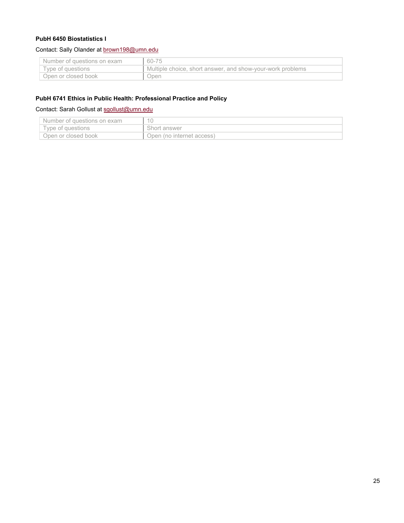### **PubH 6450 Biostatistics I**

### Contact: Sally Olander at brown198@umn.edu

| `Number of questions on exam | 60-75                                                      |
|------------------------------|------------------------------------------------------------|
| l Tvpe of questions          | Multiple choice, short answer, and show-your-work problems |
| Open or closed book          | Open                                                       |

### **PubH 6741 Ethics in Public Health: Professional Practice and Policy**

### Contact: Sarah Gollust at sgollust@umn.edu

| Number of questions on exam |                           |
|-----------------------------|---------------------------|
| Type of questions           | Short answer              |
| Open or closed book         | Open (no internet access) |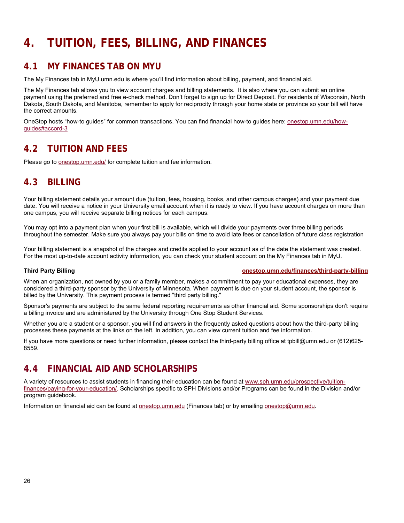## **4. TUITION, FEES, BILLING, AND FINANCES**

## **4.1 MY FINANCES TAB ON MYU**

The My Finances tab in MyU.umn.edu is where you'll find information about billing, payment, and financial aid.

The My Finances tab allows you to view account charges and billing statements. It is also where you can submit an online payment using the preferred and free e-check method. Don't forget to sign up for Direct Deposit. For residents of Wisconsin, North Dakota, South Dakota, and Manitoba, remember to apply for reciprocity through your home state or province so your bill will have the correct amounts.

OneStop hosts "how-to guides" for common transactions. You can find financial how-to guides here: onestop.umn.edu/howguides#accord-3

## **4.2 TUITION AND FEES**

Please go to onestop.umn.edu/ for complete tuition and fee information.

## **4.3 BILLING**

Your billing statement details your amount due (tuition, fees, housing, books, and other campus charges) and your payment due date. You will receive a notice in your University email account when it is ready to view. If you have account charges on more than one campus, you will receive separate billing notices for each campus.

You may opt into a payment plan when your first bill is available, which will divide your payments over three billing periods throughout the semester. Make sure you always pay your bills on time to avoid late fees or cancellation of future class registration

Your billing statement is a snapshot of the charges and credits applied to your account as of the date the statement was created. For the most up-to-date account activity information, you can check your student account on the My Finances tab in MyU.

#### **Third Party Billing onestop.umn.edu/finances/third-party-billing**

When an organization, not owned by you or a family member, makes a commitment to pay your educational expenses, they are considered a third-party sponsor by the University of Minnesota. When payment is due on your student account, the sponsor is billed by the University. This payment process is termed "third party billing."

Sponsor's payments are subject to the same federal reporting requirements as other financial aid. Some sponsorships don't require a billing invoice and are administered by the University through One Stop Student Services.

Whether you are a student or a sponsor, you will find answers in the frequently asked questions about how the third-party billing processes these payments at the links on the left. In addition, you can view current tuition and fee information.

If you have more questions or need further information, please contact the third-party billing office at tpbill@umn.edu or (612)625- 8559.

## **4.4 FINANCIAL AID AND SCHOLARSHIPS**

A variety of resources to assist students in financing their education can be found at www.sph.umn.edu/prospective/tuitionfinances/paying-for-your-education/. Scholarships specific to SPH Divisions and/or Programs can be found in the Division and/or program guidebook.

Information on financial aid can be found at onestop.umn.edu (Finances tab) or by emailing onestop@umn.edu.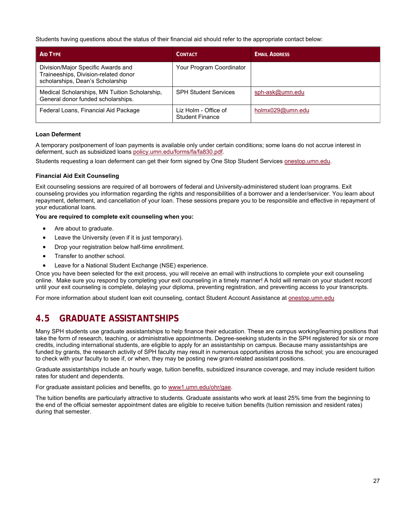Students having questions about the status of their financial aid should refer to the appropriate contact below:

| AID TYPE                                                                                                       | CONTACT                                        | <b>EMAIL ADDRESS</b> |
|----------------------------------------------------------------------------------------------------------------|------------------------------------------------|----------------------|
| Division/Major Specific Awards and<br>Traineeships, Division-related donor<br>scholarships, Dean's Scholarship | Your Program Coordinator                       |                      |
| Medical Scholarships, MN Tuition Scholarship,<br>General donor funded scholarships.                            | <b>SPH Student Services</b>                    | sph-ask@umn.edu      |
| Federal Loans, Financial Aid Package                                                                           | Liz Holm - Office of<br><b>Student Finance</b> | holmx029@umn.edu     |

### **Loan Deferment**

A temporary postponement of loan payments is available only under certain conditions; some loans do not accrue interest in deferment, such as subsidized loans policy.umn.edu/forms/fa/fa830.pdf.

Students requesting a loan deferment can get their form signed by One Stop Student Services onestop.umn.edu.

### **Financial Aid Exit Counseling**

Exit counseling sessions are required of all borrowers of federal and University-administered student loan programs. Exit counseling provides you information regarding the rights and responsibilities of a borrower and a lender/servicer. You learn about repayment, deferment, and cancellation of your loan. These sessions prepare you to be responsible and effective in repayment of your educational loans.

**You are required to complete exit counseling when you:** 

- Are about to graduate.
- Leave the University (even if it is just temporary).
- Drop your registration below half-time enrollment.
- Transfer to another school.
- Leave for a National Student Exchange (NSE) experience.

Once you have been selected for the exit process, you will receive an email with instructions to complete your exit counseling online. Make sure you respond by completing your exit counseling in a timely manner! A hold will remain on your student record until your exit counseling is complete, delaying your diploma, preventing registration, and preventing access to your transcripts.

For more information about student loan exit counseling, contact Student Account Assistance at onestop.umn.edu

## **4.5 GRADUATE ASSISTANTSHIPS**

Many SPH students use graduate assistantships to help finance their education. These are campus working/learning positions that take the form of research, teaching, or administrative appointments. Degree-seeking students in the SPH registered for six or more credits, including international students, are eligible to apply for an assistantship on campus. Because many assistantships are funded by grants, the research activity of SPH faculty may result in numerous opportunities across the school; you are encouraged to check with your faculty to see if, or when, they may be posting new grant-related assistant positions.

Graduate assistantships include an hourly wage, tuition benefits, subsidized insurance coverage, and may include resident tuition rates for student and dependents.

For graduate assistant policies and benefits, go to www1.umn.edu/ohr/gae.

The tuition benefits are particularly attractive to students. Graduate assistants who work at least 25% time from the beginning to the end of the official semester appointment dates are eligible to receive tuition benefits (tuition remission and resident rates) during that semester.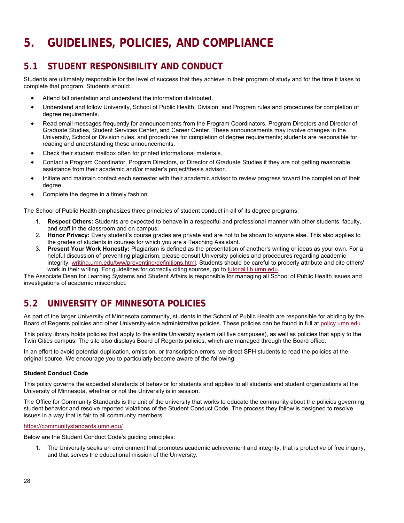## **5. GUIDELINES, POLICIES, AND COMPLIANCE**

## **5.1 STUDENT RESPONSIBILITY AND CONDUCT**

Students are ultimately responsible for the level of success that they achieve in their program of study and for the time it takes to complete that program. Students should:

- Attend fall orientation and understand the information distributed.
- Understand and follow University, School of Public Health, Division, and Program rules and procedures for completion of degree requirements.
- Read email messages frequently for announcements from the Program Coordinators, Program Directors and Director of Graduate Studies, Student Services Center, and Career Center. These announcements may involve changes in the University, School or Division rules, and procedures for completion of degree requirements; students are responsible for reading and understanding these announcements.
- Check their student mailbox often for printed informational materials.
- Contact a Program Coordinator, Program Directors, or Director of Graduate Studies if they are not getting reasonable assistance from their academic and/or master's project/thesis advisor.
- Initiate and maintain contact each semester with their academic advisor to review progress toward the completion of their degree.
- Complete the degree in a timely fashion.

The School of Public Health emphasizes three principles of student conduct in all of its degree programs:

- 1. **Respect Others:** Students are expected to behave in a respectful and professional manner with other students, faculty, and staff in the classroom and on campus.
- 2. **Honor Privacy:** Every student's course grades are private and are not to be shown to anyone else. This also applies to the grades of students in courses for which you are a Teaching Assistant.
- 3. **Present Your Work Honestly:** Plagiarism is defined as the presentation of another's writing or ideas as your own. For a helpful discussion of preventing plagiarism, please consult University policies and procedures regarding academic integrity: writing.umn.edu/tww/preventing/definitions.html. Students should be careful to properly attribute and cite others' work in their writing. For guidelines for correctly citing sources, go to tutorial.lib.umn.edu.

The Associate Dean for Learning Systems and Student Affairs is responsible for managing all School of Public Health issues and investigations of academic misconduct.

## **5.2 UNIVERSITY OF MINNESOTA POLICIES**

As part of the larger University of Minnesota community, students in the School of Public Health are responsible for abiding by the Board of Regents policies and other University-wide administrative policies. These policies can be found in full at policy.umn.edu.

This policy library holds policies that apply to the entire University system (all five campuses), as well as policies that apply to the Twin Cities campus. The site also displays Board of Regents policies, which are managed through the Board office.

In an effort to avoid potential duplication, omission, or transcription errors, we direct SPH students to read the policies at the original source. We encourage you to particularly become aware of the following:

### **Student Conduct Code**

This policy governs the expected standards of behavior for students and applies to all students and student organizations at the University of Minnesota, whether or not the University is in session.

The Office for Community Standards is the unit of the university that works to educate the community about the policies governing student behavior and resolve reported violations of the Student Conduct Code. The process they follow is designed to resolve issues in a way that is fair to all community members.

#### https://communitystandards.umn.edu/

Below are the Student Conduct Code's guiding principles:

1. The University seeks an environment that promotes academic achievement and integrity, that is protective of free inquiry, and that serves the educational mission of the University.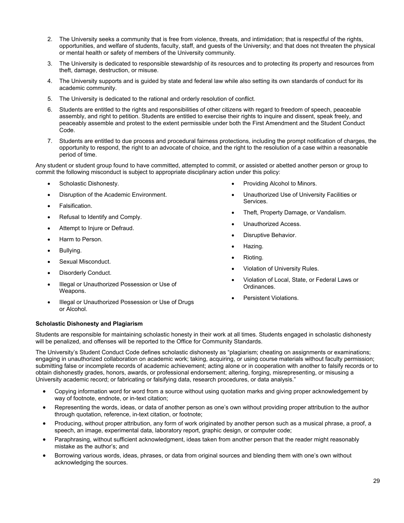- 2. The University seeks a community that is free from violence, threats, and intimidation; that is respectful of the rights, opportunities, and welfare of students, faculty, staff, and guests of the University; and that does not threaten the physical or mental health or safety of members of the University community.
- 3. The University is dedicated to responsible stewardship of its resources and to protecting its property and resources from theft, damage, destruction, or misuse.
- 4. The University supports and is guided by state and federal law while also setting its own standards of conduct for its academic community.
- 5. The University is dedicated to the rational and orderly resolution of conflict.
- 6. Students are entitled to the rights and responsibilities of other citizens with regard to freedom of speech, peaceable assembly, and right to petition. Students are entitled to exercise their rights to inquire and dissent, speak freely, and peaceably assemble and protest to the extent permissible under both the First Amendment and the Student Conduct Code.
- 7. Students are entitled to due process and procedural fairness protections, including the prompt notification of charges, the opportunity to respond, the right to an advocate of choice, and the right to the resolution of a case within a reasonable period of time.

Any student or student group found to have committed, attempted to commit, or assisted or abetted another person or group to commit the following misconduct is subject to appropriate disciplinary action under this policy:

- Scholastic Dishonesty.
- Disruption of the Academic Environment.
- Falsification.
- Refusal to Identify and Comply.
- Attempt to Injure or Defraud.
- Harm to Person.
- Bullying.
- Sexual Misconduct.
- Disorderly Conduct.
- Illegal or Unauthorized Possession or Use of Weapons.
- Illegal or Unauthorized Possession or Use of Drugs or Alcohol.
- Providing Alcohol to Minors.
- Unauthorized Use of University Facilities or Services.
- Theft, Property Damage, or Vandalism.
- Unauthorized Access.
- Disruptive Behavior.
- Hazing.
- Rioting.
- Violation of University Rules.
- Violation of Local, State, or Federal Laws or Ordinances.
- Persistent Violations.

### **Scholastic Dishonesty and Plagiarism**

Students are responsible for maintaining scholastic honesty in their work at all times. Students engaged in scholastic dishonesty will be penalized, and offenses will be reported to the Office for Community Standards.

The University's Student Conduct Code defines scholastic dishonesty as "plagiarism; cheating on assignments or examinations; engaging in unauthorized collaboration on academic work; taking, acquiring, or using course materials without faculty permission; submitting false or incomplete records of academic achievement; acting alone or in cooperation with another to falsify records or to obtain dishonestly grades, honors, awards, or professional endorsement; altering, forging, misrepresenting, or misusing a University academic record; or fabricating or falsifying data, research procedures, or data analysis."

- Copying information word for word from a source without using quotation marks and giving proper acknowledgement by way of footnote, endnote, or in-text citation;
- Representing the words, ideas, or data of another person as one's own without providing proper attribution to the author through quotation, reference, in-text citation, or footnote;
- Producing, without proper attribution, any form of work originated by another person such as a musical phrase, a proof, a speech, an image, experimental data, laboratory report, graphic design, or computer code;
- Paraphrasing, without sufficient acknowledgment, ideas taken from another person that the reader might reasonably mistake as the author's; and
- Borrowing various words, ideas, phrases, or data from original sources and blending them with one's own without acknowledging the sources.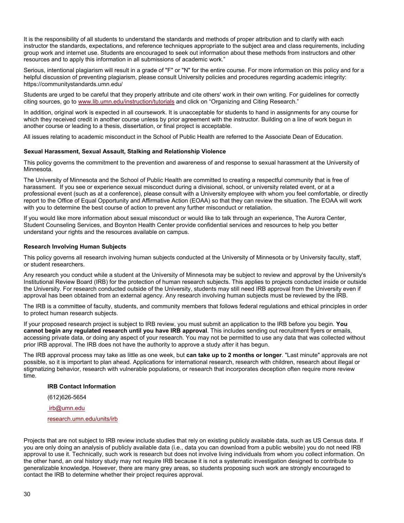It is the responsibility of all students to understand the standards and methods of proper attribution and to clarify with each instructor the standards, expectations, and reference techniques appropriate to the subject area and class requirements, including group work and internet use. Students are encouraged to seek out information about these methods from instructors and other resources and to apply this information in all submissions of academic work."

Serious, intentional plagiarism will result in a grade of "F" or "N" for the entire course. For more information on this policy and for a helpful discussion of preventing plagiarism, please consult University policies and procedures regarding academic integrity: https://communitystandards.umn.edu/

Students are urged to be careful that they properly attribute and cite others' work in their own writing. For guidelines for correctly citing sources, go to www.lib.umn.edu/instruction/tutorials and click on "Organizing and Citing Research."

In addition, original work is expected in all coursework. It is unacceptable for students to hand in assignments for any course for which they received credit in another course unless by prior agreement with the instructor. Building on a line of work begun in another course or leading to a thesis, dissertation, or final project is acceptable.

All issues relating to academic misconduct in the School of Public Health are referred to the Associate Dean of Education.

#### **Sexual Harassment, Sexual Assault, Stalking and Relationship Violence**

This policy governs the commitment to the prevention and awareness of and response to sexual harassment at the University of Minnesota.

The University of Minnesota and the School of Public Health are committed to creating a respectful community that is free of harassment. If you see or experience sexual misconduct during a divisional, school, or university related event, or at a professional event (such as at a conference), please consult with a University employee with whom you feel comfortable, or directly report to the Office of Equal Opportunity and Affirmative Action (EOAA) so that they can review the situation. The EOAA will work with you to determine the best course of action to prevent any further misconduct or retaliation.

If you would like more information about sexual misconduct or would like to talk through an experience, The Aurora Center, Student Counseling Services, and Boynton Health Center provide confidential services and resources to help you better understand your rights and the resources available on campus.

#### **Research Involving Human Subjects**

This policy governs all research involving human subjects conducted at the University of Minnesota or by University faculty, staff, or student researchers.

Any research you conduct while a student at the University of Minnesota may be subject to review and approval by the University's Institutional Review Board (IRB) for the protection of human research subjects. This applies to projects conducted inside or outside the University. For research conducted outside of the University, students may still need IRB approval from the University even if approval has been obtained from an external agency. Any research involving human subjects must be reviewed by the IRB.

The IRB is a committee of faculty, students, and community members that follows federal regulations and ethical principles in order to protect human research subjects.

If your proposed research project is subject to IRB review, you must submit an application to the IRB before you begin. **You cannot begin any regulated research until you have IRB approval**. This includes sending out recruitment flyers or emails, accessing private data, or doing any aspect of your research. You may not be permitted to use any data that was collected without prior IRB approval. The IRB does not have the authority to approve a study *after* it has begun.

The IRB approval process may take as little as one week, but **can take up to 2 months or longer**. "Last minute" approvals are not possible, so it is important to plan ahead. Applications for international research, research with children, research about illegal or stigmatizing behavior, research with vulnerable populations, or research that incorporates deception often require more review time.

#### **IRB Contact Information**

(612)626-5654

irb@umn.edu

research.umn.edu/units/irb

Projects that are not subject to IRB review include studies that rely on existing publicly available data, such as US Census data. If you are only doing an analysis of publicly available data (i.e., data you can download from a public website) you do not need IRB approval to use it. Technically, such work is research but does not involve living individuals from whom you collect information. On the other hand, an oral history study may not require IRB because it is not a systematic investigation designed to contribute to generalizable knowledge. However, there are many grey areas, so students proposing such work are strongly encouraged to contact the IRB to determine whether their project requires approval.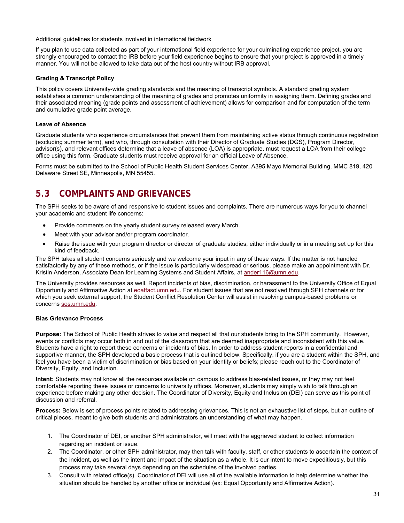Additional guidelines for students involved in international fieldwork

If you plan to use data collected as part of your international field experience for your culminating experience project, you are strongly encouraged to contact the IRB before your field experience begins to ensure that your project is approved in a timely manner. You will not be allowed to take data out of the host country without IRB approval.

### **Grading & Transcript Policy**

This policy covers University-wide grading standards and the meaning of transcript symbols. A standard grading system establishes a common understanding of the meaning of grades and promotes uniformity in assigning them. Defining grades and their associated meaning (grade points and assessment of achievement) allows for comparison and for computation of the term and cumulative grade point average.

#### **Leave of Absence**

Graduate students who experience circumstances that prevent them from maintaining active status through continuous registration (excluding summer term), and who, through consultation with their Director of Graduate Studies (DGS), Program Director, advisor(s), and relevant offices determine that a leave of absence (LOA) is appropriate, must request a LOA from their college office using this form. Graduate students must receive approval for an official Leave of Absence.

Forms must be submitted to the School of Public Health Student Services Center, A395 Mayo Memorial Building, MMC 819, 420 Delaware Street SE, Minneapolis, MN 55455.

## **5.3 COMPLAINTS AND GRIEVANCES**

The SPH seeks to be aware of and responsive to student issues and complaints. There are numerous ways for you to channel your academic and student life concerns:

- Provide comments on the yearly student survey released every March.
- Meet with your advisor and/or program coordinator.
- Raise the issue with your program director or director of graduate studies, either individually or in a meeting set up for this kind of feedback.

The SPH takes all student concerns seriously and we welcome your input in any of these ways. If the matter is not handled satisfactorily by any of these methods, or if the issue is particularly widespread or serious, please make an appointment with Dr. Kristin Anderson, Associate Dean for Learning Systems and Student Affairs, at ander116@umn.edu.

The University provides resources as well. Report incidents of bias, discrimination, or harassment to the University Office of Equal Opportunity and Affirmative Action at eoaffact.umn.edu. For student issues that are not resolved through SPH channels or for which you seek external support, the Student Conflict Resolution Center will assist in resolving campus-based problems or concerns sos.umn.edu.

#### **Bias Grievance Process**

**Purpose:** The School of Public Health strives to value and respect all that our students bring to the SPH community. However, events or conflicts may occur both in and out of the classroom that are deemed inappropriate and inconsistent with this value. Students have a right to report these concerns or incidents of bias. In order to address student reports in a confidential and supportive manner, the SPH developed a basic process that is outlined below. Specifically, if you are a student within the SPH, and feel you have been a victim of discrimination or bias based on your identity or beliefs; please reach out to the Coordinator of Diversity, Equity, and Inclusion.

**Intent:** Students may not know all the resources available on campus to address bias-related issues, or they may not feel comfortable reporting these issues or concerns to university offices. Moreover, students may simply wish to talk through an experience before making any other decision. The Coordinator of Diversity, Equity and Inclusion (DEI) can serve as this point of discussion and referral.

**Process:** Below is set of process points related to addressing grievances. This is not an exhaustive list of steps, but an outline of critical pieces, meant to give both students and administrators an understanding of what may happen.

- 1. The Coordinator of DEI, or another SPH administrator, will meet with the aggrieved student to collect information regarding an incident or issue.
- 2. The Coordinator, or other SPH administrator, may then talk with faculty, staff, or other students to ascertain the context of the incident, as well as the intent and impact of the situation as a whole. It is our intent to move expeditiously, but this process may take several days depending on the schedules of the involved parties.
- 3. Consult with related office(s). Coordinator of DEI will use all of the available information to help determine whether the situation should be handled by another office or individual (ex: Equal Opportunity and Affirmative Action).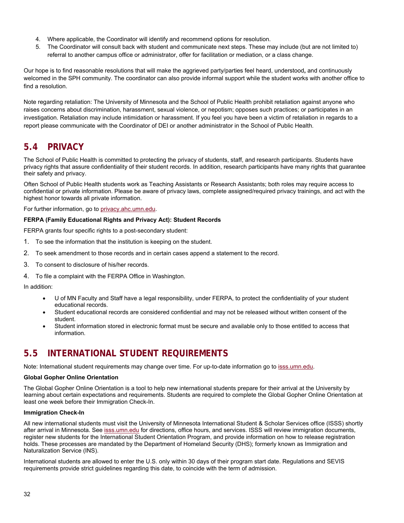- 4. Where applicable, the Coordinator will identify and recommend options for resolution.
- 5. The Coordinator will consult back with student and communicate next steps. These may include (but are not limited to) referral to another campus office or administrator, offer for facilitation or mediation, or a class change.

Our hope is to find reasonable resolutions that will make the aggrieved party/parties feel heard, understood**,** and continuously welcomed in the SPH community. The coordinator can also provide informal support while the student works with another office to find a resolution.

Note regarding retaliation: The University of Minnesota and the School of Public Health prohibit retaliation against anyone who raises concerns about discrimination, harassment, sexual violence, or nepotism; opposes such practices; or participates in an investigation. Retaliation may include intimidation or harassment. If you feel you have been a victim of retaliation in regards to a report please communicate with the Coordinator of DEI or another administrator in the School of Public Health.

## **5.4 PRIVACY**

The School of Public Health is committed to protecting the privacy of students, staff, and research participants. Students have privacy rights that assure confidentiality of their student records. In addition, research participants have many rights that guarantee their safety and privacy.

Often School of Public Health students work as Teaching Assistants or Research Assistants; both roles may require access to confidential or private information. Please be aware of privacy laws, complete assigned/required privacy trainings, and act with the highest honor towards all private information.

For further information, go to privacy.ahc.umn.edu.

### **FERPA (Family Educational Rights and Privacy Act): Student Records**

FERPA grants four specific rights to a post-secondary student:

- 1. To see the information that the institution is keeping on the student.
- 2. To seek amendment to those records and in certain cases append a statement to the record.
- 3. To consent to disclosure of his/her records.
- 4. To file a complaint with the FERPA Office in Washington.

In addition:

- U of MN Faculty and Staff have a legal responsibility, under FERPA, to protect the confidentiality of your student educational records.
- Student educational records are considered confidential and may not be released without written consent of the student.
- Student information stored in electronic format must be secure and available only to those entitled to access that information.

## **5.5 INTERNATIONAL STUDENT REQUIREMENTS**

Note: International student requirements may change over time. For up-to-date information go to isss.umn.edu.

### **Global Gopher Online Orientation**

The Global Gopher Online Orientation is a tool to help new international students prepare for their arrival at the University by learning about certain expectations and requirements. Students are required to complete the Global Gopher Online Orientation at least one week before their Immigration Check-In.

#### **Immigration Check-In**

All new international students must visit the University of Minnesota International Student & Scholar Services office (ISSS) shortly after arrival in Minnesota. See isss.umn.edu for directions, office hours, and services. ISSS will review immigration documents, register new students for the International Student Orientation Program, and provide information on how to release registration holds. These processes are mandated by the Department of Homeland Security (DHS); formerly known as Immigration and Naturalization Service (INS).

International students are allowed to enter the U.S. only within 30 days of their program start date. Regulations and SEVIS requirements provide strict guidelines regarding this date, to coincide with the term of admission.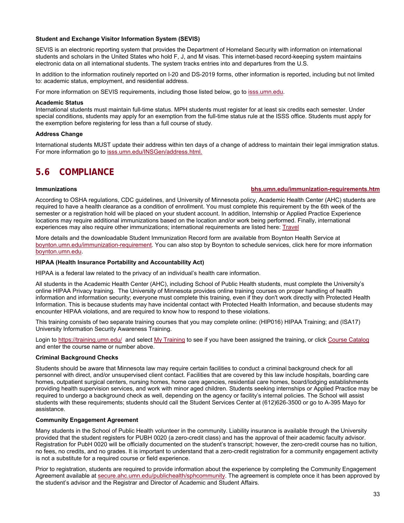#### **Student and Exchange Visitor Information System (SEVIS)**

SEVIS is an electronic reporting system that provides the Department of Homeland Security with information on international students and scholars in the United States who hold F, J, and M visas. This internet-based record-keeping system maintains electronic data on all international students. The system tracks entries into and departures from the U.S.

In addition to the information routinely reported on I-20 and DS-2019 forms, other information is reported, including but not limited to: academic status, employment, and residential address.

For more information on SEVIS requirements, including those listed below, go to isss.umn.edu.

#### **Academic Status**

International students must maintain full-time status. MPH students must register for at least six credits each semester. Under special conditions, students may apply for an exemption from the full-time status rule at the ISSS office. Students must apply for the exemption before registering for less than a full course of study.

#### **Address Change**

International students MUST update their address within ten days of a change of address to maintain their legal immigration status. For more information go to isss.umn.edu/INSGen/address.html.

## **5.6 COMPLIANCE**

#### **Immunizations bhs.umn.edu/immunization-requirements.htm**

According to OSHA regulations, CDC guidelines, and University of Minnesota policy, Academic Health Center (AHC) students are required to have a health clearance as a condition of enrollment. You must complete this requirement by the 6th week of the semester or a registration hold will be placed on your student account. In addition, Internship or Applied Practice Experience locations may require additional immunizations based on the location and/or work being performed. Finally, international experiences may also require other immunizations; international requirements are listed here: Travel

More details and the downloadable Student Immunization Record form are available from Boynton Health Service at boynton.umn.edu/immunization-requirement. You can also stop by Boynton to schedule services, click here for more information boynton.umn.edu.

#### **HIPAA (Health Insurance Portability and Accountability Act)**

HIPAA is a federal law related to the privacy of an individual's health care information.

All students in the Academic Health Center (AHC), including School of Public Health students, must complete the University's online HIPAA Privacy training. The University of Minnesota provides online training courses on proper handling of health information and information security; everyone must complete this training, even if they don't work directly with Protected Health Information. This is because students may have incidental contact with Protected Health Information, and because students may encounter HIPAA violations, and are required to know how to respond to these violations.

This training consists of two separate training courses that you may complete online: (HIP016) HIPAA Training; and (ISA17) University Information Security Awareness Training.

Login to https://training.umn.edu/ and select My Training to see if you have been assigned the training, or click Course Catalog and enter the course name or number above.

#### **Criminal Background Checks**

Students should be aware that Minnesota law may require certain facilities to conduct a criminal background check for all personnel with direct, and/or unsupervised client contact. Facilities that are covered by this law include hospitals, boarding care homes, outpatient surgical centers, nursing homes, home care agencies, residential care homes, board/lodging establishments providing health supervision services, and work with minor aged children. Students seeking internships or Applied Practice may be required to undergo a background check as well, depending on the agency or facility's internal policies. The School will assist students with these requirements; students should call the Student Services Center at (612)626-3500 or go to A-395 Mayo for assistance.

#### **Community Engagement Agreement**

Many students in the School of Public Health volunteer in the community. Liability insurance is available through the University provided that the student registers for PUBH 0020 (a zero-credit class) and has the approval of their academic faculty advisor. Registration for PubH 0020 will be officially documented on the student's transcript; however, the zero-credit course has no tuition, no fees, no credits, and no grades. It is important to understand that a zero-credit registration for a community engagement activity is not a substitute for a required course or field experience.

Prior to registration, students are required to provide information about the experience by completing the Community Engagement Agreement available at secure.ahc.umn.edu/publichealth/sphcommunity. The agreement is complete once it has been approved by the student's advisor and the Registrar and Director of Academic and Student Affairs.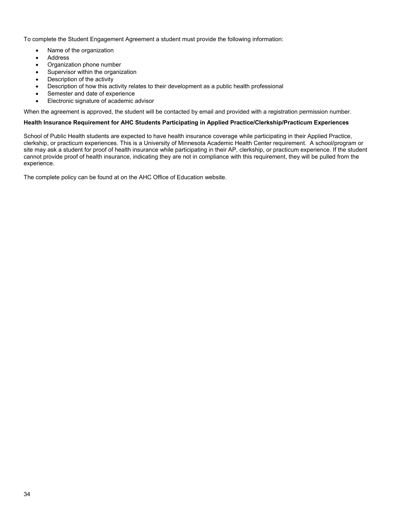To complete the Student Engagement Agreement a student must provide the following information:

- Name of the organization
- Address
- Organization phone number
- Supervisor within the organization
- Description of the activity
- Description of how this activity relates to their development as a public health professional
- Semester and date of experience
- Electronic signature of academic advisor

When the agreement is approved, the student will be contacted by email and provided with a registration permission number.

#### **Health Insurance Requirement for AHC Students Participating in Applied Practice/Clerkship/Practicum Experiences**

School of Public Health students are expected to have health insurance coverage while participating in their Applied Practice, clerkship, or practicum experiences. This is a University of Minnesota Academic Health Center requirement. A school/program or site may ask a student for proof of health insurance while participating in their AP, clerkship, or practicum experience. If the student cannot provide proof of health insurance, indicating they are not in compliance with this requirement, they will be pulled from the experience.

The complete policy can be found at on the AHC Office of Education website.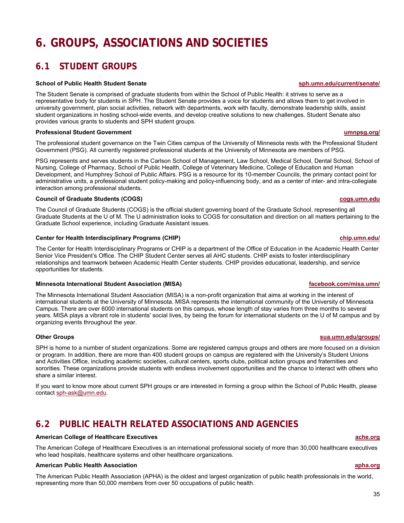## **6. GROUPS, ASSOCIATIONS AND SOCIETIES**

## **6.1 STUDENT GROUPS**

#### **School of Public Health Student Senate sph.umn.edu/current/senate/ sph.umn.edu/current/senate/**

The Student Senate is comprised of graduate students from within the School of Public Health: it strives to serve as a representative body for students in SPH. The Student Senate provides a voice for students and allows them to get involved in university government, plan social activities, network with departments, work with faculty, demonstrate leadership skills, assist student organizations in hosting school-wide events, and develop creative solutions to new challenges. Student Senate also provides various grants to students and SPH student groups.

#### **Professional Student Government umnpsg.org/**

The professional student governance on the Twin Cities campus of the University of Minnesota rests with the Professional Student Government (PSG). All currently registered professional students at the University of Minnesota are members of PSG.

PSG represents and serves students in the Carlson School of Management, Law School, Medical School, Dental School, School of Nursing, College of Pharmacy, School of Public Health, College of Veterinary Medicine, College of Education and Human Development, and Humphrey School of Public Affairs. PSG is a resource for its 10-member Councils, the primary contact point for administrative units, a professional student policy-making and policy-influencing body, and as a center of inter- and intra-collegiate interaction among professional students.

#### **Council of Graduate Students (COGS) cogs.umn.edu**

The Council of Graduate Students (COGS) is the official student governing board of the Graduate School, representing all Graduate Students at the U of M. The U administration looks to COGS for consultation and direction on all matters pertaining to the Graduate School experience, including Graduate Assistant issues.

#### **Center for Health Interdisciplinary Programs (CHIP) chip.umn.edu/** chip.umn.edu/

The Center for Health Interdisciplinary Programs or CHIP is a department of the Office of Education in the Academic Health Center Senior Vice President's Office. The CHIP Student Center serves all AHC students. CHIP exists to foster interdisciplinary relationships and teamwork between Academic Health Center students. CHIP provides educational, leadership, and service opportunities for students.

#### **Minnesota International Student Association (MISA)** and the student of the student of the student of the student of the student of the student of the student association (MISA) and the student of the student of the studen

The Minnesota International Student Association (MISA) is a non-profit organization that aims at working in the interest of international students at the University of Minnesota. MISA represents the international community of the University of Minnesota Campus. There are over 6000 international students on this campus, whose length of stay varies from three months to several years. MISA plays a vibrant role in students' social lives, by being the forum for international students on the U of M campus and by organizing events throughout the year.

SPH is home to a number of student organizations. Some are registered campus groups and others are more focused on a division or program. In addition, there are more than 400 student groups on campus are registered with the University's Student Unions and Activities Office, including academic societies, cultural centers, sports clubs, political action groups and fraternities and sororities. These organizations provide students with endless involvement opportunities and the chance to interact with others who share a similar interest.

If you want to know more about current SPH groups or are interested in forming a group within the School of Public Health, please contact sph-ask@umn.edu.

## **6.2 PUBLIC HEALTH RELATED ASSOCIATIONS AND AGENCIES**

#### **American College of Healthcare Executives ache.org**

The American College of Healthcare Executives is an international professional society of more than 30,000 healthcare executives who lead hospitals, healthcare systems and other healthcare organizations.

#### **American Public Health Association apha.org**

The American Public Health Association (APHA) is the oldest and largest organization of public health professionals in the world, representing more than 50,000 members from over 50 occupations of public health.

### **Other Groups sua.umn.edu/groups/ Other Groups sua.umn.edu/groups/**

#### 35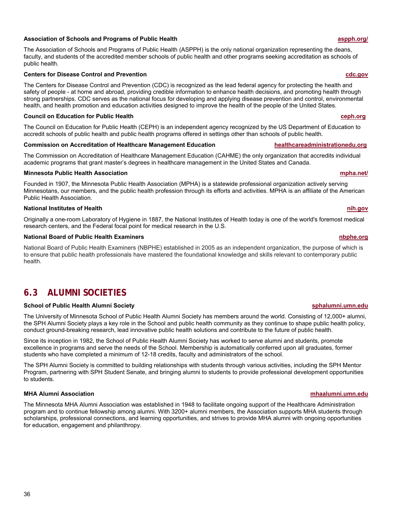### **Association of Schools and Programs of Public Health aspph.org/**

The Association of Schools and Programs of Public Health (ASPPH) is the only national organization representing the deans, faculty, and students of the accredited member schools of public health and other programs seeking accreditation as schools of public health.

#### **Centers for Disease Control and Prevention cdc.gov**

The Centers for Disease Control and Prevention (CDC) is recognized as the lead federal agency for protecting the health and safety of people - at home and abroad, providing credible information to enhance health decisions, and promoting health through strong partnerships. CDC serves as the national focus for developing and applying disease prevention and control, environmental health, and health promotion and education activities designed to improve the health of the people of the United States.

#### **Council on Education for Public Health ceph.org**

The Council on Education for Public Health (CEPH) is an independent agency recognized by the US Department of Education to accredit schools of public health and public health programs offered in settings other than schools of public health.

#### **Commission on Accreditation of Healthcare Management Education healthcareadministrationedu.org**

The Commission on Accreditation of Healthcare Management Education (CAHME) the only organization that accredits individual academic programs that grant master's degrees in healthcare management in the United States and Canada.

#### **Minnesota Public Health Association mpha.net/**

Founded in 1907, the Minnesota Public Health Association (MPHA) is a statewide professional organization actively serving Minnesotans, our members, and the public health profession through its efforts and activities. MPHA is an affiliate of the American Public Health Association.

#### **National Institutes of Health nih.gov**

Originally a one-room Laboratory of Hygiene in 1887, the National Institutes of Health today is one of the world's foremost medical research centers, and the Federal focal point for medical research in the U.S.

#### **National Board of Public Health Examiners nbphe.org**

National Board of Public Health Examiners (NBPHE) established in 2005 as an independent organization, the purpose of which is to ensure that public health professionals have mastered the foundational knowledge and skills relevant to contemporary public health.

## **6.3 ALUMNI SOCIETIES**

#### **School of Public Health Alumni Society sphalumni.umn.edu**

The University of Minnesota School of Public Health Alumni Society has members around the world. Consisting of 12,000+ alumni, the SPH Alumni Society plays a key role in the School and public health community as they continue to shape public health policy, conduct ground-breaking research, lead innovative public health solutions and contribute to the future of public health.

Since its inception in 1982, the School of Public Health Alumni Society has worked to serve alumni and students, promote excellence in programs and serve the needs of the School. Membership is automatically conferred upon all graduates, former students who have completed a minimum of 12-18 credits, faculty and administrators of the school.

The SPH Alumni Society is committed to building relationships with students through various activities, including the SPH Mentor Program, partnering with SPH Student Senate, and bringing alumni to students to provide professional development opportunities to students.

#### **MHA Alumni Association mhaalumni.umn.edu**

The Minnesota MHA Alumni Association was established in 1948 to facilitate ongoing support of the Healthcare Administration program and to continue fellowship among alumni. With 3200+ alumni members, the Association supports MHA students through scholarships, professional connections, and learning opportunities, and strives to provide MHA alumni with ongoing opportunities for education, engagement and philanthropy.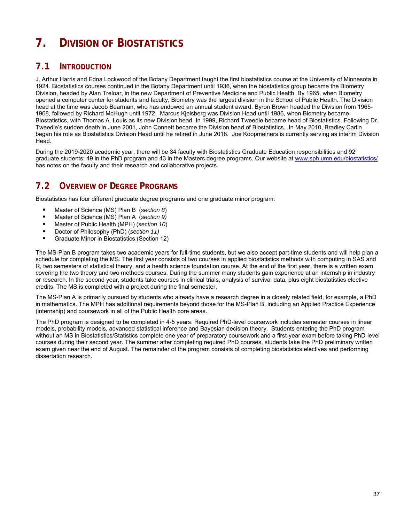# **7. DIVISION OF BIOSTATISTICS**

# **7.1 INTRODUCTION**

J. Arthur Harris and Edna Lockwood of the Botany Department taught the first biostatistics course at the University of Minnesota in 1924. Biostatistics courses continued in the Botany Department until 1936, when the biostatistics group became the Biometry Division, headed by Alan Treloar, in the new Department of Preventive Medicine and Public Health. By 1965, when Biometry opened a computer center for students and faculty, Biometry was the largest division in the School of Public Health. The Division head at the time was Jacob Bearman, who has endowed an annual student award. Byron Brown headed the Division from 1965- 1968, followed by Richard McHugh until 1972. Marcus Kjelsberg was Division Head until 1986, when Biometry became Biostatistics, with Thomas A. Louis as its new Division head. In 1999, Richard Tweedie became head of Biostatistics. Following Dr. Tweedie's sudden death in June 2001, John Connett became the Division head of Biostatistics. In May 2010, Bradley Carlin began his role as Biostatistics Division Head until he retired in June 2018. Joe Koopmeiners is currently serving as interim Division Head.

During the 2019-2020 academic year, there will be 34 faculty with Biostatistics Graduate Education responsibilities and 92 graduate students: 49 in the PhD program and 43 in the Masters degree programs. Our website at www.sph.umn.edu/biostatistics/ has notes on the faculty and their research and collaborative projects.

# **7.2 OVERVIEW OF DEGREE PROGRAMS**

Biostatistics has four different graduate degree programs and one graduate minor program:

- Master of Science (MS) Plan B (*section 8*)
- Master of Science (MS) Plan A (*section 9)*<br>■ Master of Public Health (MPH) (*section 10*)
- Master of Public Health (MPH) (*section 10*)
- Doctor of Philosophy (PhD) (*section 11)*<br>■ Craduate Minor in Biostatistics (Section
- Graduate Minor in Biostatistics (Section 12)

The MS-Plan B program takes two academic years for full-time students, but we also accept part-time students and will help plan a schedule for completing the MS. The first year consists of two courses in applied biostatistics methods with computing in SAS and R, two semesters of statistical theory, and a health science foundation course. At the end of the first year, there is a written exam covering the two theory and two methods courses. During the summer many students gain experience at an internship in industry or research. In the second year, students take courses in clinical trials, analysis of survival data, plus eight biostatistics elective credits. The MS is completed with a project during the final semester.

The MS-Plan A is primarily pursued by students who already have a research degree in a closely related field, for example, a PhD in mathematics. The MPH has additional requirements beyond those for the MS-Plan B, including an Applied Practice Experience (internship) and coursework in all of the Public Health core areas.

The PhD program is designed to be completed in 4-5 years. Required PhD-level coursework includes semester courses in linear models, probability models, advanced statistical inference and Bayesian decision theory. Students entering the PhD program without an MS in Biostatistics/Statistics complete one year of preparatory coursework and a first-year exam before taking PhD-level courses during their second year. The summer after completing required PhD courses, students take the PhD preliminary written exam given near the end of August. The remainder of the program consists of completing biostatistics electives and performing dissertation research.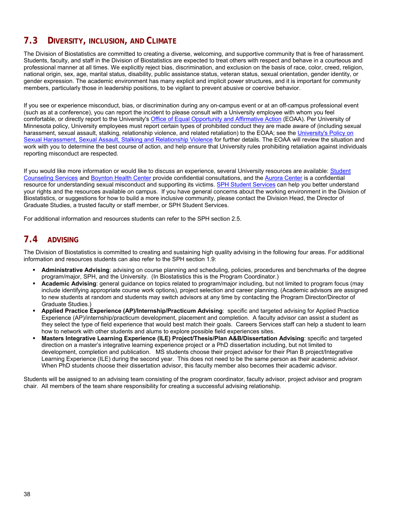# **7.3 DIVERSITY, INCLUSION, AND CLIMATE**

The Division of Biostatistics are committed to creating a diverse, welcoming, and supportive community that is free of harassment. Students, faculty, and staff in the Division of Biostatistics are expected to treat others with respect and behave in a courteous and professional manner at all times. We explicitly reject bias, discrimination, and exclusion on the basis of race, color, creed, religion, national origin, sex, age, marital status, disability, public assistance status, veteran status, sexual orientation, gender identity, or gender expression. The academic environment has many explicit and implicit power structures, and it is important for community members, particularly those in leadership positions, to be vigilant to prevent abusive or coercive behavior.

If you see or experience misconduct, bias, or discrimination during any on-campus event or at an off-campus professional event (such as at a conference), you can report the incident to please consult with a University employee with whom you feel comfortable, or directly report to the University's Office of Equal Opportunity and Affirmative Action (EOAA). Per University of Minnesota policy, University employees must report certain types of prohibited conduct they are made aware of (including sexual harassment, sexual assault, stalking, relationship violence, and related retaliation) to the EOAA; see the University's Policy on Sexual Harassment, Sexual Assault, Stalking and Relationship Violence for further details. The EOAA will review the situation and work with you to determine the best course of action, and help ensure that University rules prohibiting retaliation against individuals reporting misconduct are respected.

If you would like more information or would like to discuss an experience, several University resources are available: Student Counseling Services and Boynton Health Center provide confidential consultations, and the Aurora Center is a confidential resource for understanding sexual misconduct and supporting its victims. SPH Student Services can help you better understand your rights and the resources available on campus. If you have general concerns about the working environment in the Division of Biostatistics, or suggestions for how to build a more inclusive community, please contact the Division Head, the Director of Graduate Studies, a trusted faculty or staff member, or SPH Student Services.

For additional information and resources students can refer to the SPH section 2.5.

## **7.4 ADVISING**

The Division of Biostatistics is committed to creating and sustaining high quality advising in the following four areas. For additional information and resources students can also refer to the SPH section 1.9:

- **Administrative Advising**: advising on course planning and scheduling, policies, procedures and benchmarks of the degree program/major, SPH, and the University. (In Biostatistics this is the Program Coordinator.)
- **Academic Advising**: general guidance on topics related to program/major including, but not limited to program focus (may include identifying appropriate course work options), project selection and career planning. (Academic advisors are assigned to new students at random and students may switch advisors at any time by contacting the Program Director/Director of Graduate Studies.)
- **Applied Practice Experience (AP)/Internship/Practicum Advising**: specific and targeted advising for Applied Practice Experience (AP)/internship/practicum development, placement and completion. A faculty advisor can assist a student as they select the type of field experience that would best match their goals. Careers Services staff can help a student to learn how to network with other students and alums to explore possible field experiences sites.
- **Masters Integrative Learning Experience (ILE) Project/Thesis/Plan A&B/Dissertation Advising**: specific and targeted direction on a master's integrative learning experience project or a PhD dissertation including, but not limited to development, completion and publication. MS students choose their project advisor for their Plan B project/Integrative Learning Experience (ILE) during the second year. This does not need to be the same person as their academic advisor. When PhD students choose their dissertation advisor, this faculty member also becomes their academic advisor.

Students will be assigned to an advising team consisting of the program coordinator, faculty advisor, project advisor and program chair. All members of the team share responsibility for creating a successful advising relationship.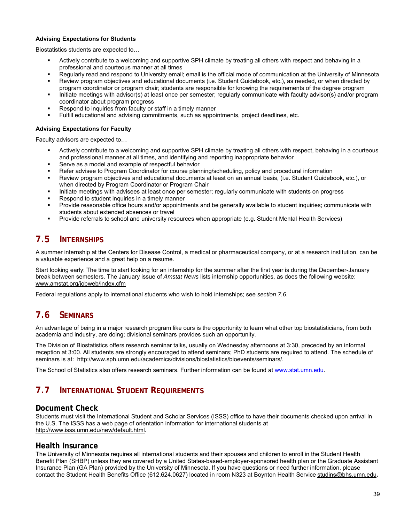### **Advising Expectations for Students**

Biostatistics students are expected to…

- Actively contribute to a welcoming and supportive SPH climate by treating all others with respect and behaving in a professional and courteous manner at all times
- Regularly read and respond to University email; email is the official mode of communication at the University of Minnesota Review program objectives and educational documents (i.e. Student Guidebook, etc.), as needed, or when directed by
- program coordinator or program chair; students are responsible for knowing the requirements of the degree program
- Initiate meetings with advisor(s) at least once per semester; regularly communicate with faculty advisor(s) and/or program coordinator about program progress
- Respond to inquiries from faculty or staff in a timely manner
- Fulfill educational and advising commitments, such as appointments, project deadlines, etc.

### **Advising Expectations for Faculty**

Faculty advisors are expected to…

- Actively contribute to a welcoming and supportive SPH climate by treating all others with respect, behaving in a courteous and professional manner at all times, and identifying and reporting inappropriate behavior
- Serve as a model and example of respectful behavior
- Refer advisee to Program Coordinator for course planning/scheduling, policy and procedural information
- Review program objectives and educational documents at least on an annual basis, (i.e. Student Guidebook, etc.), or when directed by Program Coordinator or Program Chair
- Initiate meetings with advisees at least once per semester; regularly communicate with students on progress
- Respond to student inquiries in a timely manner
- Provide reasonable office hours and/or appointments and be generally available to student inquiries; communicate with students about extended absences or travel
- Provide referrals to school and university resources when appropriate (e.g. Student Mental Health Services)

# **7.5 INTERNSHIPS**

A summer internship at the Centers for Disease Control, a medical or pharmaceutical company, or at a research institution, can be a valuable experience and a great help on a resume.

Start looking early: The time to start looking for an internship for the summer after the first year is during the December-January break between semesters. The January issue of *Amstat News* lists internship opportunities, as does the following website: www.amstat.org/jobweb/index.cfm

Federal regulations apply to international students who wish to hold internships; see *section 7.6*.

# **7.6 SEMINARS**

An advantage of being in a major research program like ours is the opportunity to learn what other top biostatisticians, from both academia and industry, are doing; divisional seminars provides such an opportunity.

The Division of Biostatistics offers research seminar talks, usually on Wednesday afternoons at 3:30, preceded by an informal reception at 3:00. All students are strongly encouraged to attend seminars; PhD students are required to attend. The schedule of seminars is at: http://www.sph.umn.edu/academics/divisions/biostatistics/bioevents/seminars/.

The School of Statistics also offers research seminars. Further information can be found at www.stat.umn.edu.

# **7.7 INTERNATIONAL STUDENT REQUIREMENTS**

## **Document Check**

Students must visit the International Student and Scholar Services (ISSS) office to have their documents checked upon arrival in the U.S. The ISSS has a web page of orientation information for international students at http://www.isss.umn.edu/new/default.html.

### **Health Insurance**

The University of Minnesota requires all international students and their spouses and children to enroll in the Student Health Benefit Plan (SHBP) unless they are covered by a United States-based-employer-sponsored health plan or the Graduate Assistant Insurance Plan (GA Plan) provided by the University of Minnesota. If you have questions or need further information, please contact the Student Health Benefits Office (612.624.0627) located in room N323 at Boynton Health Service studins@bhs.umn.edu**.**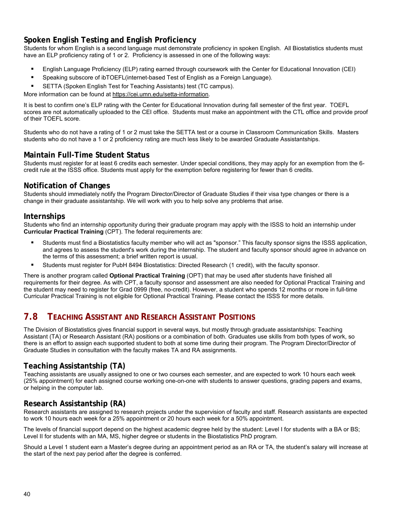# **Spoken English Testing and English Proficiency**

Students for whom English is a second language must demonstrate proficiency in spoken English. All Biostatistics students must have an ELP proficiency rating of 1 or 2. Proficiency is assessed in one of the following ways:

- English Language Proficiency (ELP) rating earned through coursework with the Center for Educational Innovation (CEI)
- Speaking subscore of ibTOEFL(internet-based Test of English as a Foreign Language).
- SETTA (Spoken English Test for Teaching Assistants) test (TC campus).

More information can be found at https://cei.umn.edu/setta-information.

It is best to confirm one's ELP rating with the Center for Educational Innovation during fall semester of the first year. TOEFL scores are not automatically uploaded to the CEI office. Students must make an appointment with the CTL office and provide proof of their TOEFL score.

Students who do not have a rating of 1 or 2 must take the SETTA test or a course in Classroom Communication Skills. Masters students who do not have a 1 or 2 proficiency rating are much less likely to be awarded Graduate Assistantships.

## **Maintain Full-Time Student Status**

Students must register for at least 6 credits each semester. Under special conditions, they may apply for an exemption from the 6 credit rule at the ISSS office. Students must apply for the exemption before registering for fewer than 6 credits.

## **Notification of Changes**

Students should immediately notify the Program Director/Director of Graduate Studies if their visa type changes or there is a change in their graduate assistantship. We will work with you to help solve any problems that arise.

### **Internships**

Students who find an internship opportunity during their graduate program may apply with the ISSS to hold an internship under **Curricular Practical Training** (CPT). The federal requirements are:

- Students must find a Biostatistics faculty member who will act as "sponsor." This faculty sponsor signs the ISSS application, and agrees to assess the student's work during the internship. The student and faculty sponsor should agree in advance on the terms of this assessment; a brief written report is usual.
- Students must register for PubH 8494 Biostatistics: Directed Research (1 credit), with the faculty sponsor.

There is another program called **Optional Practical Training** (OPT) that may be used after students have finished all requirements for their degree. As with CPT, a faculty sponsor and assessment are also needed for Optional Practical Training and the student may need to register for Grad 0999 (free, no-credit). However, a student who spends 12 months or more in full-time Curricular Practical Training is not eligible for Optional Practical Training. Please contact the ISSS for more details.

# **7.8 TEACHING ASSISTANT AND RESEARCH ASSISTANT POSITIONS**

The Division of Biostatistics gives financial support in several ways, but mostly through graduate assistantships: Teaching Assistant (TA) or Research Assistant (RA) positions or a combination of both. Graduates use skills from both types of work, so there is an effort to assign each supported student to both at some time during their program. The Program Director/Director of Graduate Studies in consultation with the faculty makes TA and RA assignments.

## **Teaching Assistantship (TA)**

Teaching assistants are usually assigned to one or two courses each semester, and are expected to work 10 hours each week (25% appointment) for each assigned course working one-on-one with students to answer questions, grading papers and exams, or helping in the computer lab.

## **Research Assistantship (RA)**

Research assistants are assigned to research projects under the supervision of faculty and staff. Research assistants are expected to work 10 hours each week for a 25% appointment or 20 hours each week for a 50% appointment.

The levels of financial support depend on the highest academic degree held by the student: Level I for students with a BA or BS; Level II for students with an MA, MS, higher degree or students in the Biostatistics PhD program.

Should a Level 1 student earn a Master's degree during an appointment period as an RA or TA, the student's salary will increase at the start of the next pay period after the degree is conferred.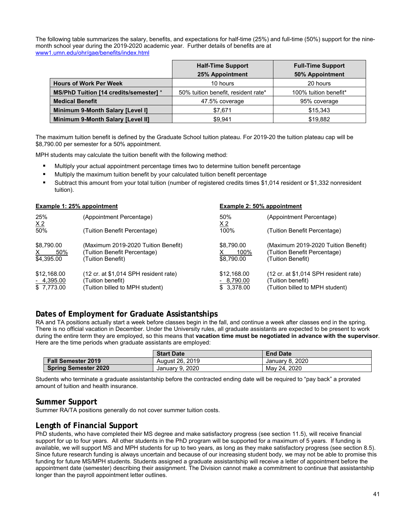The following table summarizes the salary, benefits, and expectations for half-time (25%) and full-time (50%) support for the ninemonth school year during the 2019-2020 academic year. Further details of benefits are at www1.umn.edu/ohr/gae/benefits/index.html

|                                        | <b>Half-Time Support</b>            | <b>Full-Time Support</b> |
|----------------------------------------|-------------------------------------|--------------------------|
|                                        | 25% Appointment                     | 50% Appointment          |
| <b>Hours of Work Per Week</b>          | 10 hours                            | 20 hours                 |
| MS/PhD Tuition [14 credits/semester] * | 50% tuition benefit, resident rate* | 100% tuition benefit*    |
| <b>Medical Benefit</b>                 | 47.5% coverage                      | 95% coverage             |
| Minimum 9-Month Salary [Level I]       | \$7,671                             | \$15,343                 |
| Minimum 9-Month Salary [Level II]      | \$9.941                             | \$19,882                 |

The maximum tuition benefit is defined by the Graduate School tuition plateau. For 2019-20 the tuition plateau cap will be \$8,790.00 per semester for a 50% appointment.

MPH students may calculate the tuition benefit with the following method:

- Multiply your actual appointment percentage times two to determine tuition benefit percentage
- Multiply the maximum tuition benefit by your calculated tuition benefit percentage
- Subtract this amount from your total tuition (number of registered credits times \$1,014 resident or \$1,332 nonresident tuition).

| Example 1: 25% appointment                      |                                                                                                                 | Example 2: 50% appointment               |                                                                                               |
|-------------------------------------------------|-----------------------------------------------------------------------------------------------------------------|------------------------------------------|-----------------------------------------------------------------------------------------------|
| 25%<br>$\underline{X}2$                         | (Appointment Percentage)                                                                                        | 50%<br>X <sub>2</sub>                    | (Appointment Percentage)                                                                      |
| 50%                                             | (Tuition Benefit Percentage)                                                                                    | 100%                                     | (Tuition Benefit Percentage)                                                                  |
| \$8,790.00<br>50%<br>X.<br>\$4,395.00           | (Maximum 2019-2020 Tuition Benefit)<br>(Tuition Benefit Percentage)<br>(Tuition Benefit)                        | \$8,790.00<br>100%<br>\$8,790.00         | (Maximum 2019-2020 Tuition Benefit)<br>(Tuition Benefit Percentage)<br>(Tuition Benefit)      |
| \$12,168,00<br><u>- 4,395.</u> 00<br>\$7,773.00 | $(12 \text{ cr. at } $1,014 \text{ SPH}$ resident rate)<br>(Tuition benefit)<br>(Tuition billed to MPH student) | \$12,168.00<br>$-8,790.00$<br>\$3,378.00 | (12 cr. at \$1,014 SPH resident rate)<br>(Tuition benefit)<br>(Tuition billed to MPH student) |

## **Dates of Employment for Graduate Assistantships**

RA and TA positions actually start a week before classes begin in the fall, and continue a week after classes end in the spring. There is no official vacation in December. Under the University rules, all graduate assistants are expected to be present to work during the entire term they are employed, so this means that **vacation time must be negotiated in advance with the supervisor**. Here are the time periods when graduate assistants are employed:

|                             | <b>Start Date</b> | <b>End Date</b> |
|-----------------------------|-------------------|-----------------|
| <b>Fall Semester 2019</b>   | August 26, 2019   | January 8, 2020 |
| <b>Spring Semester 2020</b> | January 9, 2020   | May 24, 2020    |

Students who terminate a graduate assistantship before the contracted ending date will be required to "pay back" a prorated amount of tuition and health insurance.

### **Summer Support**

Summer RA/TA positions generally do not cover summer tuition costs.

## **Length of Financial Support**

PhD students, who have completed their MS degree and make satisfactory progress (see section 11.5), will receive financial support for up to four years. All other students in the PhD program will be supported for a maximum of 5 years. If funding is available, we will support MS and MPH students for up to two years, as long as they make satisfactory progress (see section 8.5). Since future research funding is always uncertain and because of our increasing student body, we may not be able to promise this funding for future MS/MPH students. Students assigned a graduate assistantship will receive a letter of appointment before the appointment date (semester) describing their assignment. The Division cannot make a commitment to continue that assistantship longer than the payroll appointment letter outlines.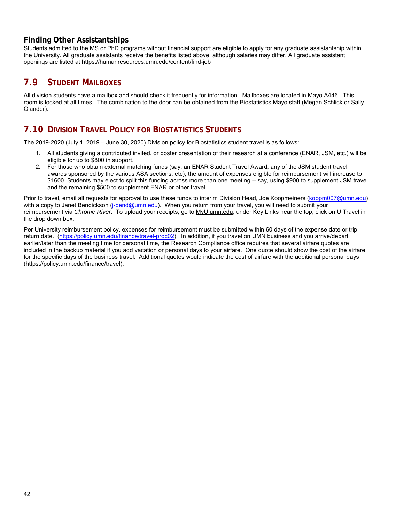## **Finding Other Assistantships**

Students admitted to the MS or PhD programs without financial support are eligible to apply for any graduate assistantship within the University. All graduate assistants receive the benefits listed above, although salaries may differ. All graduate assistant openings are listed at https://humanresources.umn.edu/content/find-job

# **7.9 STUDENT MAILBOXES**

All division students have a mailbox and should check it frequently for information. Mailboxes are located in Mayo A446. This room is locked at all times. The combination to the door can be obtained from the Biostatistics Mayo staff (Megan Schlick or Sally Olander).

# **7.10 DIVISION TRAVEL POLICY FOR BIOSTATISTICS STUDENTS**

The 2019-2020 (July 1, 2019 – June 30, 2020) Division policy for Biostatistics student travel is as follows:

- 1. All students giving a contributed invited, or poster presentation of their research at a conference (ENAR, JSM, etc.) will be eligible for up to \$800 in support.
- 2. For those who obtain external matching funds (say, an ENAR Student Travel Award, any of the JSM student travel awards sponsored by the various ASA sections, etc), the amount of expenses eligible for reimbursement will increase to \$1600. Students may elect to split this funding across more than one meeting -- say, using \$900 to supplement JSM travel and the remaining \$500 to supplement ENAR or other travel.

Prior to travel, email all requests for approval to use these funds to interim Division Head, Joe Koopmeiners (koopm007@umn.edu) with a copy to Janet Bendickson (j-bend@umn.edu). When you return from your travel, you will need to submit your reimbursement via *Chrome River*. To upload your receipts, go to MyU.umn.edu, under Key Links near the top, click on U Travel in the drop down box.

Per University reimbursement policy, expenses for reimbursement must be submitted within 60 days of the expense date or trip return date. (https://policy.umn.edu/finance/travel-proc02). In addition, if you travel on UMN business and you arrive/depart earlier/later than the meeting time for personal time, the Research Compliance office requires that several airfare quotes are included in the backup material if you add vacation or personal days to your airfare. One quote should show the cost of the airfare for the specific days of the business travel. Additional quotes would indicate the cost of airfare with the additional personal days (https://policy.umn.edu/finance/travel).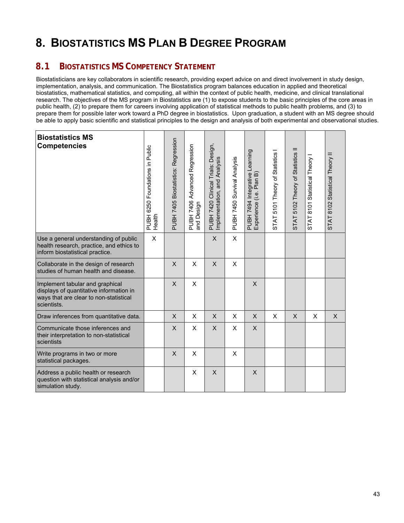# **8. BIOSTATISTICS MS PLAN B DEGREE PROGRAM**

# **8.1 BIOSTATISTICS MS COMPETENCY STATEMENT**

Biostatisticians are key collaborators in scientific research, providing expert advice on and direct involvement in study design, implementation, analysis, and communication. The Biostatistics program balances education in applied and theoretical biostatistics, mathematical statistics, and computing, all within the context of public health, medicine, and clinical translational research. The objectives of the MS program in Biostatistics are (1) to expose students to the basic principles of the core areas in public health, (2) to prepare them for careers involving application of statistical methods to public health problems, and (3) to prepare them for possible later work toward a PhD degree in biostatistics. Upon graduation, a student with an MS degree should be able to apply basic scientific and statistical principles to the design and analysis of both experimental and observational studies.

| <b>Biostatistics MS</b><br><b>Competencies</b>                                                                                      | PUBH 6250 Foundations in Public<br>Health | PUBH 7405 Biostatistics: Regression | PUBH 7406 Advanced Regression<br>and Design | PUBH 7420 Clinical Trials: Design,<br>Implementation, and Analysis | PUBH 7450 Survival Analysis | PUBH 7494 Integrative Learning<br>Experience (i.e. Plan B) | STAT 5101 Theory of Statistics | STAT 5102 Theory of Statistics II | STAT 8101 Statistical Theory | STAT 8102 Statistical Theory II |
|-------------------------------------------------------------------------------------------------------------------------------------|-------------------------------------------|-------------------------------------|---------------------------------------------|--------------------------------------------------------------------|-----------------------------|------------------------------------------------------------|--------------------------------|-----------------------------------|------------------------------|---------------------------------|
| Use a general understanding of public<br>health research, practice, and ethics to<br>inform biostatistical practice.                | X                                         |                                     |                                             | $\mathsf{X}$                                                       | X                           |                                                            |                                |                                   |                              |                                 |
| Collaborate in the design of research<br>studies of human health and disease.                                                       |                                           | X                                   | X                                           | X                                                                  | X                           |                                                            |                                |                                   |                              |                                 |
| Implement tabular and graphical<br>displays of quantitative information in<br>ways that are clear to non-statistical<br>scientists. |                                           | $\times$                            | X                                           |                                                                    |                             | $\mathsf{X}$                                               |                                |                                   |                              |                                 |
| Draw inferences from quantitative data.                                                                                             |                                           | $\mathsf{X}$                        | X                                           | $\mathsf{X}$                                                       | X                           | X                                                          | X                              | X                                 | X                            | $\mathsf{X}$                    |
| Communicate those inferences and<br>their interpretation to non-statistical<br>scientists                                           |                                           | X                                   | X                                           | $\mathsf{X}$                                                       | X                           | X                                                          |                                |                                   |                              |                                 |
| Write programs in two or more<br>statistical packages.                                                                              |                                           | $\times$                            | X                                           |                                                                    | X                           |                                                            |                                |                                   |                              |                                 |
| Address a public health or research<br>question with statistical analysis and/or<br>simulation study.                               |                                           |                                     | X                                           | X                                                                  |                             | X                                                          |                                |                                   |                              |                                 |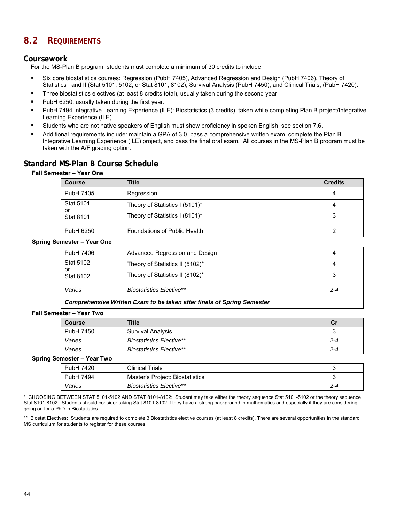# **8.2 REQUIREMENTS**

## **Coursework**

For the MS-Plan B program, students must complete a minimum of 30 credits to include:

- Six core biostatistics courses: Regression (PubH 7405), Advanced Regression and Design (PubH 7406), Theory of Statistics I and II (Stat 5101, 5102; or Stat 8101, 8102), Survival Analysis (PubH 7450), and Clinical Trials, (PubH 7420).
- **Three biostatistics electives (at least 8 credits total), usually taken during the second year.**
- PubH 6250, usually taken during the first year.
- PubH 7494 Integrative Learning Experience (ILE): Biostatistics (3 credits), taken while completing Plan B project/Integrative Learning Experience (ILE).
- Students who are not native speakers of English must show proficiency in spoken English; see section 7.6.
- Additional requirements include: maintain a GPA of 3.0, pass a comprehensive written exam, complete the Plan B Integrative Learning Experience (ILE) project, and pass the final oral exam. All courses in the MS-Plan B program must be taken with the A/F grading option.

## **Standard MS-Plan B Course Schedule**

### **Fall Semester – Year One**

| <b>Course</b>                              | Title                                                            | <b>Credits</b> |
|--------------------------------------------|------------------------------------------------------------------|----------------|
| PubH 7405                                  | Regression                                                       |                |
| <b>Stat 5101</b><br>or<br><b>Stat 8101</b> | Theory of Statistics I (5101)*<br>Theory of Statistics I (8101)* | 4              |
| PubH 6250                                  | Foundations of Public Health                                     |                |

### **Spring Semester – Year One**

| PubH 7406              | Advanced Regression and Design  |     |
|------------------------|---------------------------------|-----|
| <b>Stat 5102</b><br>or | Theory of Statistics II (5102)* |     |
| <b>Stat 8102</b>       | Theory of Statistics II (8102)* | 3   |
| Varies                 | <b>Biostatistics Elective**</b> | 2-4 |

### *Comprehensive Written Exam to be taken after finals of Spring Semester*

### **Fall Semester – Year Two**

| <b>Course</b> | <b>Title</b>                    | Сı      |
|---------------|---------------------------------|---------|
| PubH 7450     | <b>Survival Analysis</b>        | ັ       |
| Varies        | <b>Biostatistics Elective**</b> | $2 - 4$ |
| Varies        | <b>Biostatistics Elective**</b> | $2 - 4$ |

#### **Spring Semester – Year Two**

| . . |           |                                 |     |
|-----|-----------|---------------------------------|-----|
|     | PubH 7420 | <b>Clinical Trials</b>          |     |
|     | PubH 7494 | Master's Project: Biostatistics |     |
|     | Varies    | <b>Biostatistics Elective**</b> | 2-4 |

\* CHOOSING BETWEEN STAT 5101-5102 AND STAT 8101-8102: Student may take either the theory sequence Stat 5101-5102 or the theory sequence Stat 8101-8102. Students should consider taking Stat 8101-8102 if they have a strong background in mathematics and especially if they are considering going on for a PhD in Biostatistics.

\*\* Biostat Electives: Students are required to complete 3 Biostatistics elective courses (at least 8 credits). There are several opportunities in the standard MS curriculum for students to register for these courses.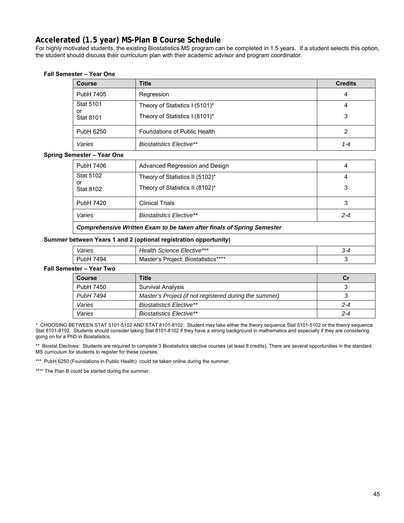# **Accelerated (1.5 year) MS-Plan B Course Schedule**

For highly motivated students, the existing Biostatistics MS program can be completed in 1.5 years. If a student selects this option, the student should discuss their curriculum plan with their academic advisor and program coordinator.

### **Fall Semester – Year One**

| <b>Course</b>          | <b>Title</b>                    | <b>Credits</b> |
|------------------------|---------------------------------|----------------|
| PubH 7405              | Regression                      | 4              |
| <b>Stat 5101</b>       | Theory of Statistics I (5101)*  | 4              |
| or<br><b>Stat 8101</b> | Theory of Statistics I (8101)*  | 3              |
| PubH 6250              | Foundations of Public Health    | 2              |
| Varies                 | <b>Biostatistics Elective**</b> | 1-4            |

### **Spring Semester – Year One**

| PubH 7406                                                                     | Advanced Regression and Design  | 4       |  |
|-------------------------------------------------------------------------------|---------------------------------|---------|--|
| <b>Stat 5102</b>                                                              | Theory of Statistics II (5102)* | 4       |  |
| or<br><b>Stat 8102</b>                                                        | Theory of Statistics II (8102)* | 3       |  |
| PubH 7420                                                                     | <b>Clinical Trials</b>          |         |  |
| Varies                                                                        | <b>Biostatistics Elective**</b> | $2 - 4$ |  |
| <b>Comprehensive Written Exam to be taken after finals of Spring Semester</b> |                                 |         |  |

### **Summer between Years 1 and 2 (optional registration opportunity)**

| $\overline{\phantom{a}}$<br>anes' | c Elective***<br>,,,<br>⊶.<br>энсе<br>.            | -د. |
|-----------------------------------|----------------------------------------------------|-----|
|                                   | statistics****<br>BIO <sup>r</sup><br>∩∩ان<br>IVI: |     |

### **Fall Semester – Year Two**

| <b>Course</b> | <b>Title</b>                                           | C۱      |
|---------------|--------------------------------------------------------|---------|
| PubH 7450     | <b>Survival Analysis</b>                               |         |
| PubH 7494     | Master's Project (if not registered during the summer) |         |
| Varies        | <b>Biostatistics Elective**</b>                        | $2 - 4$ |
| Varies        | <b>Biostatistics Elective**</b>                        | $2 - 4$ |

\* CHOOSING BETWEEN STAT 5101-5102 AND STAT 8101-8102: Student may take either the theory sequence Stat 5101-5102 or the theory sequence Stat 8101-8102. Students should consider taking Stat 8101-8102 if they have a strong background in mathematics and especially if they are considering going on for a PhD in Biostatistics.

\*\* Biostat Electives: Students are required to complete 3 Biostatistics elective courses (at least 8 credits). There are several opportunities in the standard MS curriculum for students to register for these courses.

\*\*\* PubH 6250 (Foundations in Public Health) could be taken online during the summer.

\*\*\*\* The Plan B could be started during the summer.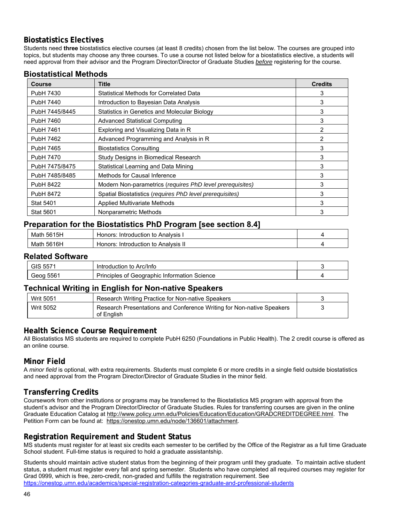## **Biostatistics Electives**

Students need **three** biostatistics elective courses (at least 8 credits) chosen from the list below. The courses are grouped into topics, but students may choose any three courses. To use a course not listed below for a biostatistics elective, a students will need approval from their advisor and the Program Director/Director of Graduate Studies *before* registering for the course.

|  | <b>Biostatistical Methods</b> |
|--|-------------------------------|
|  |                               |

| <b>Course</b>    | Title                                                     | <b>Credits</b> |
|------------------|-----------------------------------------------------------|----------------|
| PubH 7430        | <b>Statistical Methods for Correlated Data</b>            | 3              |
| PubH 7440        | Introduction to Bayesian Data Analysis                    | 3              |
| PubH 7445/8445   | Statistics in Genetics and Molecular Biology              | 3              |
| PubH 7460        | <b>Advanced Statistical Computing</b>                     | 3              |
| PubH 7461        | Exploring and Visualizing Data in R                       | $\overline{2}$ |
| PubH 7462        | Advanced Programming and Analysis in R                    | 2              |
| PubH 7465        | <b>Biostatistics Consulting</b>                           | 3              |
| PubH 7470        | Study Designs in Biomedical Research                      | 3              |
| PubH 7475/8475   | Statistical Learning and Data Mining                      | 3              |
| PubH 7485/8485   | Methods for Causal Inference                              | 3              |
| <b>PubH 8422</b> | Modern Non-parametrics (requires PhD level prerequisites) | 3              |
| PubH 8472        | Spatial Biostatistics (requires PhD level prerequisites)  | 3              |
| <b>Stat 5401</b> | <b>Applied Multivariate Methods</b>                       | 3              |
| <b>Stat 5601</b> | Nonparametric Methods                                     | 3              |

## **Preparation for the Biostatistics PhD Program [see section 8.4]**

| 5615H<br>Math | าors<br>⊤to Analvsıs<br>Introduction<br>. וטד    |  |
|---------------|--------------------------------------------------|--|
| 5616H<br>Math | ≧to Analvsıs II<br>Honors.<br>roduction<br>Intro |  |

## **Related Software**

| . <i>. .</i> .             | Arc/Info<br>oduction<br><b>Intro</b><br>to                 |  |
|----------------------------|------------------------------------------------------------|--|
| <b>--^</b><br>חח≏הׄ<br>556 | Science<br>Principles<br>∶ Information<br>Geographic<br>0t |  |

## **Technical Writing in English for Non-native Speakers**

| <b>Writ 5051</b> | Research Writing Practice for Non-native Speakers                                   |  |
|------------------|-------------------------------------------------------------------------------------|--|
| <b>Writ 5052</b> | Research Presentations and Conference Writing for Non-native Speakers<br>of English |  |

## **Health Science Course Requirement**

All Biostatistics MS students are required to complete PubH 6250 (Foundations in Public Health). The 2 credit course is offered as an online course.

## **Minor Field**

A *minor field* is optional, with extra requirements. Students must complete 6 or more credits in a single field outside biostatistics and need approval from the Program Director/Director of Graduate Studies in the minor field.

## **Transferring Credits**

Coursework from other institutions or programs may be transferred to the Biostatistics MS program with approval from the student's advisor and the Program Director/Director of Graduate Studies. Rules for transferring courses are given in the online Graduate Education Catalog at http://www.policy.umn.edu/Policies/Education/Education/GRADCREDITDEGREE.html. The Petition Form can be found at: https://onestop.umn.edu/node/136601/attachment.

## **Registration Requirement and Student Status**

MS students must register for at least six credits each semester to be certified by the Office of the Registrar as a full time Graduate School student. Full-time status is required to hold a graduate assistantship.

Students should maintain active student status from the beginning of their program until they graduate. To maintain active student status, a student must register every fall and spring semester. Students who have completed all required courses may register for Grad 0999, which is free, zero-credit, non-graded and fulfills the registration requirement. See https://onestop.umn.edu/academics/special-registration-categories-graduate-and-professional-students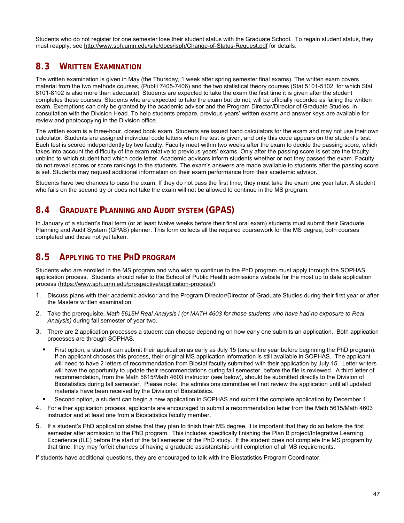Students who do not register for one semester lose their student status with the Graduate School. To regain student status, they must reapply; see http://www.sph.umn.edu/site/docs/isph/Change-of-Status-Request.pdf for details.

# **8.3 WRITTEN EXAMINATION**

The written examination is given in May (the Thursday, 1 week after spring semester final exams). The written exam covers material from the two methods courses, (PubH 7405-7406) and the two statistical theory courses (Stat 5101-5102, for which Stat 8101-8102 is also more than adequate). Students are expected to take the exam the first time it is given after the student completes these courses. Students who are expected to take the exam but do not, will be officially recorded as failing the written exam. Exemptions can only be granted by the academic advisor and the Program Director/Director of Graduate Studies, in consultation with the Division Head. To help students prepare, previous years' written exams and answer keys are available for review and photocopying in the Division office.

The written exam is a three-hour, closed book exam. Students are issued hand calculators for the exam and may not use their own calculator. Students are assigned individual code letters when the test is given, and only this code appears on the student's test. Each test is scored independently by two faculty. Faculty meet within two weeks after the exam to decide the passing score, which takes into account the difficulty of the exam relative to previous years' exams. Only after the passing score is set are the faculty unblind to which student had which code letter. Academic advisors inform students whether or not they passed the exam. Faculty do not reveal scores or score rankings to the students. The exam's answers are made available to students after the passing score is set. Students may request additional information on their exam performance from their academic advisor.

Students have two chances to pass the exam. If they do not pass the first time, they must take the exam one year later. A student who fails on the second try or does not take the exam will not be allowed to continue in the MS program.

# **8.4 GRADUATE PLANNING AND AUDIT SYSTEM (GPAS)**

In January of a student's final term (or at least twelve weeks before their final oral exam) students must submit their Graduate Planning and Audit System (GPAS) planner. This form collects all the required coursework for the MS degree, both courses completed and those not yet taken.

## **8.5 APPLYING TO THE PHD PROGRAM**

Students who are enrolled in the MS program and who wish to continue to the PhD program must apply through the SOPHAS application process. Students should refer to the School of Public Health admissions website for the most up to date application process (https://www.sph.umn.edu/prospective/application-process/):

- 1. Discuss plans with their academic advisor and the Program Director/Director of Graduate Studies during their first year or after the Masters written examination.
- 2. Take the prerequisite, *Math 5615H Real Analysis I (or MATH 4603 for those students who have had no exposure to Real Analysis)* during fall semester of year two.
- 3. There are 2 application processes a student can choose depending on how early one submits an application. Both application processes are through SOPHAS.
	- First option, a student can submit their application as early as July 15 (one entire year before beginning the PhD program). If an applicant chooses this process, their original MS application information is still available in SOPHAS. The applicant will need to have 2 letters of recommendation from Biostat faculty submitted with their application by July 15. Letter writers will have the opportunity to update their recommendations during fall semester, before the file is reviewed. A third letter of recommendation, from the Math 5615/Math 4603 instructor (see below), should be submitted directly to the Division of Biostatistics during fall semester. Please note: the admissions committee will not review the application until all updated materials have been received by the Division of Biostatistics.
	- Second option, a student can begin a new application in SOPHAS and submit the complete application by December 1.
- 4. For either application process, applicants are encouraged to submit a recommendation letter from the Math 5615/Math 4603 instructor and at least one from a Biostatistics faculty member.
- 5. If a student's PhD application states that they plan to finish their MS degree, it is important that they do so before the first semester after admission to the PhD program. This includes specifically finishing the Plan B project/Integrative Learning Experience (ILE) before the start of the fall semester of the PhD study. If the student does not complete the MS program by that time, they may forfeit chances of having a graduate assistantship until completion of all MS requirements.

If students have additional questions, they are encouraged to talk with the Biostatistics Program Coordinator.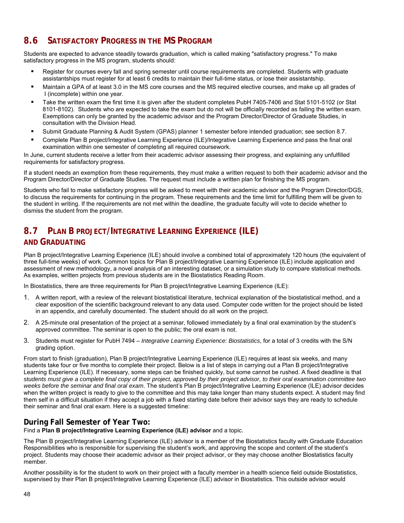# **8.6 SATISFACTORY PROGRESS IN THE MS PROGRAM**

Students are expected to advance steadily towards graduation, which is called making "satisfactory progress." To make satisfactory progress in the MS program, students should:

- Register for courses every fall and spring semester until course requirements are completed. Students with graduate assistantships must register for at least 6 credits to maintain their full-time status, or lose their assistantship.
- Maintain a GPA of at least 3.0 in the MS core courses and the MS required elective courses, and make up all grades of I (incomplete) within one year.
- Take the written exam the first time it is given after the student completes PubH 7405-7406 and Stat 5101-5102 (or Stat 8101-8102). Students who are expected to take the exam but do not will be officially recorded as failing the written exam. Exemptions can only be granted by the academic advisor and the Program Director/Director of Graduate Studies, in consultation with the Division Head.
- Submit Graduate Planning & Audit System (GPAS) planner 1 semester before intended graduation; see section 8.7.
- Complete Plan B project/Integrative Learning Experience (ILE)/Integrative Learning Experience and pass the final oral examination within one semester of completing all required coursework.

In June, current students receive a letter from their academic advisor assessing their progress, and explaining any unfulfilled requirements for satisfactory progress.

If a student needs an exemption from these requirements, they must make a written request to both their academic advisor and the Program Director/Director of Graduate Studies. The request must include a written plan for finishing the MS program.

Students who fail to make satisfactory progress will be asked to meet with their academic advisor and the Program Director/DGS, to discuss the requirements for continuing in the program. These requirements and the time limit for fulfilling them will be given to the student in writing. If the requirements are not met within the deadline, the graduate faculty will vote to decide whether to dismiss the student from the program.

# **8.7 PLAN B PROJECT/INTEGRATIVE LEARNING EXPERIENCE (ILE)**

## **AND GRADUATING**

Plan B project/Integrative Learning Experience (ILE) should involve a combined total of approximately 120 hours (the equivalent of three full-time weeks) of work. Common topics for Plan B project/Integrative Learning Experience (ILE) include application and assessment of new methodology, a novel analysis of an interesting dataset, or a simulation study to compare statistical methods. As examples, written projects from previous students are in the Biostatistics Reading Room.

In Biostatistics, there are three requirements for Plan B project/Integrative Learning Experience (ILE):

- 1. A written report, with a review of the relevant biostatistical literature, technical explanation of the biostatistical method, and a clear exposition of the scientific background relevant to any data used. Computer code written for the project should be listed in an appendix, and carefully documented. The student should do all work on the project.
- 2. A 25-minute oral presentation of the project at a seminar, followed immediately by a final oral examination by the student's approved committee. The seminar is open to the public; the oral exam is not.
- 3. Students must register for PubH 7494 *Integrative Learning Experience: Biostatistics*, for a total of 3 credits with the S/N grading option.

From start to finish (graduation), Plan B project/Integrative Learning Experience (ILE) requires at least six weeks, and many students take four or five months to complete their project. Below is a list of steps in carrying out a Plan B project/Integrative Learning Experience (ILE). If necessary, some steps can be finished quickly, but some cannot be rushed. A fixed deadline is that *students must give a complete final copy of their project, approved by their project advisor, to their oral examination committee two weeks before the seminar and final oral exam*. The student's Plan B project/Integrative Learning Experience (ILE) advisor decides when the written project is ready to give to the committee and this may take longer than many students expect. A student may find them self in a difficult situation if they accept a job with a fixed starting date before their advisor says they are ready to schedule their seminar and final oral exam. Here is a suggested timeline:

## **During Fall Semester of Year Two:**

Find a **Plan B project/Integrative Learning Experience (ILE) advisor** and a topic.

The Plan B project/Integrative Learning Experience (ILE) advisor is a member of the Biostatistics faculty with Graduate Education Responsibilities who is responsible for supervising the student's work, and approving the scope and content of the student's project. Students may choose their academic advisor as their project advisor, or they may choose another Biostatistics faculty member.

Another possibility is for the student to work on their project with a faculty member in a health science field outside Biostatistics, supervised by their Plan B project/Integrative Learning Experience (ILE) advisor in Biostatistics. This outside advisor would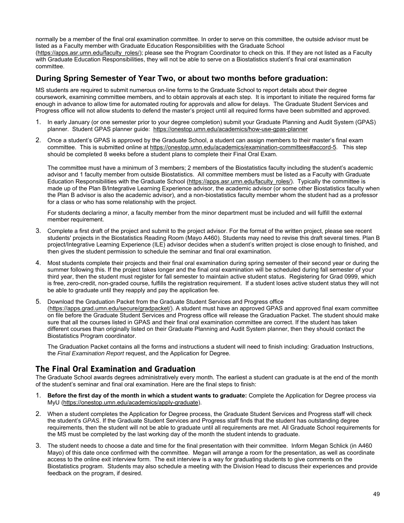normally be a member of the final oral examination committee. In order to serve on this committee, the outside advisor must be listed as a Faculty member with Graduate Education Responsibilities with the Graduate School

(https://apps.asr.umn.edu/faculty\_roles/); please see the Program Coordinator to check on this. If they are not listed as a Faculty with Graduate Education Responsibilities, they will not be able to serve on a Biostatistics student's final oral examination committee.

## **During Spring Semester of Year Two, or about two months before graduation:**

MS students are required to submit numerous on-line forms to the Graduate School to report details about their degree coursework, examining committee members, and to obtain approvals at each step. It is important to initiate the required forms far enough in advance to allow time for automated routing for approvals and allow for delays. The Graduate Student Services and Progress office will not allow students to defend the master's project until all required forms have been submitted and approved.

- 1. In early January (or one semester prior to your degree completion) submit your Graduate Planning and Audit System (GPAS) planner. Student GPAS planner guide: https://onestop.umn.edu/academics/how-use-gpas-planner
- 2. Once a student's GPAS is approved by the Graduate School, a student can assign members to their master's final exam committee. This is submitted online at https://onestop.umn.edu/academics/examination-committees#accord-5. This step should be completed 8 weeks before a student plans to complete their Final Oral Exam.

The committee must have a minimum of 3 members; 2 members of the Biostatistics faculty including the student's academic advisor and 1 faculty member from outside Biostatistics. All committee members must be listed as a Faculty with Graduate Education Responsibilities with the Graduate School (https://apps.asr.umn.edu/faculty\_roles/). Typically the committee is made up of the Plan B/Integrative Learning Experience advisor, the academic advisor (or some other Biostatistics faculty when the Plan B advisor is also the academic advisor), and a non-biostatistics faculty member whom the student had as a professor for a class or who has some relationship with the project.

For students declaring a minor, a faculty member from the minor department must be included and will fulfill the external member requirement.

- 3. Complete a first draft of the project and submit to the project advisor. For the format of the written project, please see recent students' projects in the Biostatistics Reading Room (Mayo A460). Students may need to revise this draft several times. Plan B project/Integrative Learning Experience (ILE) advisor decides when a student's written project is close enough to finished, and then gives the student permission to schedule the seminar and final oral examination.
- 4. Most students complete their projects and their final oral examination during spring semester of their second year or during the summer following this. If the project takes longer and the final oral examination will be scheduled during fall semester of your third year, then the student must register for fall semester to maintain active student status. Registering for Grad 0999, which is free, zero-credit, non-graded course, fulfills the registration requirement. If a student loses active student status they will not be able to graduate until they reapply and pay the application fee.

5. Download the Graduation Packet from the Graduate Student Services and Progress office (https://apps.grad.umn.edu/secure/gradpacket/). A student must have an approved GPAS and approved final exam committee on file before the Graduate Student Services and Progress office will release the Graduation Packet. The student should make sure that all the courses listed in GPAS and their final oral examination committee are correct. If the student has taken different courses than originally listed on their Graduate Planning and Audit System planner, then they should contact the Biostatistics Program coordinator.

The Graduation Packet contains all the forms and instructions a student will need to finish including: Graduation Instructions, the *Final Examination Report* request, and the Application for Degree.

## **The Final Oral Examination and Graduation**

The Graduate School awards degrees administratively every month. The earliest a student can graduate is at the end of the month of the student's seminar and final oral examination. Here are the final steps to finish:

- 1. **Before the first day of the month in which a student wants to graduate:** Complete the Application for Degree process via MyU (https://onestop.umn.edu/academics/apply-graduate).
- 2. When a student completes the Application for Degree process, the Graduate Student Services and Progress staff will check the student's *GPAS*. If the Graduate Student Services and Progress staff finds that the student has outstanding degree requirements, then the student will not be able to graduate until all requirements are met. All Graduate School requirements for the MS must be completed by the last working day of the month the student intends to graduate.
- 3. The student needs to choose a date and time for the final presentation with their committee. Inform Megan Schlick (in A460 Mayo) of this date once confirmed with the committee. Megan will arrange a room for the presentation, as well as coordinate access to the online exit interview form. The exit interview is a way for graduating students to give comments on the Biostatistics program. Students may also schedule a meeting with the Division Head to discuss their experiences and provide feedback on the program, if desired.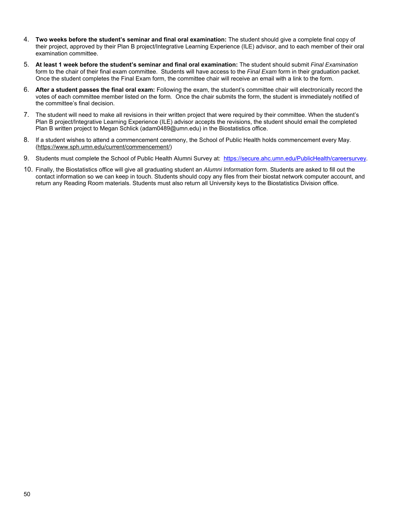- 4. **Two weeks before the student's seminar and final oral examination:** The student should give a complete final copy of their project, approved by their Plan B project/Integrative Learning Experience (ILE) advisor, and to each member of their oral examination committee.
- 5. **At least 1 week before the student's seminar and final oral examination:** The student should submit *Final Examination*  form to the chair of their final exam committee. Students will have access to the *Final Exam* form in their graduation packet. Once the student completes the Final Exam form, the committee chair will receive an email with a link to the form.
- 6. **After a student passes the final oral exam:** Following the exam, the student's committee chair will electronically record the votes of each committee member listed on the form*.* Once the chair submits the form, the student is immediately notified of the committee's final decision.
- 7. The student will need to make all revisions in their written project that were required by their committee. When the student's Plan B project/Integrative Learning Experience (ILE) advisor accepts the revisions, the student should email the completed Plan B written project to Megan Schlick (adam0489@umn.edu) in the Biostatistics office.
- 8. If a student wishes to attend a commencement ceremony, the School of Public Health holds commencement every May. (https://www.sph.umn.edu/current/commencement/)
- 9. Students must complete the School of Public Health Alumni Survey at: https://secure.ahc.umn.edu/PublicHealth/careersurvey.
- 10. Finally, the Biostatistics office will give all graduating student an *Alumni Information* form. Students are asked to fill out the contact information so we can keep in touch. Students should copy any files from their biostat network computer account, and return any Reading Room materials. Students must also return all University keys to the Biostatistics Division office.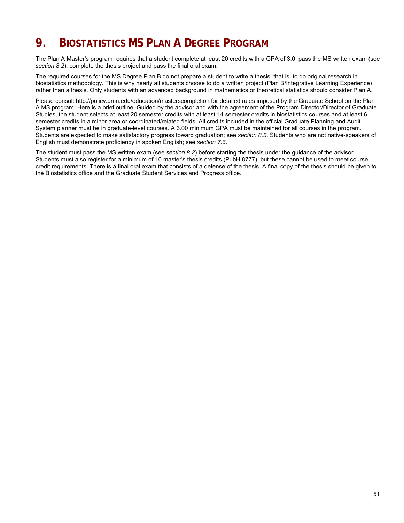# **9. BIOSTATISTICS MS PLAN A DEGREE PROGRAM**

The Plan A Master's program requires that a student complete at least 20 credits with a GPA of 3.0, pass the MS written exam (see *section 8.2*), complete the thesis project and pass the final oral exam.

The required courses for the MS Degree Plan B do not prepare a student to write a thesis, that is, to do original research in biostatistics methodology. This is why nearly all students choose to do a written project (Plan B/Integrative Learning Experience) rather than a thesis. Only students with an advanced background in mathematics or theoretical statistics should consider Plan A.

Please consult http://policy.umn.edu/education/masterscompletion for detailed rules imposed by the Graduate School on the Plan A MS program. Here is a brief outline: Guided by the advisor and with the agreement of the Program Director/Director of Graduate Studies, the student selects at least 20 semester credits with at least 14 semester credits in biostatistics courses and at least 6 semester credits in a minor area or coordinated/related fields. All credits included in the official Graduate Planning and Audit System planner must be in graduate-level courses. A 3.00 minimum GPA must be maintained for all courses in the program. Students are expected to make satisfactory progress toward graduation; see *section 8.5*. Students who are not native-speakers of English must demonstrate proficiency in spoken English; see *section 7.6*.

The student must pass the MS written exam (see *section 8.2*) before starting the thesis under the guidance of the advisor. Students must also register for a minimum of 10 master's thesis credits (PubH 8777), but these cannot be used to meet course credit requirements. There is a final oral exam that consists of a defense of the thesis. A final copy of the thesis should be given to the Biostatistics office and the Graduate Student Services and Progress office.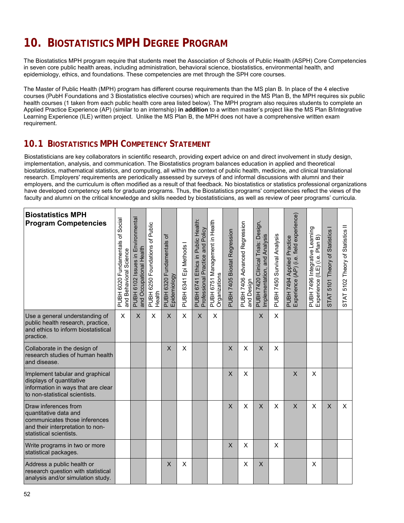# **10. BIOSTATISTICS MPH DEGREE PROGRAM**

The Biostatistics MPH program require that students meet the Association of Schools of Public Health (ASPH) Core Competencies in seven core public health areas, including administration, behavioral science, biostatistics, environmental health, and epidemiology, ethics, and foundations. These competencies are met through the SPH core courses.

The Master of Public Health (MPH) program has different course requirements than the MS plan B. In place of the 4 elective courses (PubH Foundations and 3 Biostatistics elective courses) which are required in the MS Plan B, the MPH requires six public health courses (1 taken from each public health core area listed below). The MPH program also requires students to complete an Applied Practice Experience (AP) (similar to an internship) **in addition** to a written master's project like the MS Plan B/Integrative Learning Experience (ILE) written project. Unlike the MS Plan B, the MPH does not have a comprehensive written exam requirement.

# **10.1 BIOSTATISTICS MPH COMPETENCY STATEMENT**

Biostatisticians are key collaborators in scientific research, providing expert advice on and direct involvement in study design, implementation, analysis, and communication. The Biostatistics program balances education in applied and theoretical biostatistics, mathematical statistics, and computing, all within the context of public health, medicine, and clinical translational research. Employers' requirements are periodically assessed by surveys of and informal discussions with alumni and their employers, and the curriculum is often modified as a result of that feedback. No biostatistics or statistics professional organizations have developed competency sets for graduate programs. Thus, the Biostatistics programs' competencies reflect the views of the faculty and alumni on the critical knowledge and skills needed by biostatisticians, as well as review of peer programs' curricula.

| <b>Biostatistics MPH</b><br><b>Program Competencies</b>                                                                                       | PUBH 6020 Fundamentals of Social<br>and Behavioral Science | PUBH 6102 Issues in Environmental<br>and Occupational Health | of Public<br>PUBH 6250 Foundations<br>Health | PUBH 6320 Fundamentals of<br>Epidemiology | PUBH 6341 Epi Methods I | PUBH 6741 Ethics in Public Health:<br>Professional Practice and Policy | PUBH 6751 Management in Health<br>Organizations | PUBH 7405 Biostat Regression | PUBH 7406 Advanced Regression<br>and Design | PUBH 7420 Clinical Trials: Design,<br>Implementation, and Analysis | PUBH 7450 Survival Analysis | PUBH 7494 Applied Practice<br>Experience (AP) (i.e. field experience) | PUBH 7496 Integrative Learning<br>Experience (ILE) (i.e. Plan B) | STAT 5101 Theory of Statistics | STAT 5102 Theory of Statistics II |
|-----------------------------------------------------------------------------------------------------------------------------------------------|------------------------------------------------------------|--------------------------------------------------------------|----------------------------------------------|-------------------------------------------|-------------------------|------------------------------------------------------------------------|-------------------------------------------------|------------------------------|---------------------------------------------|--------------------------------------------------------------------|-----------------------------|-----------------------------------------------------------------------|------------------------------------------------------------------|--------------------------------|-----------------------------------|
| Use a general understanding of<br>public health research, practice,<br>and ethics to inform biostatistical<br>practice.                       | $\mathsf{X}$                                               | X                                                            | X                                            | $\mathsf{X}$                              | X                       | $\sf X$                                                                | X                                               |                              |                                             | X                                                                  | X                           |                                                                       |                                                                  |                                |                                   |
| Collaborate in the design of<br>research studies of human health<br>and disease.                                                              |                                                            |                                                              |                                              | X                                         | X                       |                                                                        |                                                 | $\mathsf{X}$                 | X                                           | X                                                                  | X                           |                                                                       |                                                                  |                                |                                   |
| Implement tabular and graphical<br>displays of quantitative<br>information in ways that are clear<br>to non-statistical scientists.           |                                                            |                                                              |                                              |                                           |                         |                                                                        |                                                 | $\sf X$                      | X                                           |                                                                    |                             | X                                                                     | X                                                                |                                |                                   |
| Draw inferences from<br>quantitative data and<br>communicates those inferences<br>and their interpretation to non-<br>statistical scientists. |                                                            |                                                              |                                              |                                           |                         |                                                                        |                                                 | $\mathsf{X}$                 | X                                           | $\sf X$                                                            | X                           | $\times$                                                              | X                                                                | $\times$                       | $\mathsf{x}$                      |
| Write programs in two or more<br>statistical packages.                                                                                        |                                                            |                                                              |                                              |                                           |                         |                                                                        |                                                 | $\mathsf{X}$                 | X                                           |                                                                    | X                           |                                                                       |                                                                  |                                |                                   |
| Address a public health or<br>research question with statistical<br>analysis and/or simulation study.                                         |                                                            |                                                              |                                              | $\mathsf{X}$                              | X                       |                                                                        |                                                 |                              | X                                           | X                                                                  |                             |                                                                       | X                                                                |                                |                                   |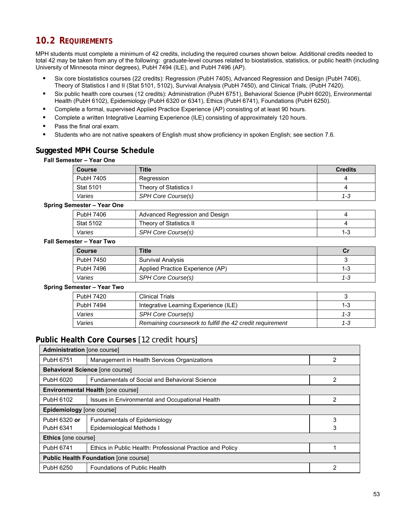# **10.2 REQUIREMENTS**

MPH students must complete a minimum of 42 credits, including the required courses shown below. Additional credits needed to total 42 may be taken from any of the following: graduate-level courses related to biostatistics, statistics, or public health (including University of Minnesota minor degrees), PubH 7494 (ILE), and PubH 7496 (AP).

- Six core biostatistics courses (22 credits): Regression (PubH 7405), Advanced Regression and Design (PubH 7406), Theory of Statistics I and II (Stat 5101, 5102), Survival Analysis (PubH 7450), and Clinical Trials, (PubH 7420).
- Six public health core courses (12 credits): Administration (PubH 6751), Behavioral Science (PubH 6020), Environmental Health (PubH 6102), Epidemiology (PubH 6320 or 6341), Ethics (PubH 6741), Foundations (PubH 6250).
- Complete a formal, supervised Applied Practice Experience (AP) consisting of at least 90 hours.
- Complete a written Integrative Learning Experience (ILE) consisting of approximately 120 hours.
- Pass the final oral exam.
- Students who are not native speakers of English must show proficiency in spoken English; see section 7.6.

## **Suggested MPH Course Schedule**

### **Fall Semester – Year One**

| <b>Course</b>    | Title                  | <b>Credits</b> |
|------------------|------------------------|----------------|
| PubH 7405        | Regression             |                |
| <b>Stat 5101</b> | Theory of Statistics I |                |
| Varies           | SPH Core Course(s)     | 1-3            |

### **Spring Semester – Year One**

| PubH 7406        | Advanced Regression and Design |     |
|------------------|--------------------------------|-----|
| <b>Stat 5102</b> | Theory of Statistics II        |     |
| Varies           | SPH Core Course(s)             | 1-3 |

### **Fall Semester – Year Two**

| <b>Course</b> | <b>Title</b>                     | Сı  |
|---------------|----------------------------------|-----|
| PubH 7450     | Survival Analysis                |     |
| PubH 7496     | Applied Practice Experience (AP) | 1-3 |
| Varies        | SPH Core Course(s)               | 1-3 |

### **Spring Semester – Year Two**

| PubH 7420 | <b>Clinical Trials</b>                                    |     |
|-----------|-----------------------------------------------------------|-----|
| PubH 7494 | Integrative Learning Experience (ILE)                     | 1-3 |
| Varies    | SPH Core Course(s)                                        | 1-3 |
| Varies    | Remaining coursework to fulfill the 42 credit requirement | 1-3 |

## **Public Health Core Courses** [12 credit hours]

| <b>Administration</b> [one course]                                |                                                           |   |  |  |  |  |  |
|-------------------------------------------------------------------|-----------------------------------------------------------|---|--|--|--|--|--|
| PubH 6751                                                         | Management in Health Services Organizations               | 2 |  |  |  |  |  |
| Behavioral Science [one course]                                   |                                                           |   |  |  |  |  |  |
| PubH 6020<br><b>Fundamentals of Social and Behavioral Science</b> |                                                           |   |  |  |  |  |  |
|                                                                   | <b>Environmental Health [one course]</b>                  |   |  |  |  |  |  |
| PubH 6102                                                         | Issues in Environmental and Occupational Health           | 2 |  |  |  |  |  |
| Epidemiology [one course]                                         |                                                           |   |  |  |  |  |  |
| PubH 6320 or                                                      | <b>Fundamentals of Epidemiology</b>                       | 3 |  |  |  |  |  |
| PubH 6341                                                         | Epidemiological Methods I                                 | 3 |  |  |  |  |  |
| <b>Ethics</b> [one course]                                        |                                                           |   |  |  |  |  |  |
| PubH 6741                                                         | Ethics in Public Health: Professional Practice and Policy |   |  |  |  |  |  |
|                                                                   | <b>Public Health Foundation [one course]</b>              |   |  |  |  |  |  |
| PubH 6250                                                         | <b>Foundations of Public Health</b>                       | 2 |  |  |  |  |  |
|                                                                   |                                                           |   |  |  |  |  |  |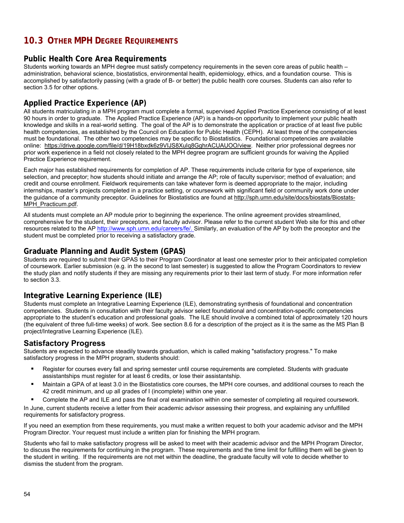# **10.3 OTHER MPH DEGREE REQUIREMENTS**

## **Public Health Core Area Requirements**

Students working towards an MPH degree must satisfy competency requirements in the seven core areas of public health – administration, behavioral science, biostatistics, environmental health, epidemiology, ethics, and a foundation course. This is accomplished by satisfactorily passing (with a grade of B- or better) the public health core courses. Students can also refer to section 3.5 for other options.

## **Applied Practice Experience (AP)**

All students matriculating in a MPH program must complete a formal, supervised Applied Practice Experience consisting of at least 90 hours in order to graduate. The Applied Practice Experience (AP) is a hands-on opportunity to implement your public health knowledge and skills in a real-world setting. The goal of the AP is to demonstrate the application or practice of at least five public health competencies, as established by the Council on Education for Public Health (CEPH). At least three of the competencies must be foundational. The other two competencies may be specific to Biostatistics. Foundational competencies are available online: https://drive.google.com/file/d/19H18bxdk6z9VIJS8XuIq8GghrACUAUOO/view. Neither prior professional degrees nor prior work experience in a field not closely related to the MPH degree program are sufficient grounds for waiving the Applied Practice Experience requirement.

Each major has established requirements for completion of AP. These requirements include criteria for type of experience, site selection, and preceptor; how students should initiate and arrange the AP; role of faculty supervisor; method of evaluation; and credit and course enrollment. Fieldwork requirements can take whatever form is deemed appropriate to the major, including internships, master's projects completed in a practice setting, or coursework with significant field or community work done under the guidance of a community preceptor. Guidelines for Biostatistics are found at http://sph.umn.edu/site/docs/biostats/Biostats-MPH\_Practicum.pdf.

All students must complete an AP module prior to beginning the experience. The online agreement provides streamlined, comprehensive for the student, their preceptors, and faculty advisor. Please refer to the current student Web site for this and other resources related to the AP http://www.sph.umn.edu/careers/fe/. Similarly, an evaluation of the AP by both the preceptor and the student must be completed prior to receiving a satisfactory grade.

## **Graduate Planning and Audit System (GPAS)**

Students are required to submit their GPAS to their Program Coordinator at least one semester prior to their anticipated completion of coursework. Earlier submission (e.g. in the second to last semester) is suggested to allow the Program Coordinators to review the study plan and notify students if they are missing any requirements prior to their last term of study. For more information refer to section 3.3.

## **Integrative Learning Experience (ILE)**

Students must complete an Integrative Learning Experience (ILE), demonstrating synthesis of foundational and concentration competencies. Students in consultation with their faculty advisor select foundational and concentration-specific competencies appropriate to the student's education and professional goals. The ILE should involve a combined total of approximately 120 hours (the equivalent of three full-time weeks) of work. See section 8.6 for a description of the project as it is the same as the MS Plan B project/Integrative Learning Experience (ILE).

## **Satisfactory Progress**

Students are expected to advance steadily towards graduation, which is called making "satisfactory progress." To make satisfactory progress in the MPH program, students should:

- Register for courses every fall and spring semester until course requirements are completed. Students with graduate assistantships must register for at least 6 credits, or lose their assistantship.
- Maintain a GPA of at least 3.0 in the Biostatistics core courses, the MPH core courses, and additional courses to reach the 42 credit minimum, and up all grades of I (incomplete) within one year.
- Complete the AP and ILE and pass the final oral examination within one semester of completing all required coursework.

In June, current students receive a letter from their academic advisor assessing their progress, and explaining any unfulfilled requirements for satisfactory progress.

If you need an exemption from these requirements, you must make a written request to both your academic advisor and the MPH Program Director. Your request must include a written plan for finishing the MPH program.

Students who fail to make satisfactory progress will be asked to meet with their academic advisor and the MPH Program Director, to discuss the requirements for continuing in the program. These requirements and the time limit for fulfilling them will be given to the student in writing. If the requirements are not met within the deadline, the graduate faculty will vote to decide whether to dismiss the student from the program.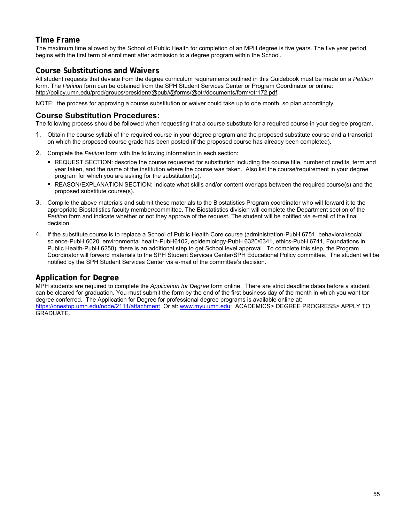## **Time Frame**

The maximum time allowed by the School of Public Health for completion of an MPH degree is five years. The five year period begins with the first term of enrollment after admission to a degree program within the School.

## **Course Substitutions and Waivers**

All student requests that deviate from the degree curriculum requirements outlined in this Guidebook must be made on a *Petition*  form. The *Petition* form can be obtained from the SPH Student Services Center or Program Coordinator or online: http://policy.umn.edu/prod/groups/president/@pub/@forms/@otr/documents/form/otr172.pdf.

NOTE: the process for approving a course substitution or waiver could take up to one month, so plan accordingly.

## **Course Substitution Procedures:**

The following process should be followed when requesting that a course substitute for a required course in your degree program.

- 1. Obtain the course syllabi of the required course in your degree program and the proposed substitute course and a transcript on which the proposed course grade has been posted (if the proposed course has already been completed).
- 2. Complete the *Petition* form with the following information in each section:
	- REQUEST SECTION: describe the course requested for substitution including the course title, number of credits, term and year taken, and the name of the institution where the course was taken. Also list the course/requirement in your degree program for which you are asking for the substitution(s).
	- REASON/EXPLANATION SECTION: Indicate what skills and/or content overlaps between the required course(s) and the proposed substitute course(s).
- 3. Compile the above materials and submit these materials to the Biostatistics Program coordinator who will forward it to the appropriate Biostatistics faculty member/committee. The Biostatistics division will complete the Department section of the *Petition* form and indicate whether or not they approve of the request. The student will be notified via e-mail of the final decision.
- 4. If the substitute course is to replace a School of Public Health Core course (administration-PubH 6751, behavioral/social science-PubH 6020, environmental health-PubH6102, epidemiology-PubH 6320/6341, ethics-PubH 6741, Foundations in Public Health-PubH 6250), there is an additional step to get School level approval. To complete this step, the Program Coordinator will forward materials to the SPH Student Services Center/SPH Educational Policy committee. The student will be notified by the SPH Student Services Center via e-mail of the committee's decision.

## **Application for Degree**

MPH students are required to complete the *Application for Degree* form online. There are strict deadline dates before a student can be cleared for graduation. You must submit the form by the end of the first business day of the month in which you want tor degree conferred. The Application for Degree for professional degree programs is available online at: https://onestop.umn.edu/node/2111/attachment Or at: www.myu.umn.edu: ACADEMICS> DEGREE PROGRESS> APPLY TO GRADUATE.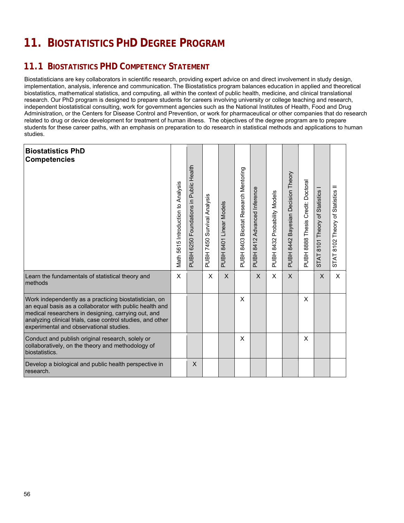# **11. BIOSTATISTICS PHD DEGREE PROGRAM**

# **11.1 BIOSTATISTICS PHD COMPETENCY STATEMENT**

Biostatisticians are key collaborators in scientific research, providing expert advice on and direct involvement in study design, implementation, analysis, inference and communication. The Biostatistics program balances education in applied and theoretical biostatistics, mathematical statistics, and computing, all within the context of public health, medicine, and clinical translational research. Our PhD program is designed to prepare students for careers involving university or college teaching and research, independent biostatistical consulting, work for government agencies such as the National Institutes of Health, Food and Drug Administration, or the Centers for Disease Control and Prevention, or work for pharmaceutical or other companies that do research related to drug or device development for treatment of human illness. The objectives of the degree program are to prepare students for these career paths, with an emphasis on preparation to do research in statistical methods and applications to human studies.

| <b>Biostatistics PhD</b><br><b>Competencies</b>                                                                                                                                                                                                                                   | Math 5615 Introduction to Analysis | Foundations in Public Health<br>6250<br>PUBH | PUBH 7450 Survival Analysis | <b>PUBH 8401 Linear Models</b> | PUBH 8403 Biostat Research Mentoring | PUBH 8412 Advanced Inference | Probability Models<br>8432<br>PUBH <sup>3</sup> | Bayesian Decision Theory<br>PUBH 8442 | Credit: Doctoral<br>PUBH 8888 Thesis | 8101 Theory of Statistics I<br>STAT <sub>i</sub> | STAT 8102 Theory of Statistics II |
|-----------------------------------------------------------------------------------------------------------------------------------------------------------------------------------------------------------------------------------------------------------------------------------|------------------------------------|----------------------------------------------|-----------------------------|--------------------------------|--------------------------------------|------------------------------|-------------------------------------------------|---------------------------------------|--------------------------------------|--------------------------------------------------|-----------------------------------|
| Learn the fundamentals of statistical theory and<br>methods                                                                                                                                                                                                                       | X                                  |                                              | X                           | X                              |                                      | $\mathsf{X}$                 | X                                               | X                                     |                                      | X                                                | X                                 |
| Work independently as a practicing biostatistician, on<br>an equal basis as a collaborator with public health and<br>medical researchers in designing, carrying out, and<br>analyzing clinical trials, case control studies, and other<br>experimental and observational studies. |                                    |                                              |                             |                                | X                                    |                              |                                                 |                                       | $\times$                             |                                                  |                                   |
| Conduct and publish original research, solely or<br>collaboratively, on the theory and methodology of<br>biostatistics.                                                                                                                                                           |                                    |                                              |                             |                                | X                                    |                              |                                                 |                                       | X                                    |                                                  |                                   |
| Develop a biological and public health perspective in<br>research.                                                                                                                                                                                                                |                                    | X                                            |                             |                                |                                      |                              |                                                 |                                       |                                      |                                                  |                                   |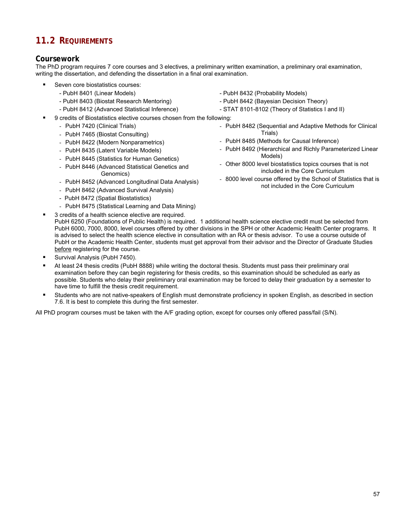# **11.2 REQUIREMENTS**

## **Coursework**

The PhD program requires 7 core courses and 3 electives, a preliminary written examination, a preliminary oral examination, writing the dissertation, and defending the dissertation in a final oral examination.

- Seven core biostatistics courses:
	- PubH 8401 (Linear Models)
	- PubH 8403 (Biostat Research Mentoring)
	- PubH 8412 (Advanced Statistical Inference)
- 9 credits of Biostatistics elective courses chosen from the following:
	- PubH 7420 (Clinical Trials)
	- PubH 7465 (Biostat Consulting)
	- PubH 8422 (Modern Nonparametrics)
	- PubH 8435 (Latent Variable Models)
	- PubH 8445 (Statistics for Human Genetics)
	- PubH 8446 (Advanced Statistical Genetics and Genomics)
	- PubH 8452 (Advanced Longitudinal Data Analysis)
	- PubH 8462 (Advanced Survival Analysis)
	- PubH 8472 (Spatial Biostatistics)
	- PubH 8475 (Statistical Learning and Data Mining)
	- 3 credits of a health science elective are required.
- PubH 8432 (Probability Models)
- PubH 8442 (Bayesian Decision Theory)
- STAT 8101-8102 (Theory of Statistics I and II)
- PubH 8482 (Sequential and Adaptive Methods for Clinical Trials)
- PubH 8485 (Methods for Causal Inference)
- PubH 8492 (Hierarchical and Richly Parameterized Linear Models)
- Other 8000 level biostatistics topics courses that is not included in the Core Curriculum
- 8000 level course offered by the School of Statistics that is not included in the Core Curriculum
- PubH 6250 (Foundations of Public Health) is required. 1 additional health science elective credit must be selected from PubH 6000, 7000, 8000, level courses offered by other divisions in the SPH or other Academic Health Center programs. It is advised to select the health science elective in consultation with an RA or thesis advisor. To use a course outside of PubH or the Academic Health Center, students must get approval from their advisor and the Director of Graduate Studies before registering for the course.
- **Survival Analysis (PubH 7450).**
- At least 24 thesis credits (PubH 8888) while writing the doctoral thesis. Students must pass their preliminary oral examination before they can begin registering for thesis credits, so this examination should be scheduled as early as possible. Students who delay their preliminary oral examination may be forced to delay their graduation by a semester to have time to fulfill the thesis credit requirement.
- Students who are not native-speakers of English must demonstrate proficiency in spoken English, as described in section 7.6. It is best to complete this during the first semester.

All PhD program courses must be taken with the A/F grading option, except for courses only offered pass/fail (S/N).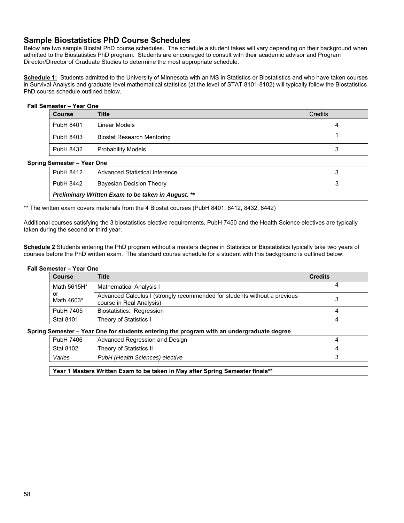## **Sample Biostatistics PhD Course Schedules**

Below are two sample Biostat PhD course schedules. The schedule a student takes will vary depending on their background when admitted to the Biostatistics PhD program. Students are encouraged to consult with their academic advisor and Program Director/Director of Graduate Studies to determine the most appropriate schedule.

Schedule 1: Students admitted to the University of Minnesota with an MS in Statistics or Biostatistics and who have taken courses in Survival Analysis and graduate level mathematical statistics (at the level of STAT 8101-8102) will typically follow the Biostatistics PhD course schedule outlined below.

### **Fall Semester – Year One**

| <b>Course</b> | <b>Title</b>                      | Credits |
|---------------|-----------------------------------|---------|
| PubH 8401     | Linear Models                     | 4       |
| PubH 8403     | <b>Biostat Research Mentoring</b> |         |
| PubH 8432     | <b>Probability Models</b>         |         |

### **Spring Semester – Year One**

|     | Preliminary Written Exam to be taken in August. ** |                                |  |
|-----|----------------------------------------------------|--------------------------------|--|
|     | PubH 8442                                          | Bavesian Decision Theory       |  |
| . . | PubH 8412                                          | Advanced Statistical Inference |  |

\*\* The written exam covers materials from the 4 Biostat courses (PubH 8401, 8412, 8432, 8442)

Additional courses satisfying the 3 biostatistics elective requirements, PubH 7450 and the Health Science electives are typically taken during the second or third year.

**Schedule 2** Students entering the PhD program without a masters degree in Statistics or Biostatistics typically take two years of courses before the PhD written exam. The standard course schedule for a student with this background is outlined below.

#### **Fall Semester – Year One**

| <b>Course</b>    | <b>Title</b>                                                                                          | <b>Credits</b> |
|------------------|-------------------------------------------------------------------------------------------------------|----------------|
| Math 5615H*      | Mathematical Analysis I                                                                               |                |
| or<br>Math 4603* | Advanced Calculus I (strongly recommended for students without a previous<br>course in Real Analysis) |                |
| PubH 7405        | Biostatistics: Regression                                                                             |                |
| <b>Stat 8101</b> | Theory of Statistics I                                                                                |                |

### **Spring Semester – Year One for students entering the program with an undergraduate degree**

| PubH 7406 | Advanced Regression and Design  |  |
|-----------|---------------------------------|--|
| Stat 8102 | Theory of Statistics II         |  |
| Varies    | PubH (Health Sciences) elective |  |
|           |                                 |  |

**Year 1 Masters Written Exam to be taken in May after Spring Semester finals\*\***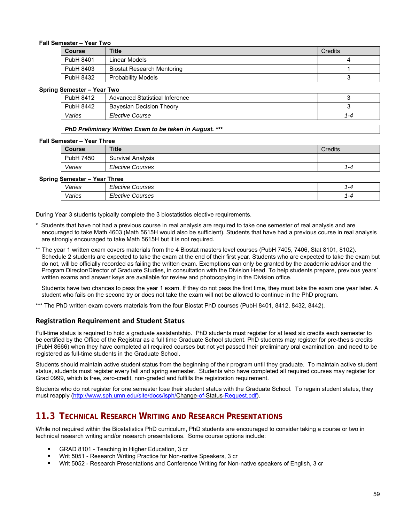### **Fall Semester – Year Two**

| <b>Course</b> | <b>Title</b>               | Credits |
|---------------|----------------------------|---------|
| PubH 8401     | Linear Models              |         |
| PubH 8403     | Biostat Research Mentoring |         |
| PubH 8432     | <b>Probability Models</b>  |         |

### **Spring Semester – Year Two**

| $-1.11$<br>.     |                                 |     |
|------------------|---------------------------------|-----|
| PubH 8412        | Advanced Statistical Inference  |     |
| <b>PubH 8442</b> | <b>Bayesian Decision Theory</b> |     |
| Varies           | Elective Course                 | 1-4 |

### *PhD Preliminary Written Exam to be taken in August. \*\*\**

#### **Fall Semester – Year Three**

| <b>Course</b> | <b>Title</b>             | <b>Credits</b> |
|---------------|--------------------------|----------------|
| 7450<br>PubH  | <b>Survival Analysis</b> |                |
| Varies        | <b>Elective Courses</b>  | 1-4            |

#### **Spring Semester – Year Three**

| <u>sunuvu</u><br>. vu. vv |        |                                          |  |
|---------------------------|--------|------------------------------------------|--|
|                           | Varies | --<br><i>Elective Courses</i>            |  |
|                           | Varies | - -<br><i><b>Elective</b></i><br>Courses |  |

During Year 3 students typically complete the 3 biostatistics elective requirements.

- Students that have not had a previous course in real analysis are required to take one semester of real analysis and are encouraged to take Math 4603 (Math 5615H would also be sufficient). Students that have had a previous course in real analysis are strongly encouraged to take Math 5615H but it is not required.
- \*\* The year 1 written exam covers materials from the 4 Biostat masters level courses (PubH 7405, 7406, Stat 8101, 8102). Schedule 2 students are expected to take the exam at the end of their first year. Students who are expected to take the exam but do not, will be officially recorded as failing the written exam. Exemptions can only be granted by the academic advisor and the Program Director/Director of Graduate Studies, in consultation with the Division Head. To help students prepare, previous years' written exams and answer keys are available for review and photocopying in the Division office.

Students have two chances to pass the year 1 exam. If they do not pass the first time, they must take the exam one year later. A student who fails on the second try or does not take the exam will not be allowed to continue in the PhD program.

\*\*\* The PhD written exam covers materials from the four Biostat PhD courses (PubH 8401, 8412, 8432, 8442).

### **Registration Requirement and Student Status**

Full-time status is required to hold a graduate assistantship. PhD students must register for at least six credits each semester to be certified by the Office of the Registrar as a full time Graduate School student. PhD students may register for pre-thesis credits (PubH 8666) when they have completed all required courses but not yet passed their preliminary oral examination, and need to be registered as full-time students in the Graduate School.

Students should maintain active student status from the beginning of their program until they graduate. To maintain active student status, students must register every fall and spring semester. Students who have completed all required courses may register for Grad 0999, which is free, zero-credit, non-graded and fulfills the registration requirement.

Students who do not register for one semester lose their student status with the Graduate School. To regain student status, they must reapply (http://www.sph.umn.edu/site/docs/isph/Change-of-Status-Request.pdf).

# **11.3 TECHNICAL RESEARCH WRITING AND RESEARCH PRESENTATIONS**

While not required within the Biostatistics PhD curriculum, PhD students are encouraged to consider taking a course or two in technical research writing and/or research presentations. Some course options include:

- GRAD 8101 Teaching in Higher Education, 3 cr
- Writ 5051 Research Writing Practice for Non-native Speakers, 3 cr
- Writ 5052 Research Presentations and Conference Writing for Non-native speakers of English, 3 cr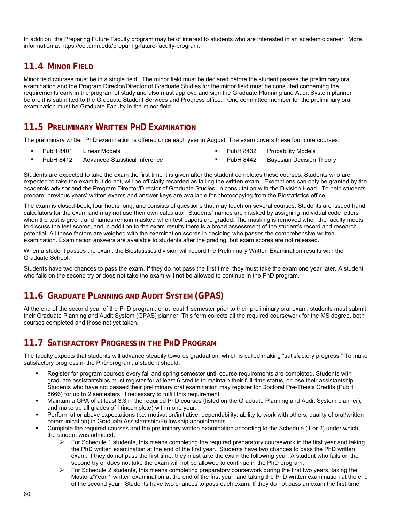In addition, the Preparing Future Faculty program may be of interest to students who are interested in an academic career. More information at https://cei.umn.edu/preparing-future-faculty-program.

# **11.4 MINOR FIELD**

Minor field courses must be in a single field. The minor field must be declared before the student passes the preliminary oral examination and the Program Director/Director of Graduate Studies for the minor field must be consulted concerning the requirements early in the program of study and also must approve and sign the Graduate Planning and Audit System planner before it is submitted to the Graduate Student Services and Progress office. One committee member for the preliminary oral examination must be Graduate Faculty in the minor field.

# **11.5 PRELIMINARY WRITTEN PHD EXAMINATION**

The preliminary written PhD examination is offered once each year in August. The exam covers these four core courses:

**PubH 8401 Linear Models** 

- PubH 8432 Probability Models
- PubH 8412 Advanced Statistical Inference
- 
- PubH 8442 Bayesian Decision Theory

Students are expected to take the exam the first time it is given after the student completes these courses. Students who are expected to take the exam but do not, will be officially recorded as failing the written exam. Exemptions can only be granted by the academic advisor and the Program Director/Director of Graduate Studies, in consultation with the Division Head. To help students prepare, previous years' written exams and answer keys are available for photocopying from the Biostatistics office.

The exam is closed-book, four hours long, and consists of questions that may touch on several courses. Students are issued hand calculators for the exam and may not use their own calculator. Students' names are masked by assigning individual code letters when the test is given, and names remain masked when test papers are graded. The masking is removed when the faculty meets to discuss the test scores, and in addition to the exam results there is a broad assessment of the student's record and research potential. All these factors are weighed with the examination scores in deciding who passes the comprehensive written examination. Examination answers are available to students after the grading, but exam scores are not released.

When a student passes the exam, the Biostatistics division will record the Preliminary Written Examination results with the Graduate School.

Students have two chances to pass the exam. If they do not pass the first time, they must take the exam one year later. A student who fails on the second try or does not take the exam will not be allowed to continue in the PhD program.

# **11.6 GRADUATE PLANNING AND AUDIT SYSTEM (GPAS)**

At the end of the second year of the PhD program, or at least 1 semester prior to their preliminary oral exam, students must submit their Graduate Planning and Audit System (GPAS) planner. This form collects all the required coursework for the MS degree, both courses completed and those not yet taken.

## **11.7 SATISFACTORY PROGRESS IN THE PHD PROGRAM**

The faculty expects that students will advance steadily towards graduation, which is called making "satisfactory progress." To make satisfactory progress in the PhD program, a student should:

- Register for program courses every fall and spring semester until course requirements are completed. Students with graduate assistantships must register for at least 6 credits to maintain their full-time status, or lose their assistantship. Students who have not passed their preliminary oral examination may register for Doctoral Pre-Thesis Credits (PubH 8666) for up to 2 semesters, if necessary to fulfill this requirement.
- Maintain a GPA of at least 3.3 in the required PhD courses (listed on the Graduate Planning and Audit System planner), and make up all grades of I (incomplete) within one year.
- Perform at or above expectations (i.e. motivation/initiative, dependability, ability to work with others, quality of oral/written communication) in Graduate Assistantship/Fellowship appointments.
- Complete the required courses and the preliminary written examination according to the Schedule (1 or 2) under which the student was admitted.
	- $\triangleright$  For Schedule 1 students, this means completing the required preparatory coursework in the first year and taking the PhD written examination at the end of the first year. Students have two chances to pass the PhD written exam. If they do not pass the first time, they must take the exam the following year. A student who fails on the second try or does not take the exam will not be allowed to continue in the PhD program.
	- $\triangleright$  For Schedule 2 students, this means completing preparatory coursework during the first two years, taking the Masters/Year 1 written examination at the end of the first year, and taking the PhD written examination at the end of the second year. Students have two chances to pass each exam. If they do not pass an exam the first time,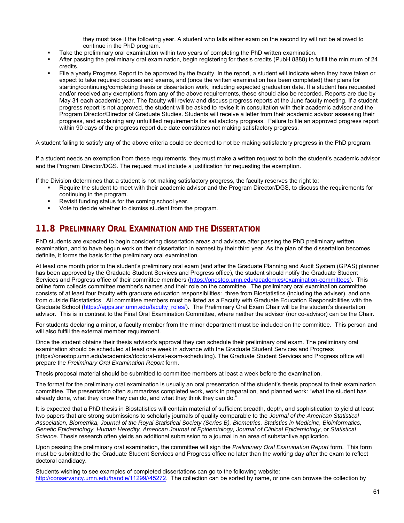they must take it the following year. A student who fails either exam on the second try will not be allowed to continue in the PhD program.

- Take the preliminary oral examination within two years of completing the PhD written examination.
- After passing the preliminary oral examination, begin registering for thesis credits (PubH 8888) to fulfill the minimum of 24 credits.
- File a yearly Progress Report to be approved by the faculty. In the report, a student will indicate when they have taken or expect to take required courses and exams, and (once the written examination has been completed) their plans for starting/continuing/completing thesis or dissertation work, including expected graduation date. If a student has requested and/or received any exemptions from any of the above requirements, these should also be recorded. Reports are due by May 31 each academic year. The faculty will review and discuss progress reports at the June faculty meeting. If a student progress report is not approved, the student will be asked to revise it in consultation with their academic advisor and the Program Director/Director of Graduate Studies. Students will receive a letter from their academic advisor assessing their progress, and explaining any unfulfilled requirements for satisfactory progress. Failure to file an approved progress report within 90 days of the progress report due date constitutes not making satisfactory progress.

A student failing to satisfy any of the above criteria could be deemed to not be making satisfactory progress in the PhD program.

If a student needs an exemption from these requirements, they must make a written request to both the student's academic advisor and the Program Director/DGS. The request must include a justification for requesting the exemption.

If the Division determines that a student is not making satisfactory progress, the faculty reserves the right to:

- Require the student to meet with their academic advisor and the Program Director/DGS, to discuss the requirements for continuing in the program.
- Revisit funding status for the coming school year.
- Vote to decide whether to dismiss student from the program.

# **11.8 PRELIMINARY ORAL EXAMINATION AND THE DISSERTATION**

PhD students are expected to begin considering dissertation areas and advisors after passing the PhD preliminary written examination, and to have begun work on their dissertation in earnest by their third year. As the plan of the dissertation becomes definite, it forms the basis for the preliminary oral examination.

At least one month prior to the student's preliminary oral exam (and after the Graduate Planning and Audit System (GPAS) planner has been approved by the Graduate Student Services and Progress office), the student should notify the Graduate Student Services and Progress office of their committee members (https://onestop.umn.edu/academics/examination-committees). This online form collects committee member's names and their role on the committee. The preliminary oral examination committee consists of at least four faculty with graduate education responsibilities: three from Biostatistics (including the adviser), and one from outside Biostatistics. All committee members must be listed as a Faculty with Graduate Education Responsibilities with the Graduate School (https://apps.asr.umn.edu/faculty\_roles/). The Preliminary Oral Exam Chair will be the student's dissertation advisor. This is in contrast to the Final Oral Examination Committee, where neither the advisor (nor co-advisor) can be the Chair.

For students declaring a minor, a faculty member from the minor department must be included on the committee. This person and will also fulfill the external member requirement.

Once the student obtains their thesis advisor's approval they can schedule their preliminary oral exam. The preliminary oral examination should be scheduled at least one week in advance with the Graduate Student Services and Progress (https://onestop.umn.edu/academics/doctoral-oral-exam-scheduling). The Graduate Student Services and Progress office will prepare the *Preliminary Oral Examination Report* form.

Thesis proposal material should be submitted to committee members at least a week before the examination.

The format for the preliminary oral examination is usually an oral presentation of the student's thesis proposal to their examination committee. The presentation often summarizes completed work, work in preparation, and planned work: "what the student has already done, what they know they can do, and what they think they can do."

It is expected that a PhD thesis in Biostatistics will contain material of sufficient breadth, depth, and sophistication to yield at least two papers that are strong submissions to scholarly journals of quality comparable to the *Journal of the American Statistical Association, Biometrika, Journal of the Royal Statistical Society (Series B), Biometrics, Statistics in Medicine, Bioinformatics, Genetic Epidemiology, Human Heredity, American Journal of Epidemiology, Journal of Clinical Epidemiology*, or *Statistical Science*. Thesis research often yields an additional submission to a journal in an area of substantive application.

Upon passing the preliminary oral examination, the committee will sign the *Preliminary Oral Examination Report* form. This form must be submitted to the Graduate Student Services and Progress office no later than the working day after the exam to reflect doctoral candidacy.

Students wishing to see examples of completed dissertations can go to the following website: http://conservancy.umn.edu/handle/11299//45272. The collection can be sorted by name, or one can browse the collection by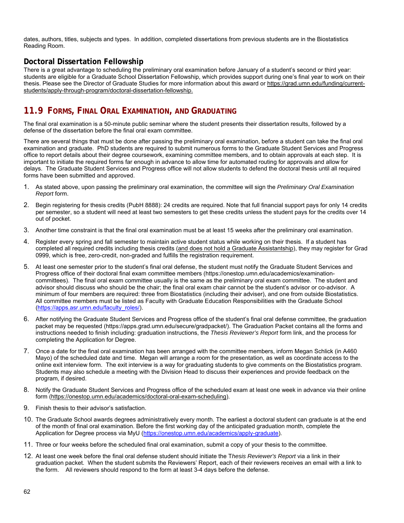dates, authors, titles, subjects and types. In addition, completed dissertations from previous students are in the Biostatistics Reading Room.

## **Doctoral Dissertation Fellowship**

There is a great advantage to scheduling the preliminary oral examination before January of a student's second or third year: students are eligible for a Graduate School Dissertation Fellowship, which provides support during one's final year to work on their thesis. Please see the Director of Graduate Studies for more information about this award or https://grad.umn.edu/funding/currentstudents/apply-through-program/doctoral-dissertation-fellowship.

# **11.9 FORMS, FINAL ORAL EXAMINATION, AND GRADUATING**

The final oral examination is a 50-minute public seminar where the student presents their dissertation results, followed by a defense of the dissertation before the final oral exam committee.

There are several things that must be done after passing the preliminary oral examination, before a student can take the final oral examination and graduate. PhD students are required to submit numerous forms to the Graduate Student Services and Progress office to report details about their degree coursework, examining committee members, and to obtain approvals at each step. It is important to initiate the required forms far enough in advance to allow time for automated routing for approvals and allow for delays. The Graduate Student Services and Progress office will not allow students to defend the doctoral thesis until all required forms have been submitted and approved.

- 1. As stated above, upon passing the preliminary oral examination, the committee will sign the *Preliminary Oral Examination Report* form.
- 2. Begin registering for thesis credits (PubH 8888): 24 credits are required. Note that full financial support pays for only 14 credits per semester, so a student will need at least two semesters to get these credits unless the student pays for the credits over 14 out of pocket.
- 3. Another time constraint is that the final oral examination must be at least 15 weeks after the preliminary oral examination.
- 4. Register every spring and fall semester to maintain active student status while working on their thesis. If a student has completed all required credits including thesis credits (and does not hold a Graduate Assistantship), they may register for Grad 0999, which is free, zero-credit, non-graded and fulfills the registration requirement.
- 5. At least one semester prior to the student's final oral defense, the student must notify the Graduate Student Services and Progress office of their doctoral final exam committee members (https://onestop.umn.edu/academics/examinationcommittees). The final oral exam committee usually is the same as the preliminary oral exam committee. The student and advisor should discuss who should be the chair; the final oral exam chair cannot be the student's advisor or co-advisor. A minimum of four members are required: three from Biostatistics (including their adviser), and one from outside Biostatistics. All committee members must be listed as Faculty with Graduate Education Responsibilities with the Graduate School (https://apps.asr.umn.edu/faculty\_roles/).
- 6. After notifying the Graduate Student Services and Progress office of the student's final oral defense committee, the graduation packet may be requested (https://apps.grad.umn.edu/secure/gradpacket/). The Graduation Packet contains all the forms and instructions needed to finish including: graduation instructions, the *Thesis Reviewer's Report* form link, and the process for completing the Application for Degree.
- 7. Once a date for the final oral examination has been arranged with the committee members, inform Megan Schlick (in A460 Mayo) of the scheduled date and time. Megan will arrange a room for the presentation, as well as coordinate access to the online exit interview form. The exit interview is a way for graduating students to give comments on the Biostatistics program. Students may also schedule a meeting with the Division Head to discuss their experiences and provide feedback on the program, if desired.
- 8. Notify the Graduate Student Services and Progress office of the scheduled exam at least one week in advance via their online form (https://onestop.umn.edu/academics/doctoral-oral-exam-scheduling).
- 9. Finish thesis to their advisor's satisfaction.
- 10. The Graduate School awards degrees administratively every month. The earliest a doctoral student can graduate is at the end of the month of final oral examination. Before the first working day of the anticipated graduation month, complete the Application for Degree process via MyU (https://onestop.umn.edu/academics/apply-graduate).
- 11. Three or four weeks before the scheduled final oral examination, submit a copy of your thesis to the committee.
- 12. At least one week before the final oral defense student should initiate the T*hesis Reviewer's Report* via a link in their graduation packet. When the student submits the Reviewers' Report, each of their reviewers receives an email with a link to the form. All reviewers should respond to the form at least 3-4 days before the defense.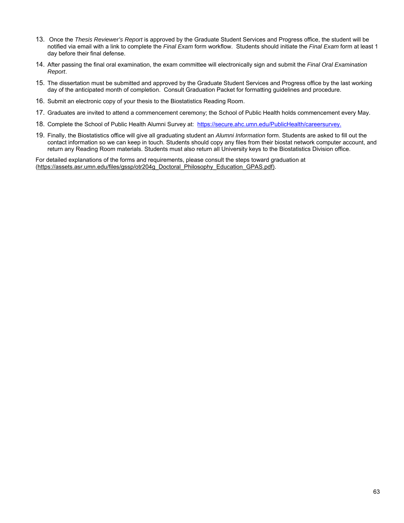- 13. Once the *Thesis Reviewer's Report* is approved by the Graduate Student Services and Progress office, the student will be notified via email with a link to complete the *Final Exam* form workflow. Students should initiate the *Final Exam* form at least 1 day before their final defense.
- 14. After passing the final oral examination, the exam committee will electronically sign and submit the *Final Oral Examination Report*.
- 15. The dissertation must be submitted and approved by the Graduate Student Services and Progress office by the last working day of the anticipated month of completion. Consult Graduation Packet for formatting guidelines and procedure.
- 16. Submit an electronic copy of your thesis to the Biostatistics Reading Room.
- 17. Graduates are invited to attend a commencement ceremony; the School of Public Health holds commencement every May.
- 18. Complete the School of Public Health Alumni Survey at: https://secure.ahc.umn.edu/PublicHealth/careersurvey.
- 19. Finally, the Biostatistics office will give all graduating student an *Alumni Information* form. Students are asked to fill out the contact information so we can keep in touch. Students should copy any files from their biostat network computer account, and return any Reading Room materials. Students must also return all University keys to the Biostatistics Division office.

For detailed explanations of the forms and requirements, please consult the steps toward graduation at (https://assets.asr.umn.edu/files/gssp/otr204g\_Doctoral\_Philosophy\_Education\_GPAS.pdf).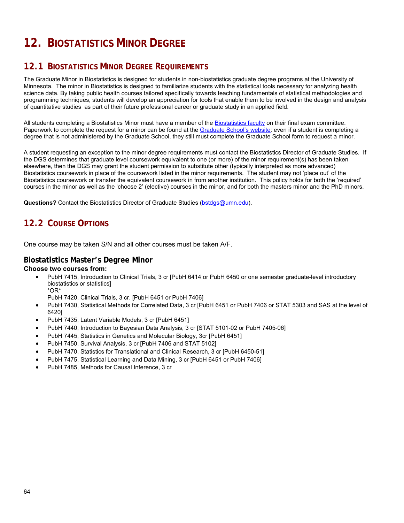# **12. BIOSTATISTICS MINOR DEGREE**

# **12.1 BIOSTATISTICS MINOR DEGREE REQUIREMENTS**

The Graduate Minor in Biostatistics is designed for students in non-biostatistics graduate degree programs at the University of Minnesota. The minor in Biostatistics is designed to familiarize students with the statistical tools necessary for analyzing health science data. By taking public health courses tailored specifically towards teaching fundamentals of statistical methodologies and programming techniques, students will develop an appreciation for tools that enable them to be involved in the design and analysis of quantitative studies as part of their future professional career or graduate study in an applied field.

All students completing a Biostatistics Minor must have a member of the Biostatistics faculty on their final exam committee. Paperwork to complete the request for a minor can be found at the Graduate School's website: even if a student is completing a degree that is not administered by the Graduate School, they still must complete the Graduate School form to request a minor.

A student requesting an exception to the minor degree requirements must contact the Biostatistics Director of Graduate Studies. If the DGS determines that graduate level coursework equivalent to one (or more) of the minor requirement(s) has been taken elsewhere, then the DGS may grant the student permission to substitute other (typically interpreted as more advanced) Biostatistics coursework in place of the coursework listed in the minor requirements. The student may not 'place out' of the Biostatistics coursework or transfer the equivalent coursework in from another institution. This policy holds for both the 'required' courses in the minor as well as the 'choose 2' (elective) courses in the minor, and for both the masters minor and the PhD minors.

**Questions?** Contact the Biostatistics Director of Graduate Studies (bstdgs@umn.edu).

# **12.2 COURSE OPTIONS**

One course may be taken S/N and all other courses must be taken A/F.

### **Biostatistics Master's Degree Minor**

### **Choose two courses from:**

 PubH 7415, Introduction to Clinical Trials, 3 cr [PubH 6414 or PubH 6450 or one semester graduate-level introductory biostatistics or statistics] \*OR\*

PubH 7420, Clinical Trials, 3 cr. [PubH 6451 or PubH 7406]

- PubH 7430, Statistical Methods for Correlated Data, 3 cr [PubH 6451 or PubH 7406 or STAT 5303 and SAS at the level of 6420]
- PubH 7435, Latent Variable Models, 3 cr [PubH 6451]
- PubH 7440, Introduction to Bayesian Data Analysis, 3 cr [STAT 5101-02 or PubH 7405-06]
- PubH 7445, Statistics in Genetics and Molecular Biology, 3cr [PubH 6451]
- PubH 7450, Survival Analysis, 3 cr [PubH 7406 and STAT 5102]
- PubH 7470, Statistics for Translational and Clinical Research, 3 cr [PubH 6450-51]
- PubH 7475, Statistical Learning and Data Mining, 3 cr [PubH 6451 or PubH 7406]
- PubH 7485, Methods for Causal Inference, 3 cr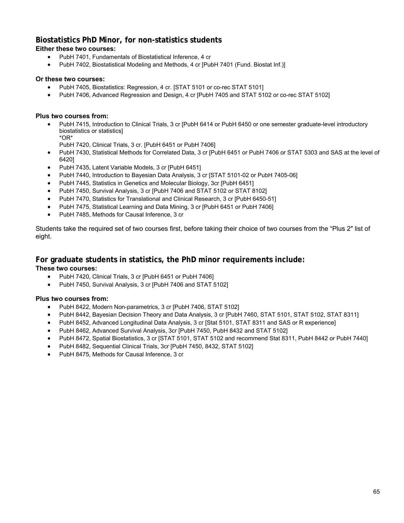## **Biostatistics PhD Minor, for non-statistics students**

## **Either these two courses:**

- PubH 7401, Fundamentals of Biostatistical Inference, 4 cr
- PubH 7402, Biostatistical Modeling and Methods, 4 cr [PubH 7401 (Fund. Biostat Inf.)]

## **Or these two courses:**

- PubH 7405, Biostatistics: Regression, 4 cr. [STAT 5101 or co-rec STAT 5101]
- PubH 7406, Advanced Regression and Design, 4 cr [PubH 7405 and STAT 5102 or co-rec STAT 5102]

## **Plus two courses from:**

- PubH 7415, Introduction to Clinical Trials, 3 cr [PubH 6414 or PubH 6450 or one semester graduate-level introductory biostatistics or statistics] \*OR\*
	- PubH 7420, Clinical Trials, 3 cr. [PubH 6451 or PubH 7406]
- PubH 7430, Statistical Methods for Correlated Data, 3 cr [PubH 6451 or PubH 7406 or STAT 5303 and SAS at the level of 6420]
- PubH 7435, Latent Variable Models, 3 cr [PubH 6451]
- PubH 7440, Introduction to Bayesian Data Analysis, 3 cr [STAT 5101-02 or PubH 7405-06]
- PubH 7445, Statistics in Genetics and Molecular Biology, 3cr [PubH 6451]
- PubH 7450, Survival Analysis, 3 cr [PubH 7406 and STAT 5102 or STAT 8102]
- PubH 7470, Statistics for Translational and Clinical Research, 3 cr [PubH 6450-51]
- PubH 7475, Statistical Learning and Data Mining, 3 cr [PubH 6451 or PubH 7406]
- PubH 7485, Methods for Causal Inference, 3 cr

Students take the required set of two courses first, before taking their choice of two courses from the "Plus 2″ list of eight.

# **For graduate students in statistics, the PhD minor requirements include:**

## **These two courses:**

- PubH 7420, Clinical Trials, 3 cr [PubH 6451 or PubH 7406]
- PubH 7450, Survival Analysis, 3 cr [PubH 7406 and STAT 5102]

## **Plus two courses from:**

- PubH 8422, Modern Non-parametrics, 3 cr [PubH 7406, STAT 5102]
- PubH 8442, Bayesian Decision Theory and Data Analysis, 3 cr [PubH 7460, STAT 5101, STAT 5102, STAT 8311]
- PubH 8452, Advanced Longitudinal Data Analysis, 3 cr [Stat 5101, STAT 8311 and SAS or R experience]
- PubH 8462, Advanced Survival Analysis, 3cr [PubH 7450, PubH 8432 and STAT 5102]
- PubH 8472, Spatial Biostatistics, 3 cr [STAT 5101, STAT 5102 and recommend Stat 8311, PubH 8442 or PubH 7440]
- PubH 8482, Sequential Clinical Trials, 3cr [PubH 7450, 8432, STAT 5102]
- PubH 8475, Methods for Causal Inference, 3 cr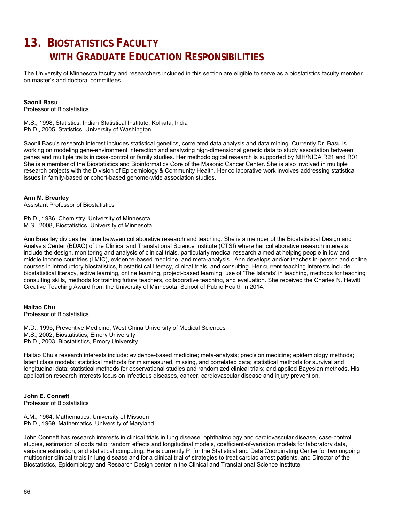# **13. BIOSTATISTICS FACULTY WITH GRADUATE EDUCATION RESPONSIBILITIES**

The University of Minnesota faculty and researchers included in this section are eligible to serve as a biostatistics faculty member on master's and doctoral committees.

### **Saonli Basu**

Professor of Biostatistics

M.S., 1998, Statistics, Indian Statistical Institute, Kolkata, India Ph.D., 2005, Statistics, University of Washington

Saonli Basu's research interest includes statistical genetics, correlated data analysis and data mining. Currently Dr. Basu is working on modeling gene-environment interaction and analyzing high-dimensional genetic data to study association between genes and multiple traits in case-control or family studies. Her methodological research is supported by NIH/NIDA R21 and R01. She is a member of the Biostatistics and Bioinformatics Core of the Masonic Cancer Center. She is also involved in multiple research projects with the Division of Epidemiology & Community Health. Her collaborative work involves addressing statistical issues in family-based or cohort-based genome-wide association studies.

### **Ann M. Brearley**

Assistant Professor of Biostatistics

Ph.D., 1986, Chemistry, University of Minnesota M.S., 2008, Biostatistics, University of Minnesota

Ann Brearley divides her time between collaborative research and teaching. She is a member of the Biostatistical Design and Analysis Center (BDAC) of the Clinical and Translational Science Institute (CTSI) where her collaborative research interests include the design, monitoring and analysis of clinical trials, particularly medical research aimed at helping people in low and middle income countries (LMIC), evidence-based medicine, and meta-analysis. Ann develops and/or teaches in-person and online courses in introductory biostatistics, biostatistical literacy, clinical trials, and consulting. Her current teaching interests include biostatistical literacy, active learning, online learning, project-based learning, use of 'The Islands' in teaching, methods for teaching consulting skills, methods for training future teachers, collaborative teaching, and evaluation. She received the Charles N. Hewitt Creative Teaching Award from the University of Minnesota, School of Public Health in 2014.

### **Haitao Chu**

Professor of Biostatistics

M.D., 1995, Preventive Medicine, West China University of Medical Sciences M.S., 2002, Biostatistics, Emory University Ph.D., 2003, Biostatistics, Emory University

Haitao Chu's research interests include: evidence-based medicine; meta-analysis; precision medicine; epidemiology methods; latent class models; statistical methods for mismeasured, missing, and correlated data; statistical methods for survival and longitudinal data; statistical methods for observational studies and randomized clinical trials; and applied Bayesian methods. His application research interests focus on infectious diseases, cancer, cardiovascular disease and injury prevention.

#### **John E. Connett** Professor of Biostatistics

A.M., 1964, Mathematics, University of Missouri Ph.D., 1969, Mathematics, University of Maryland

John Connett has research interests in clinical trials in lung disease, ophthalmology and cardiovascular disease, case-control studies, estimation of odds ratio, random effects and longitudinal models, coefficient-of-variation models for laboratory data, variance estimation, and statistical computing. He is currently PI for the Statistical and Data Coordinating Center for two ongoing multicenter clinical trials in lung disease and for a clinical trial of strategies to treat cardiac arrest patients, and Director of the Biostatistics, Epidemiology and Research Design center in the Clinical and Translational Science Institute.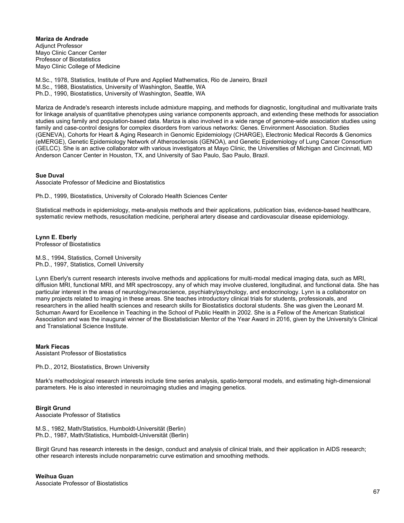**Mariza de Andrade**  Adjunct Professor Mayo Clinic Cancer Center Professor of Biostatistics Mayo Clinic College of Medicine

M.Sc., 1978, Statistics, Institute of Pure and Applied Mathematics, Rio de Janeiro, Brazil M.Sc., 1988, Biostatistics, University of Washington, Seattle, WA Ph.D., 1990, Biostatistics, University of Washington, Seattle, WA

Mariza de Andrade's research interests include admixture mapping, and methods for diagnostic, longitudinal and multivariate traits for linkage analysis of quantitative phenotypes using variance components approach, and extending these methods for association studies using family and population-based data. Mariza is also involved in a wide range of genome-wide association studies using family and case-control designs for complex disorders from various networks: Genes. Environment Association. Studies (GENEVA), Cohorts for Heart & Aging Research in Genomic Epidemiology (CHARGE), Electronic Medical Records & Genomics (eMERGE), Genetic Epidemiology Network of Atherosclerosis (GENOA), and Genetic Epidemiology of Lung Cancer Consortium (GELCC). She is an active collaborator with various investigators at Mayo Clinic, the Universities of Michigan and Cincinnati, MD Anderson Cancer Center in Houston, TX, and University of Sao Paulo, Sao Paulo, Brazil.

### **Sue Duval**

Associate Professor of Medicine and Biostatistics

Ph.D., 1999, Biostatistics, University of Colorado Health Sciences Center

Statistical methods in epidemiology, meta-analysis methods and their applications, publication bias, evidence-based healthcare, systematic review methods, resuscitation medicine, peripheral artery disease and cardiovascular disease epidemiology.

### **Lynn E. Eberly**

Professor of Biostatistics

M.S., 1994, Statistics, Cornell University Ph.D., 1997, Statistics, Cornell University

Lynn Eberly's current research interests involve methods and applications for multi-modal medical imaging data, such as MRI, diffusion MRI, functional MRI, and MR spectroscopy, any of which may involve clustered, longitudinal, and functional data. She has particular interest in the areas of neurology/neuroscience, psychiatry/psychology, and endocrinology. Lynn is a collaborator on many projects related to imaging in these areas. She teaches introductory clinical trials for students, professionals, and researchers in the allied health sciences and research skills for Biostatistics doctoral students. She was given the Leonard M. Schuman Award for Excellence in Teaching in the School of Public Health in 2002. She is a Fellow of the American Statistical Association and was the inaugural winner of the Biostatistician Mentor of the Year Award in 2016, given by the University's Clinical and Translational Science Institute.

### **Mark Fiecas**

Assistant Professor of Biostatistics

Ph.D., 2012, Biostatistics, Brown University

Mark's methodological research interests include time series analysis, spatio-temporal models, and estimating high-dimensional parameters. He is also interested in neuroimaging studies and imaging genetics.

#### **Birgit Grund**

Associate Professor of Statistics

M.S., 1982, Math/Statistics, Humboldt-Universität (Berlin) Ph.D., 1987, Math/Statistics, Humboldt-Universität (Berlin)

Birgit Grund has research interests in the design, conduct and analysis of clinical trials, and their application in AIDS research; other research interests include nonparametric curve estimation and smoothing methods.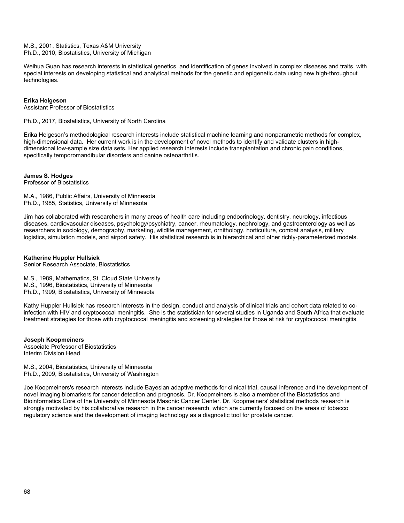M.S., 2001, Statistics, Texas A&M University Ph.D., 2010, Biostatistics, University of Michigan

Weihua Guan has research interests in statistical genetics, and identification of genes involved in complex diseases and traits, with special interests on developing statistical and analytical methods for the genetic and epigenetic data using new high-throughput technologies.

### **Erika Helgeson**

Assistant Professor of Biostatistics

Ph.D., 2017, Biostatistics, University of North Carolina

Erika Helgeson's methodological research interests include statistical machine learning and nonparametric methods for complex, high-dimensional data. Her current work is in the development of novel methods to identify and validate clusters in highdimensional low-sample size data sets. Her applied research interests include transplantation and chronic pain conditions, specifically temporomandibular disorders and canine osteoarthritis.

### **James S. Hodges**

Professor of Biostatistics

M.A., 1986, Public Affairs, University of Minnesota Ph.D., 1985, Statistics, University of Minnesota

Jim has collaborated with researchers in many areas of health care including endocrinology, dentistry, neurology, infectious diseases, cardiovascular diseases, psychology/psychiatry, cancer, rheumatology, nephrology, and gastroenterology as well as researchers in sociology, demography, marketing, wildlife management, ornithology, horticulture, combat analysis, military logistics, simulation models, and airport safety. His statistical research is in hierarchical and other richly-parameterized models.

### **Katherine Huppler Hullsiek**

Senior Research Associate, Biostatistics

M.S., 1989, Mathematics, St. Cloud State University M.S., 1996, Biostatistics, University of Minnesota Ph.D., 1999, Biostatistics, University of Minnesota

Kathy Huppler Hullsiek has research interests in the design, conduct and analysis of clinical trials and cohort data related to coinfection with HIV and cryptococcal meningitis. She is the statistician for several studies in Uganda and South Africa that evaluate treatment strategies for those with cryptococcal meningitis and screening strategies for those at risk for cryptococcal meningitis.

#### **Joseph Koopmeiners** Associate Professor of Biostatistics Interim Division Head

M.S., 2004, Biostatistics, University of Minnesota Ph.D., 2009, Biostatistics, University of Washington

Joe Koopmeiners's research interests include Bayesian adaptive methods for clinical trial, causal inference and the development of novel imaging biomarkers for cancer detection and prognosis. Dr. Koopmeiners is also a member of the Biostatistics and Bioinformatics Core of the University of Minnesota Masonic Cancer Center. Dr. Koopmeiners' statistical methods research is strongly motivated by his collaborative research in the cancer research, which are currently focused on the areas of tobacco regulatory science and the development of imaging technology as a diagnostic tool for prostate cancer.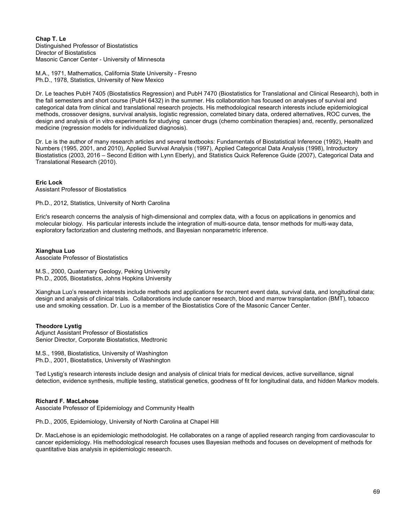### **Chap T. Le** Distinguished Professor of Biostatistics Director of Biostatistics Masonic Cancer Center - University of Minnesota

M.A., 1971, Mathematics, California State University - Fresno Ph.D., 1978, Statistics, University of New Mexico

Dr. Le teaches PubH 7405 (Biostatistics Regression) and PubH 7470 (Biostatistics for Translational and Clinical Research), both in the fall semesters and short course (PubH 6432) in the summer. His collaboration has focused on analyses of survival and categorical data from clinical and translational research projects. His methodological research interests include epidemiological methods, crossover designs, survival analysis, logistic regression, correlated binary data, ordered alternatives, ROC curves, the design and analysis of in vitro experiments for studying cancer drugs (chemo combination therapies) and, recently, personalized medicine (regression models for individualized diagnosis).

Dr. Le is the author of many research articles and several textbooks: Fundamentals of Biostatistical Inference (1992), Health and Numbers (1995, 2001, and 2010), Applied Survival Analysis (1997), Applied Categorical Data Analysis (1998), Introductory Biostatistics (2003, 2016 – Second Edition with Lynn Eberly), and Statistics Quick Reference Guide (2007), Categorical Data and Translational Research (2010).

### **Eric Lock**

Assistant Professor of Biostatistics

Ph.D., 2012, Statistics, University of North Carolina

Eric's research concerns the analysis of high-dimensional and complex data, with a focus on applications in genomics and molecular biology. His particular interests include the integration of multi-source data, tensor methods for multi-way data, exploratory factorization and clustering methods, and Bayesian nonparametric inference.

### **Xianghua Luo**

Associate Professor of Biostatistics

M.S., 2000, Quaternary Geology, Peking University Ph.D., 2005, Biostatistics, Johns Hopkins University

Xianghua Luo's research interests include methods and applications for recurrent event data, survival data, and longitudinal data; design and analysis of clinical trials. Collaborations include cancer research, blood and marrow transplantation (BMT), tobacco use and smoking cessation. Dr. Luo is a member of the Biostatistics Core of the Masonic Cancer Center.

### **Theodore Lystig**

Adjunct Assistant Professor of Biostatistics Senior Director, Corporate Biostatistics, Medtronic

M.S., 1998, Biostatistics, University of Washington Ph.D., 2001, Biostatistics, University of Washington

Ted Lystig's research interests include design and analysis of clinical trials for medical devices, active surveillance, signal detection, evidence synthesis, multiple testing, statistical genetics, goodness of fit for longitudinal data, and hidden Markov models.

### **Richard F. MacLehose**

Associate Professor of Epidemiology and Community Health

Ph.D., 2005, Epidemiology, University of North Carolina at Chapel Hill

Dr. MacLehose is an epidemiologic methodologist. He collaborates on a range of applied research ranging from cardiovascular to cancer epidemiology. His methodological research focuses uses Bayesian methods and focuses on development of methods for quantitative bias analysis in epidemiologic research.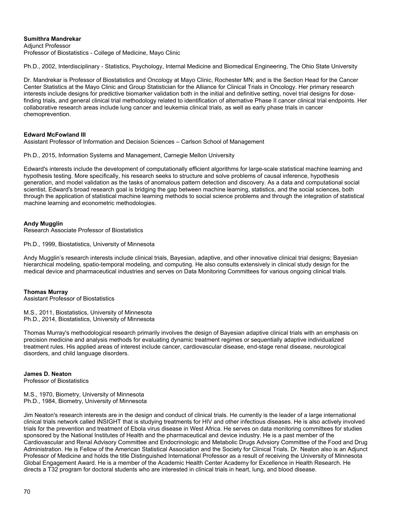### **Sumithra Mandrekar**

**Adjunct Professor** Professor of Biostatistics - College of Medicine, Mayo Clinic

Ph.D., 2002, Interdisciplinary - Statistics, Psychology, Internal Medicine and Biomedical Engineering, The Ohio State University

Dr. Mandrekar is Professor of Biostatistics and Oncology at Mayo Clinic, Rochester MN; and is the Section Head for the Cancer Center Statistics at the Mayo Clinic and Group Statistician for the Alliance for Clinical Trials in Oncology. Her primary research interests include designs for predictive biomarker validation both in the initial and definitive setting, novel trial designs for dosefinding trials, and general clinical trial methodology related to identification of alternative Phase II cancer clinical trial endpoints. Her collaborative research areas include lung cancer and leukemia clinical trials, as well as early phase trials in cancer chemoprevention.

### **Edward McFowland III**

Assistant Professor of Information and Decision Sciences – Carlson School of Management

Ph.D., 2015, Information Systems and Management, Carnegie Mellon University

Edward's interests include the development of computationally efficient algorithms for large-scale statistical machine learning and hypothesis testing. More specifically, his research seeks to structure and solve problems of causal inference, hypothesis generation, and model validation as the tasks of anomalous pattern detection and discovery. As a data and computational social scientist, Edward's broad research goal is bridging the gap between machine learning, statistics, and the social sciences, both through the application of statistical machine learning methods to social science problems and through the integration of statistical machine learning and econometric methodologies.

### **Andy Mugglin**

Research Associate Professor of Biostatistics

Ph.D., 1999, Biostatistics, University of Minnesota

Andy Mugglin's research interests include clinical trials, Bayesian, adaptive, and other innovative clinical trial designs; Bayesian hierarchical modeling, spatio-temporal modeling, and computing. He also consults extensively in clinical study design for the medical device and pharmaceutical industries and serves on Data Monitoring Committees for various ongoing clinical trials.

#### **Thomas Murray**

Assistant Professor of Biostatistics

M.S., 2011, Biostatistics, University of Minnesota Ph.D., 2014, Biostatistics, University of Minnesota

Thomas Murray's methodological research primarily involves the design of Bayesian adaptive clinical trials with an emphasis on precision medicine and analysis methods for evaluating dynamic treatment regimes or sequentially adaptive individualized treatment rules. His applied areas of interest include cancer, cardiovascular disease, end-stage renal disease, neurological disorders, and child language disorders.

### **James D. Neaton**

Professor of Biostatistics

M.S., 1970, Biometry, University of Minnesota Ph.D., 1984, Biometry, University of Minnesota

Jim Neaton's research interests are in the design and conduct of clinical trials. He currently is the leader of a large international clinical trials network called INSIGHT that is studying treatments for HIV and other infectious diseases. He is also actively involved trials for the prevention and treatment of Ebola virus disease in West Africa. He serves on data monitoring committees for studies sponsored by the National Institutes of Health and the pharmaceutical and device industry. He is a past member of the Cardiovascular and Renal Advisory Committee and Endocrinologic and Metabolic Drugs Advsiory Committee of the Food and Drug Administration. He is Fellow of the American Statistical Association and the Society for Clinical Trials. Dr. Neaton also is an Adjunct Professor of Medicine and holds the title Distinguished International Professor as a result of receiving the University of Minnesota Global Engagement Award. He is a member of the Academic Health Center Academy for Excellence in Health Research. He directs a T32 program for doctoral students who are interested in clinical trials in heart, lung, and blood disease.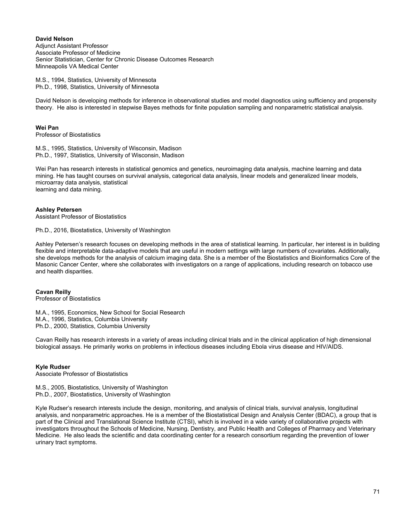**David Nelson** Adjunct Assistant Professor Associate Professor of Medicine Senior Statistician, Center for Chronic Disease Outcomes Research Minneapolis VA Medical Center

M.S., 1994, Statistics, University of Minnesota Ph.D., 1998, Statistics, University of Minnesota

David Nelson is developing methods for inference in observational studies and model diagnostics using sufficiency and propensity theory. He also is interested in stepwise Bayes methods for finite population sampling and nonparametric statistical analysis.

### **Wei Pan**

Professor of Biostatistics

M.S., 1995, Statistics, University of Wisconsin, Madison Ph.D., 1997, Statistics, University of Wisconsin, Madison

Wei Pan has research interests in statistical genomics and genetics, neuroimaging data analysis, machine learning and data mining. He has taught courses on survival analysis, categorical data analysis, linear models and generalized linear models, microarray data analysis, statistical learning and data mining.

### **Ashley Petersen**

Assistant Professor of Biostatistics

Ph.D., 2016, Biostatistics, University of Washington

Ashley Petersen's research focuses on developing methods in the area of statistical learning. In particular, her interest is in building flexible and interpretable data-adaptive models that are useful in modern settings with large numbers of covariates. Additionally, she develops methods for the analysis of calcium imaging data. She is a member of the Biostatistics and Bioinformatics Core of the Masonic Cancer Center, where she collaborates with investigators on a range of applications, including research on tobacco use and health disparities.

## **Cavan Reilly**

Professor of Biostatistics

M.A., 1995, Economics, New School for Social Research M.A., 1996, Statistics, Columbia University Ph.D., 2000, Statistics, Columbia University

Cavan Reilly has research interests in a variety of areas including clinical trials and in the clinical application of high dimensional biological assays. He primarily works on problems in infectious diseases including Ebola virus disease and HIV/AIDS.

### **Kyle Rudser**

Associate Professor of Biostatistics

M.S., 2005, Biostatistics, University of Washington Ph.D., 2007, Biostatistics, University of Washington

Kyle Rudser's research interests include the design, monitoring, and analysis of clinical trials, survival analysis, longitudinal analysis, and nonparametric approaches. He is a member of the Biostatistical Design and Analysis Center (BDAC), a group that is part of the Clinical and Translational Science Institute (CTSI), which is involved in a wide variety of collaborative projects with investigators throughout the Schools of Medicine, Nursing, Dentistry, and Public Health and Colleges of Pharmacy and Veterinary Medicine. He also leads the scientific and data coordinating center for a research consortium regarding the prevention of lower urinary tract symptoms.